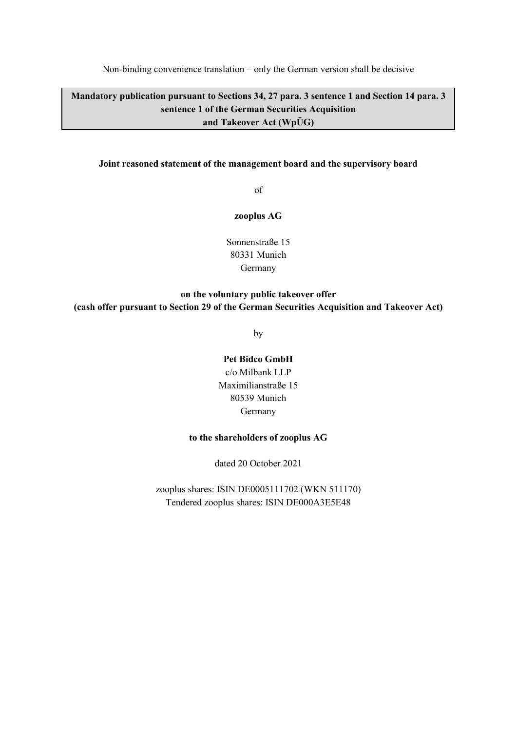Non-binding convenience translation – only the German version shall be decisive

**Mandatory publication pursuant to Sections 34, 27 para. 3 sentence 1 and Section 14 para. 3 sentence 1 of the German Securities Acquisition and Takeover Act (WpÜG)** 

#### **Joint reasoned statement of the management board and the supervisory board**

of

**zooplus AG** 

Sonnenstraße 15 80331 Munich Germany

## **on the voluntary public takeover offer (cash offer pursuant to Section 29 of the German Securities Acquisition and Takeover Act)**

by

#### **Pet Bidco GmbH**

c/o Milbank LLP Maximilianstraße 15 80539 Munich Germany

#### **to the shareholders of zooplus AG**

dated 20 October 2021

zooplus shares: ISIN DE0005111702 (WKN 511170) Tendered zooplus shares: ISIN DE000A3E5E48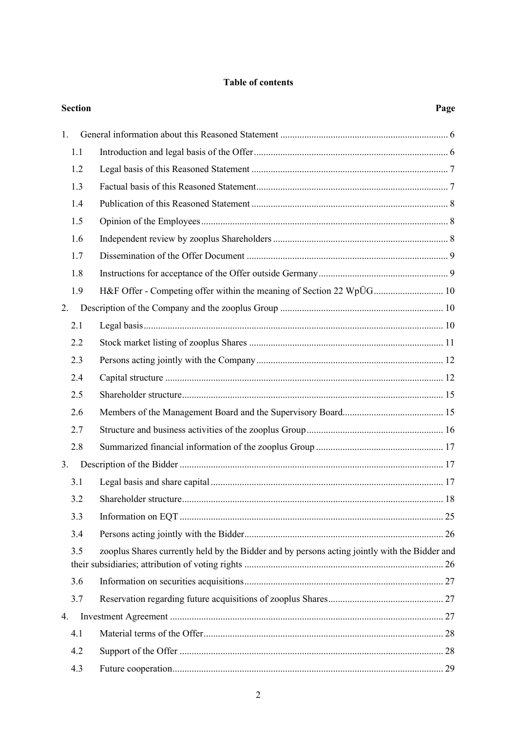## **Table of contents**

| <b>Section</b> |                                                                                               | Page |
|----------------|-----------------------------------------------------------------------------------------------|------|
| 1.             |                                                                                               |      |
| 1.1            |                                                                                               |      |
| 1.2            |                                                                                               |      |
| 1.3            |                                                                                               |      |
| 1.4            |                                                                                               |      |
| 1.5            |                                                                                               |      |
| 1.6            |                                                                                               |      |
| 1.7            |                                                                                               |      |
| 1.8            |                                                                                               |      |
| 1.9            | H&F Offer - Competing offer within the meaning of Section 22 WpÜG 10                          |      |
| 2.             |                                                                                               |      |
| 2.1            |                                                                                               |      |
| 2.2            |                                                                                               |      |
| 2.3            |                                                                                               |      |
| 2.4            |                                                                                               |      |
| 2.5            |                                                                                               |      |
| 2.6            |                                                                                               |      |
| 2.7            |                                                                                               |      |
| 2.8            |                                                                                               |      |
| 3.             |                                                                                               |      |
| 3.1            |                                                                                               |      |
| 3.2            |                                                                                               |      |
| 3.3            |                                                                                               |      |
| 3.4            |                                                                                               |      |
| 3.5            | zooplus Shares currently held by the Bidder and by persons acting jointly with the Bidder and |      |
| 3.6            |                                                                                               |      |
| 3.7            |                                                                                               |      |
| 4.             |                                                                                               |      |
| 4.1            |                                                                                               |      |
| 4.2            |                                                                                               |      |
| 4.3            |                                                                                               |      |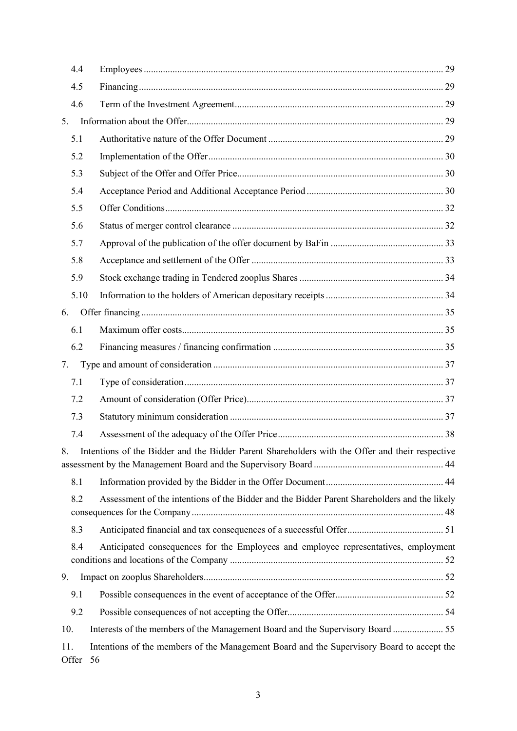| 4.4             |                                                                                                    |
|-----------------|----------------------------------------------------------------------------------------------------|
| 4.5             |                                                                                                    |
| 4.6             |                                                                                                    |
| 5.              |                                                                                                    |
| 5.1             |                                                                                                    |
| 5.2             |                                                                                                    |
| 5.3             |                                                                                                    |
| 5.4             |                                                                                                    |
| 5.5             |                                                                                                    |
| 5.6             |                                                                                                    |
| 5.7             |                                                                                                    |
| 5.8             |                                                                                                    |
| 5.9             |                                                                                                    |
| 5.10            |                                                                                                    |
| 6.              |                                                                                                    |
| 6.1             |                                                                                                    |
| 6.2             |                                                                                                    |
| 7.              |                                                                                                    |
| 7.1             |                                                                                                    |
| 7.2             |                                                                                                    |
| 7.3             |                                                                                                    |
| 7.4             |                                                                                                    |
|                 | 8. Intentions of the Bidder and the Bidder Parent Shareholders with the Offer and their respective |
| 8.1             |                                                                                                    |
| 8.2             | Assessment of the intentions of the Bidder and the Bidder Parent Shareholders and the likely       |
|                 |                                                                                                    |
| 8.3             |                                                                                                    |
| 8.4             | Anticipated consequences for the Employees and employee representatives, employment                |
| 9.              |                                                                                                    |
| 9.1             |                                                                                                    |
| 9.2             |                                                                                                    |
| 10.             | Interests of the members of the Management Board and the Supervisory Board 55                      |
| 11.<br>Offer 56 | Intentions of the members of the Management Board and the Supervisory Board to accept the          |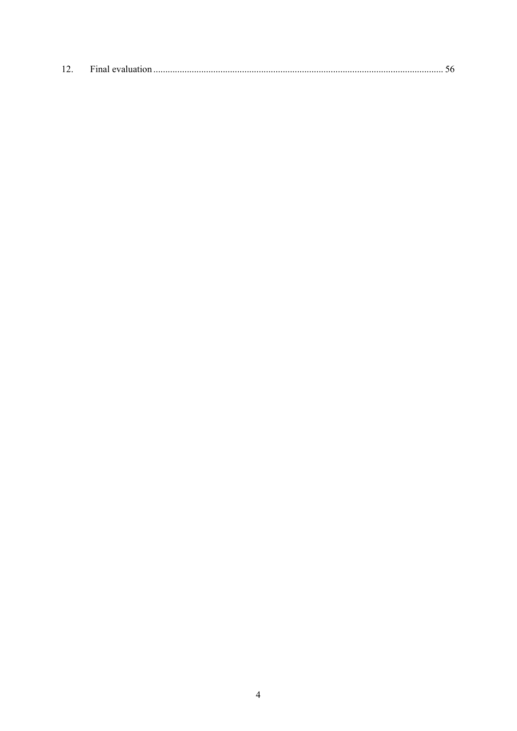| 12. |  |  |  |
|-----|--|--|--|
|-----|--|--|--|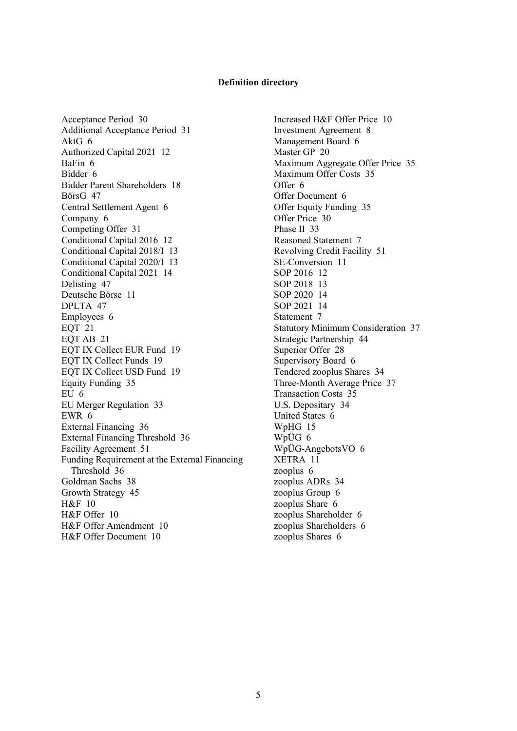#### **Definition directory**

Acceptance Period 30 Additional Acceptance Period 31 AktG 6 Authorized Capital 2021 12 BaFin 6 Bidder 6 Bidder Parent Shareholders 18 BörsG 47 Central Settlement Agent 6 Company 6 Competing Offer 31 Conditional Capital 2016 12 Conditional Capital 2018/I 13 Conditional Capital 2020/I 13 Conditional Capital 2021 14 Delisting 47 Deutsche Börse 11 DPLTA 47 Employees 6 EQT 21 EQT AB 21 EQT IX Collect EUR Fund 19 EQT IX Collect Funds 19 EQT IX Collect USD Fund 19 Equity Funding 35 EU 6 EU Merger Regulation 33 EWR 6 External Financing 36 External Financing Threshold 36 Facility Agreement 51 Funding Requirement at the External Financing Threshold 36 Goldman Sachs 38 Growth Strategy 45 H&F 10 H&F Offer 10 H&F Offer Amendment 10 H&F Offer Document 10

Increased H&F Offer Price 10 Investment Agreement 8 Management Board 6 Master GP 20 Maximum Aggregate Offer Price 35 Maximum Offer Costs 35 Offer 6 Offer Document 6 Offer Equity Funding 35 Offer Price 30 Phase II 33 Reasoned Statement 7 Revolving Credit Facility 51 SE-Conversion 11 SOP 2016 12 SOP 2018 13 SOP 2020 14 SOP 2021 14 Statement 7 Statutory Minimum Consideration 37 Strategic Partnership 44 Superior Offer 28 Supervisory Board 6 Tendered zooplus Shares 34 Three-Month Average Price 37 Transaction Costs 35 U.S. Depositary 34 United States 6 WpHG 15 WpÜG 6 WpÜG-AngebotsVO 6 XETRA 11 zooplus 6 zooplus ADRs 34 zooplus Group 6 zooplus Share 6 zooplus Shareholder 6 zooplus Shareholders 6 zooplus Shares 6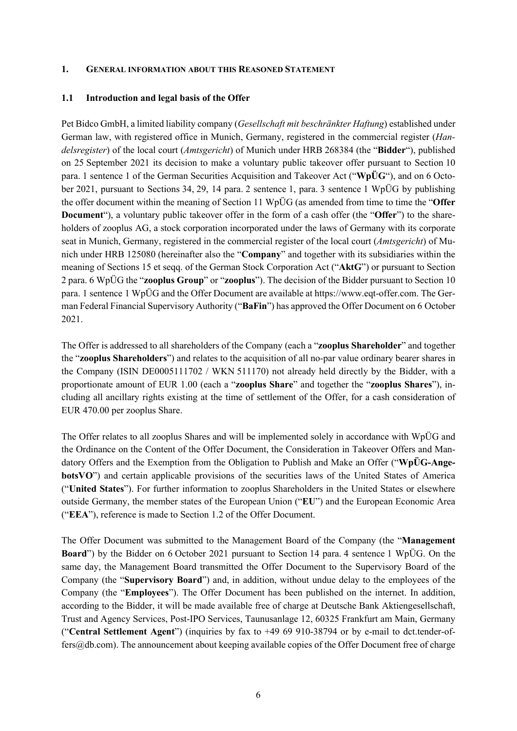#### **1. GENERAL INFORMATION ABOUT THIS REASONED STATEMENT**

#### **1.1 Introduction and legal basis of the Offer**

Pet Bidco GmbH, a limited liability company (*Gesellschaft mit beschränkter Haftung*) established under German law, with registered office in Munich, Germany, registered in the commercial register (*Handelsregister*) of the local court (*Amtsgericht*) of Munich under HRB 268384 (the "**Bidder**"), published on 25 September 2021 its decision to make a voluntary public takeover offer pursuant to Section 10 para. 1 sentence 1 of the German Securities Acquisition and Takeover Act ("**WpÜG**"), and on 6 October 2021, pursuant to Sections 34, 29, 14 para. 2 sentence 1, para. 3 sentence 1 WpÜG by publishing the offer document within the meaning of Section 11 WpÜG (as amended from time to time the "**Offer Document**"), a voluntary public takeover offer in the form of a cash offer (the "**Offer**") to the shareholders of zooplus AG, a stock corporation incorporated under the laws of Germany with its corporate seat in Munich, Germany, registered in the commercial register of the local court (*Amtsgericht*) of Munich under HRB 125080 (hereinafter also the "**Company**" and together with its subsidiaries within the meaning of Sections 15 et seqq. of the German Stock Corporation Act ("**AktG**") or pursuant to Section 2 para. 6 WpÜG the "**zooplus Group**" or "**zooplus**"). The decision of the Bidder pursuant to Section 10 para. 1 sentence 1 WpÜG and the Offer Document are available at https://www.eqt-offer.com. The German Federal Financial Supervisory Authority ("**BaFin**") has approved the Offer Document on 6 October 2021.

The Offer is addressed to all shareholders of the Company (each a "**zooplus Shareholder**" and together the "**zooplus Shareholders**") and relates to the acquisition of all no-par value ordinary bearer shares in the Company (ISIN DE0005111702 / WKN 511170) not already held directly by the Bidder, with a proportionate amount of EUR 1.00 (each a "**zooplus Share**" and together the "**zooplus Shares**"), including all ancillary rights existing at the time of settlement of the Offer, for a cash consideration of EUR 470.00 per zooplus Share.

The Offer relates to all zooplus Shares and will be implemented solely in accordance with WpÜG and the Ordinance on the Content of the Offer Document, the Consideration in Takeover Offers and Mandatory Offers and the Exemption from the Obligation to Publish and Make an Offer ("**WpÜG-AngebotsVO**") and certain applicable provisions of the securities laws of the United States of America ("**United States**"). For further information to zooplus Shareholders in the United States or elsewhere outside Germany, the member states of the European Union ("**EU**") and the European Economic Area ("**EEA**"), reference is made to Section 1.2 of the Offer Document.

The Offer Document was submitted to the Management Board of the Company (the "**Management Board**") by the Bidder on 6 October 2021 pursuant to Section 14 para. 4 sentence 1 WpÜG. On the same day, the Management Board transmitted the Offer Document to the Supervisory Board of the Company (the "**Supervisory Board**") and, in addition, without undue delay to the employees of the Company (the "**Employees**"). The Offer Document has been published on the internet. In addition, according to the Bidder, it will be made available free of charge at Deutsche Bank Aktiengesellschaft, Trust and Agency Services, Post-IPO Services, Taunusanlage 12, 60325 Frankfurt am Main, Germany ("**Central Settlement Agent**") (inquiries by fax to +49 69 910-38794 or by e-mail to dct.tender-offers@db.com). The announcement about keeping available copies of the Offer Document free of charge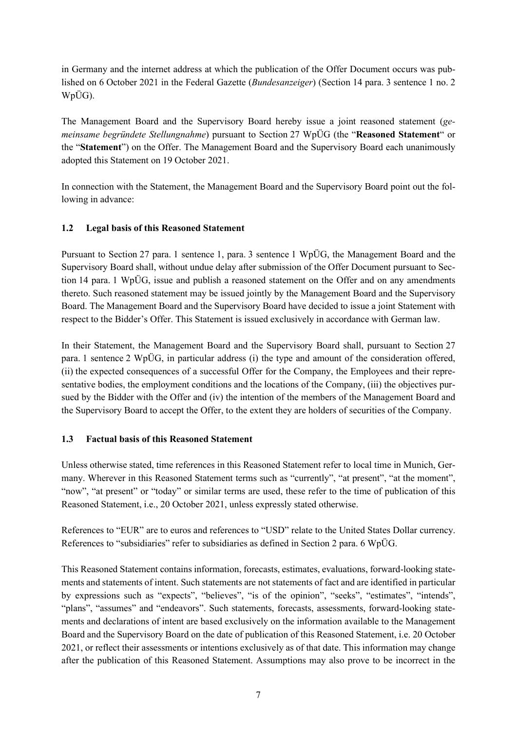in Germany and the internet address at which the publication of the Offer Document occurs was published on 6 October 2021 in the Federal Gazette (*Bundesanzeiger*) (Section 14 para. 3 sentence 1 no. 2 WpÜG).

The Management Board and the Supervisory Board hereby issue a joint reasoned statement (*gemeinsame begründete Stellungnahme*) pursuant to Section 27 WpÜG (the "**Reasoned Statement**" or the "**Statement**") on the Offer. The Management Board and the Supervisory Board each unanimously adopted this Statement on 19 October 2021.

In connection with the Statement, the Management Board and the Supervisory Board point out the following in advance:

### **1.2 Legal basis of this Reasoned Statement**

Pursuant to Section 27 para. 1 sentence 1, para. 3 sentence 1 WpÜG, the Management Board and the Supervisory Board shall, without undue delay after submission of the Offer Document pursuant to Section 14 para. 1 WpÜG, issue and publish a reasoned statement on the Offer and on any amendments thereto. Such reasoned statement may be issued jointly by the Management Board and the Supervisory Board. The Management Board and the Supervisory Board have decided to issue a joint Statement with respect to the Bidder's Offer. This Statement is issued exclusively in accordance with German law.

In their Statement, the Management Board and the Supervisory Board shall, pursuant to Section 27 para. 1 sentence 2 WpÜG, in particular address (i) the type and amount of the consideration offered, (ii) the expected consequences of a successful Offer for the Company, the Employees and their representative bodies, the employment conditions and the locations of the Company, (iii) the objectives pursued by the Bidder with the Offer and (iv) the intention of the members of the Management Board and the Supervisory Board to accept the Offer, to the extent they are holders of securities of the Company.

### **1.3 Factual basis of this Reasoned Statement**

Unless otherwise stated, time references in this Reasoned Statement refer to local time in Munich, Germany. Wherever in this Reasoned Statement terms such as "currently", "at present", "at the moment", "now", "at present" or "today" or similar terms are used, these refer to the time of publication of this Reasoned Statement, i.e., 20 October 2021, unless expressly stated otherwise.

References to "EUR" are to euros and references to "USD" relate to the United States Dollar currency. References to "subsidiaries" refer to subsidiaries as defined in Section 2 para. 6 WpÜG.

This Reasoned Statement contains information, forecasts, estimates, evaluations, forward-looking statements and statements of intent. Such statements are not statements of fact and are identified in particular by expressions such as "expects", "believes", "is of the opinion", "seeks", "estimates", "intends", "plans", "assumes" and "endeavors". Such statements, forecasts, assessments, forward-looking statements and declarations of intent are based exclusively on the information available to the Management Board and the Supervisory Board on the date of publication of this Reasoned Statement, i.e. 20 October 2021, or reflect their assessments or intentions exclusively as of that date. This information may change after the publication of this Reasoned Statement. Assumptions may also prove to be incorrect in the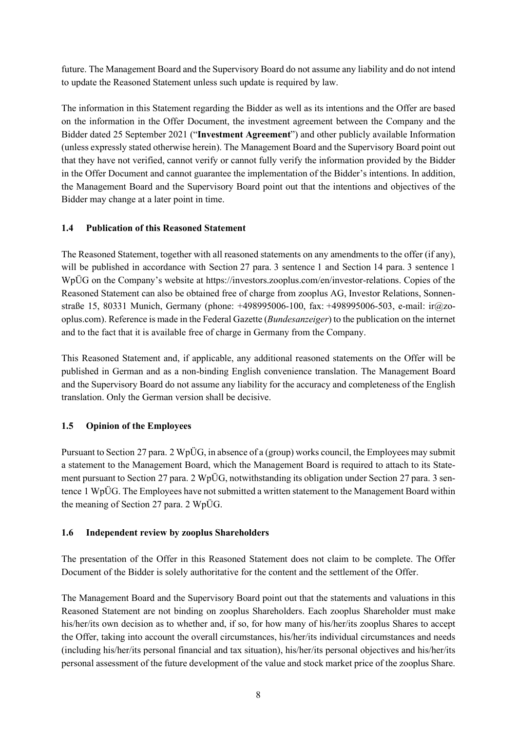future. The Management Board and the Supervisory Board do not assume any liability and do not intend to update the Reasoned Statement unless such update is required by law.

The information in this Statement regarding the Bidder as well as its intentions and the Offer are based on the information in the Offer Document, the investment agreement between the Company and the Bidder dated 25 September 2021 ("**Investment Agreement**") and other publicly available Information (unless expressly stated otherwise herein). The Management Board and the Supervisory Board point out that they have not verified, cannot verify or cannot fully verify the information provided by the Bidder in the Offer Document and cannot guarantee the implementation of the Bidder's intentions. In addition, the Management Board and the Supervisory Board point out that the intentions and objectives of the Bidder may change at a later point in time.

## **1.4 Publication of this Reasoned Statement**

The Reasoned Statement, together with all reasoned statements on any amendments to the offer (if any), will be published in accordance with Section 27 para. 3 sentence 1 and Section 14 para. 3 sentence 1 WpÜG on the Company's website at https://investors.zooplus.com/en/investor-relations. Copies of the Reasoned Statement can also be obtained free of charge from zooplus AG, Investor Relations, Sonnenstraße 15, 80331 Munich, Germany (phone: +498995006-100, fax: +498995006-503, e-mail: ir@zooplus.com). Reference is made in the Federal Gazette (*Bundesanzeiger*) to the publication on the internet and to the fact that it is available free of charge in Germany from the Company.

This Reasoned Statement and, if applicable, any additional reasoned statements on the Offer will be published in German and as a non-binding English convenience translation. The Management Board and the Supervisory Board do not assume any liability for the accuracy and completeness of the English translation. Only the German version shall be decisive.

### **1.5 Opinion of the Employees**

Pursuant to Section 27 para. 2 WpÜG, in absence of a (group) works council, the Employees may submit a statement to the Management Board, which the Management Board is required to attach to its Statement pursuant to Section 27 para. 2 WpÜG, notwithstanding its obligation under Section 27 para. 3 sentence 1 WpÜG. The Employees have not submitted a written statement to the Management Board within the meaning of Section 27 para. 2 WpÜG.

### **1.6 Independent review by zooplus Shareholders**

The presentation of the Offer in this Reasoned Statement does not claim to be complete. The Offer Document of the Bidder is solely authoritative for the content and the settlement of the Offer.

The Management Board and the Supervisory Board point out that the statements and valuations in this Reasoned Statement are not binding on zooplus Shareholders. Each zooplus Shareholder must make his/her/its own decision as to whether and, if so, for how many of his/her/its zooplus Shares to accept the Offer, taking into account the overall circumstances, his/her/its individual circumstances and needs (including his/her/its personal financial and tax situation), his/her/its personal objectives and his/her/its personal assessment of the future development of the value and stock market price of the zooplus Share.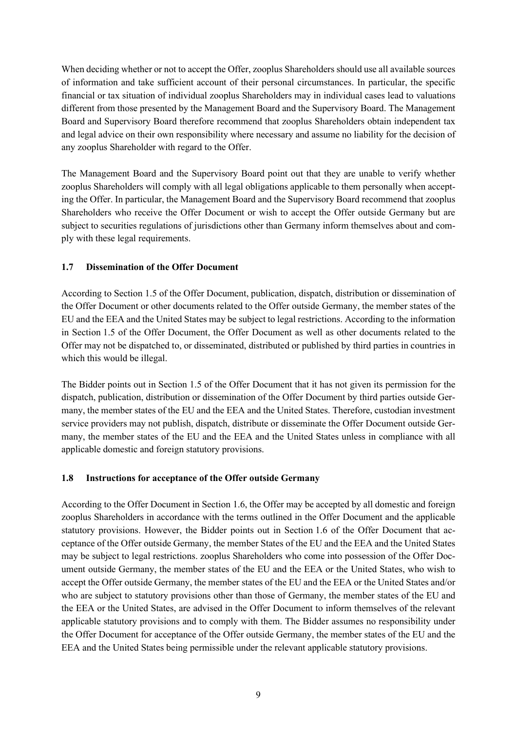When deciding whether or not to accept the Offer, zooplus Shareholders should use all available sources of information and take sufficient account of their personal circumstances. In particular, the specific financial or tax situation of individual zooplus Shareholders may in individual cases lead to valuations different from those presented by the Management Board and the Supervisory Board. The Management Board and Supervisory Board therefore recommend that zooplus Shareholders obtain independent tax and legal advice on their own responsibility where necessary and assume no liability for the decision of any zooplus Shareholder with regard to the Offer.

The Management Board and the Supervisory Board point out that they are unable to verify whether zooplus Shareholders will comply with all legal obligations applicable to them personally when accepting the Offer. In particular, the Management Board and the Supervisory Board recommend that zooplus Shareholders who receive the Offer Document or wish to accept the Offer outside Germany but are subject to securities regulations of jurisdictions other than Germany inform themselves about and comply with these legal requirements.

## **1.7 Dissemination of the Offer Document**

According to Section 1.5 of the Offer Document, publication, dispatch, distribution or dissemination of the Offer Document or other documents related to the Offer outside Germany, the member states of the EU and the EEA and the United States may be subject to legal restrictions. According to the information in Section 1.5 of the Offer Document, the Offer Document as well as other documents related to the Offer may not be dispatched to, or disseminated, distributed or published by third parties in countries in which this would be illegal.

The Bidder points out in Section 1.5 of the Offer Document that it has not given its permission for the dispatch, publication, distribution or dissemination of the Offer Document by third parties outside Germany, the member states of the EU and the EEA and the United States. Therefore, custodian investment service providers may not publish, dispatch, distribute or disseminate the Offer Document outside Germany, the member states of the EU and the EEA and the United States unless in compliance with all applicable domestic and foreign statutory provisions.

### **1.8 Instructions for acceptance of the Offer outside Germany**

According to the Offer Document in Section 1.6, the Offer may be accepted by all domestic and foreign zooplus Shareholders in accordance with the terms outlined in the Offer Document and the applicable statutory provisions. However, the Bidder points out in Section 1.6 of the Offer Document that acceptance of the Offer outside Germany, the member States of the EU and the EEA and the United States may be subject to legal restrictions. zooplus Shareholders who come into possession of the Offer Document outside Germany, the member states of the EU and the EEA or the United States, who wish to accept the Offer outside Germany, the member states of the EU and the EEA or the United States and/or who are subject to statutory provisions other than those of Germany, the member states of the EU and the EEA or the United States, are advised in the Offer Document to inform themselves of the relevant applicable statutory provisions and to comply with them. The Bidder assumes no responsibility under the Offer Document for acceptance of the Offer outside Germany, the member states of the EU and the EEA and the United States being permissible under the relevant applicable statutory provisions.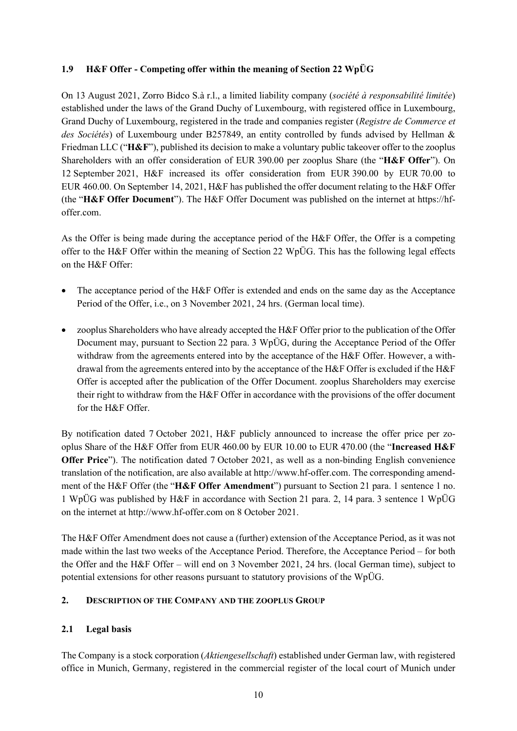## **1.9 H&F Offer - Competing offer within the meaning of Section 22 WpÜG**

On 13 August 2021, Zorro Bidco S.à r.l., a limited liability company (*société à responsabilité limitée*) established under the laws of the Grand Duchy of Luxembourg, with registered office in Luxembourg, Grand Duchy of Luxembourg, registered in the trade and companies register (*Registre de Commerce et des Sociétés*) of Luxembourg under B257849, an entity controlled by funds advised by Hellman & Friedman LLC ("**H&F**"), published its decision to make a voluntary public takeover offer to the zooplus Shareholders with an offer consideration of EUR 390.00 per zooplus Share (the "**H&F Offer**"). On 12 September 2021, H&F increased its offer consideration from EUR 390.00 by EUR 70.00 to EUR 460.00. On September 14, 2021, H&F has published the offer document relating to the H&F Offer (the "**H&F Offer Document**"). The H&F Offer Document was published on the internet at https://hfoffer.com.

As the Offer is being made during the acceptance period of the H&F Offer, the Offer is a competing offer to the H&F Offer within the meaning of Section 22 WpÜG. This has the following legal effects on the H&F Offer:

- The acceptance period of the H&F Offer is extended and ends on the same day as the Acceptance Period of the Offer, i.e., on 3 November 2021, 24 hrs. (German local time).
- zooplus Shareholders who have already accepted the H&F Offer prior to the publication of the Offer Document may, pursuant to Section 22 para. 3 WpÜG, during the Acceptance Period of the Offer withdraw from the agreements entered into by the acceptance of the H&F Offer. However, a withdrawal from the agreements entered into by the acceptance of the H&F Offer is excluded if the H&F Offer is accepted after the publication of the Offer Document. zooplus Shareholders may exercise their right to withdraw from the H&F Offer in accordance with the provisions of the offer document for the H&F Offer.

By notification dated 7 October 2021, H&F publicly announced to increase the offer price per zooplus Share of the H&F Offer from EUR 460.00 by EUR 10.00 to EUR 470.00 (the "**Increased H&F Offer Price**"). The notification dated 7 October 2021, as well as a non-binding English convenience translation of the notification, are also available at http://www.hf-offer.com. The corresponding amendment of the H&F Offer (the "**H&F Offer Amendment**") pursuant to Section 21 para. 1 sentence 1 no. 1 WpÜG was published by H&F in accordance with Section 21 para. 2, 14 para. 3 sentence 1 WpÜG on the internet at http://www.hf-offer.com on 8 October 2021.

The H&F Offer Amendment does not cause a (further) extension of the Acceptance Period, as it was not made within the last two weeks of the Acceptance Period. Therefore, the Acceptance Period – for both the Offer and the H&F Offer – will end on 3 November 2021, 24 hrs. (local German time), subject to potential extensions for other reasons pursuant to statutory provisions of the WpÜG.

## **2. DESCRIPTION OF THE COMPANY AND THE ZOOPLUS GROUP**

## **2.1 Legal basis**

The Company is a stock corporation (*Aktiengesellschaft*) established under German law, with registered office in Munich, Germany, registered in the commercial register of the local court of Munich under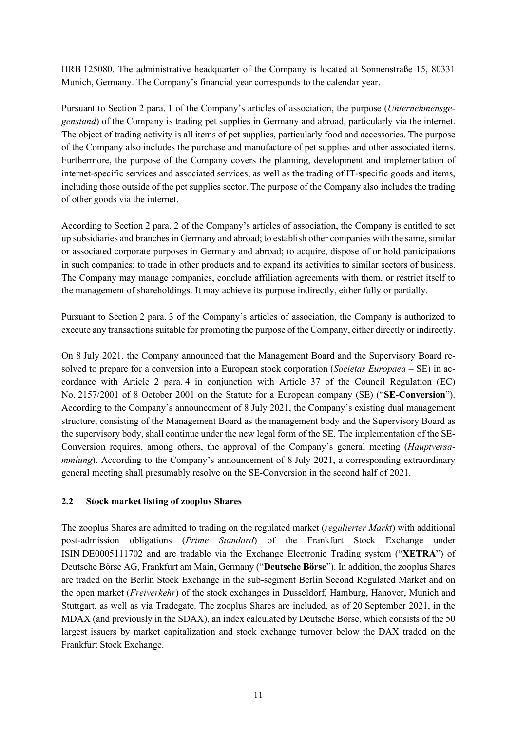HRB 125080. The administrative headquarter of the Company is located at Sonnenstraße 15, 80331 Munich, Germany. The Company's financial year corresponds to the calendar year.

Pursuant to Section 2 para. 1 of the Company's articles of association, the purpose (*Unternehmensgegenstand*) of the Company is trading pet supplies in Germany and abroad, particularly via the internet. The object of trading activity is all items of pet supplies, particularly food and accessories. The purpose of the Company also includes the purchase and manufacture of pet supplies and other associated items. Furthermore, the purpose of the Company covers the planning, development and implementation of internet-specific services and associated services, as well as the trading of IT-specific goods and items, including those outside of the pet supplies sector. The purpose of the Company also includes the trading of other goods via the internet.

According to Section 2 para. 2 of the Company's articles of association, the Company is entitled to set up subsidiaries and branches in Germany and abroad; to establish other companies with the same, similar or associated corporate purposes in Germany and abroad; to acquire, dispose of or hold participations in such companies; to trade in other products and to expand its activities to similar sectors of business. The Company may manage companies, conclude affiliation agreements with them, or restrict itself to the management of shareholdings. It may achieve its purpose indirectly, either fully or partially.

Pursuant to Section 2 para. 3 of the Company's articles of association, the Company is authorized to execute any transactions suitable for promoting the purpose of the Company, either directly or indirectly.

On 8 July 2021, the Company announced that the Management Board and the Supervisory Board resolved to prepare for a conversion into a European stock corporation (*Societas Europaea* – SE) in accordance with Article 2 para. 4 in conjunction with Article 37 of the Council Regulation (EC) No. 2157/2001 of 8 October 2001 on the Statute for a European company (SE) ("**SE-Conversion**"). According to the Company's announcement of 8 July 2021, the Company's existing dual management structure, consisting of the Management Board as the management body and the Supervisory Board as the supervisory body, shall continue under the new legal form of the SE. The implementation of the SE-Conversion requires, among others, the approval of the Company's general meeting (*Hauptversammlung*). According to the Company's announcement of 8 July 2021, a corresponding extraordinary general meeting shall presumably resolve on the SE-Conversion in the second half of 2021.

### **2.2 Stock market listing of zooplus Shares**

The zooplus Shares are admitted to trading on the regulated market (*regulierter Markt*) with additional post-admission obligations (*Prime Standard*) of the Frankfurt Stock Exchange under ISIN DE0005111702 and are tradable via the Exchange Electronic Trading system ("**XETRA**") of Deutsche Börse AG, Frankfurt am Main, Germany ("**Deutsche Börse**"). In addition, the zooplus Shares are traded on the Berlin Stock Exchange in the sub-segment Berlin Second Regulated Market and on the open market (*Freiverkehr*) of the stock exchanges in Dusseldorf, Hamburg, Hanover, Munich and Stuttgart, as well as via Tradegate. The zooplus Shares are included, as of 20 September 2021, in the MDAX (and previously in the SDAX), an index calculated by Deutsche Börse, which consists of the 50 largest issuers by market capitalization and stock exchange turnover below the DAX traded on the Frankfurt Stock Exchange.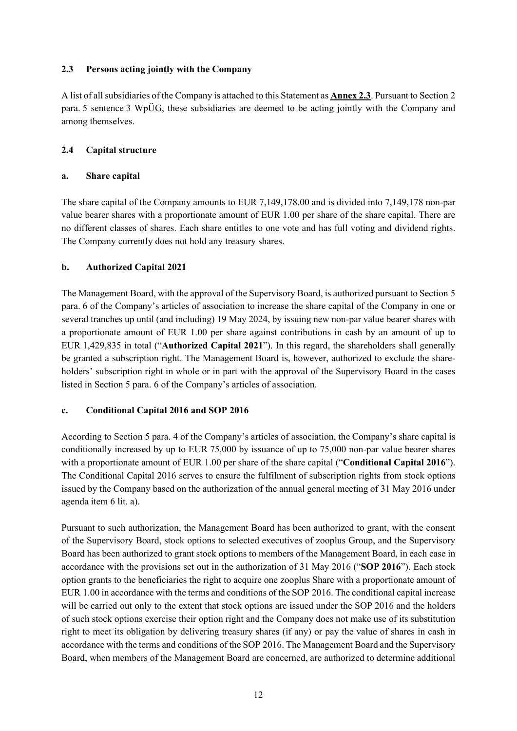## <span id="page-11-0"></span>**2.3 Persons acting jointly with the Company**

A list of all subsidiaries of the Company is attached to this Statement as **Anne[x 2.3](#page-11-0)**. Pursuant to Section 2 para. 5 sentence 3 WpÜG, these subsidiaries are deemed to be acting jointly with the Company and among themselves.

## **2.4 Capital structure**

## **a. Share capital**

The share capital of the Company amounts to EUR 7,149,178.00 and is divided into 7,149,178 non-par value bearer shares with a proportionate amount of EUR 1.00 per share of the share capital. There are no different classes of shares. Each share entitles to one vote and has full voting and dividend rights. The Company currently does not hold any treasury shares.

## **b. Authorized Capital 2021**

The Management Board, with the approval of the Supervisory Board, is authorized pursuant to Section 5 para. 6 of the Company's articles of association to increase the share capital of the Company in one or several tranches up until (and including) 19 May 2024, by issuing new non-par value bearer shares with a proportionate amount of EUR 1.00 per share against contributions in cash by an amount of up to EUR 1,429,835 in total ("**Authorized Capital 2021**"). In this regard, the shareholders shall generally be granted a subscription right. The Management Board is, however, authorized to exclude the shareholders' subscription right in whole or in part with the approval of the Supervisory Board in the cases listed in Section 5 para. 6 of the Company's articles of association.

## **c. Conditional Capital 2016 and SOP 2016**

According to Section 5 para. 4 of the Company's articles of association, the Company's share capital is conditionally increased by up to EUR 75,000 by issuance of up to 75,000 non-par value bearer shares with a proportionate amount of EUR 1.00 per share of the share capital ("**Conditional Capital 2016**"). The Conditional Capital 2016 serves to ensure the fulfilment of subscription rights from stock options issued by the Company based on the authorization of the annual general meeting of 31 May 2016 under agenda item 6 lit. a).

Pursuant to such authorization, the Management Board has been authorized to grant, with the consent of the Supervisory Board, stock options to selected executives of zooplus Group, and the Supervisory Board has been authorized to grant stock options to members of the Management Board, in each case in accordance with the provisions set out in the authorization of 31 May 2016 ("**SOP 2016**"). Each stock option grants to the beneficiaries the right to acquire one zooplus Share with a proportionate amount of EUR 1.00 in accordance with the terms and conditions of the SOP 2016. The conditional capital increase will be carried out only to the extent that stock options are issued under the SOP 2016 and the holders of such stock options exercise their option right and the Company does not make use of its substitution right to meet its obligation by delivering treasury shares (if any) or pay the value of shares in cash in accordance with the terms and conditions of the SOP 2016. The Management Board and the Supervisory Board, when members of the Management Board are concerned, are authorized to determine additional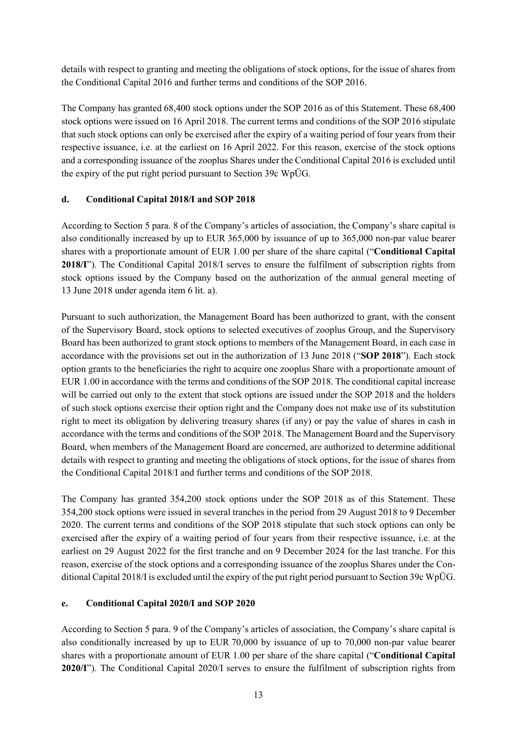details with respect to granting and meeting the obligations of stock options, for the issue of shares from the Conditional Capital 2016 and further terms and conditions of the SOP 2016.

The Company has granted 68,400 stock options under the SOP 2016 as of this Statement. These 68,400 stock options were issued on 16 April 2018. The current terms and conditions of the SOP 2016 stipulate that such stock options can only be exercised after the expiry of a waiting period of four years from their respective issuance, i.e. at the earliest on 16 April 2022. For this reason, exercise of the stock options and a corresponding issuance of the zooplus Shares under the Conditional Capital 2016 is excluded until the expiry of the put right period pursuant to Section 39c WpÜG.

## **d. Conditional Capital 2018/I and SOP 2018**

According to Section 5 para. 8 of the Company's articles of association, the Company's share capital is also conditionally increased by up to EUR 365,000 by issuance of up to 365,000 non-par value bearer shares with a proportionate amount of EUR 1.00 per share of the share capital ("**Conditional Capital 2018/I**"). The Conditional Capital 2018/I serves to ensure the fulfilment of subscription rights from stock options issued by the Company based on the authorization of the annual general meeting of 13 June 2018 under agenda item 6 lit. a).

Pursuant to such authorization, the Management Board has been authorized to grant, with the consent of the Supervisory Board, stock options to selected executives of zooplus Group, and the Supervisory Board has been authorized to grant stock options to members of the Management Board, in each case in accordance with the provisions set out in the authorization of 13 June 2018 ("**SOP 2018**"). Each stock option grants to the beneficiaries the right to acquire one zooplus Share with a proportionate amount of EUR 1.00 in accordance with the terms and conditions of the SOP 2018. The conditional capital increase will be carried out only to the extent that stock options are issued under the SOP 2018 and the holders of such stock options exercise their option right and the Company does not make use of its substitution right to meet its obligation by delivering treasury shares (if any) or pay the value of shares in cash in accordance with the terms and conditions of the SOP 2018. The Management Board and the Supervisory Board, when members of the Management Board are concerned, are authorized to determine additional details with respect to granting and meeting the obligations of stock options, for the issue of shares from the Conditional Capital 2018/I and further terms and conditions of the SOP 2018.

The Company has granted 354,200 stock options under the SOP 2018 as of this Statement. These 354,200 stock options were issued in several tranches in the period from 29 August 2018 to 9 December 2020. The current terms and conditions of the SOP 2018 stipulate that such stock options can only be exercised after the expiry of a waiting period of four years from their respective issuance, i.e. at the earliest on 29 August 2022 for the first tranche and on 9 December 2024 for the last tranche. For this reason, exercise of the stock options and a corresponding issuance of the zooplus Shares under the Conditional Capital 2018/I is excluded until the expiry of the put right period pursuant to Section 39c WpÜG.

## **e. Conditional Capital 2020/I and SOP 2020**

According to Section 5 para. 9 of the Company's articles of association, the Company's share capital is also conditionally increased by up to EUR 70,000 by issuance of up to 70,000 non-par value bearer shares with a proportionate amount of EUR 1.00 per share of the share capital ("**Conditional Capital 2020/I**"). The Conditional Capital 2020/I serves to ensure the fulfilment of subscription rights from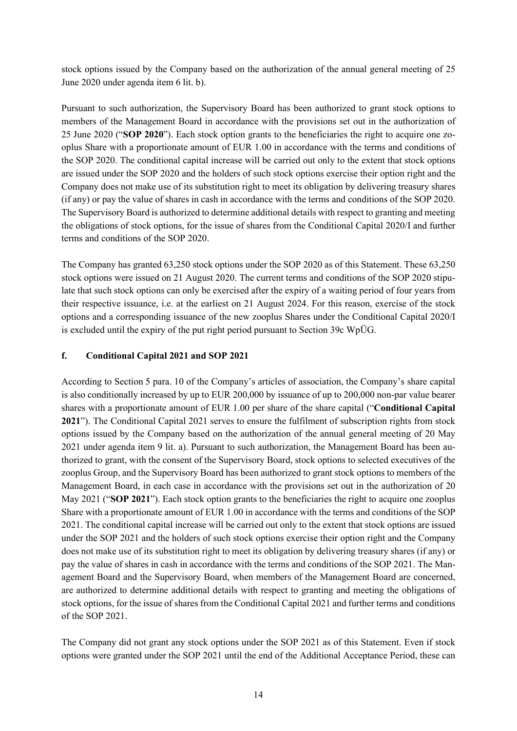stock options issued by the Company based on the authorization of the annual general meeting of 25 June 2020 under agenda item 6 lit. b).

Pursuant to such authorization, the Supervisory Board has been authorized to grant stock options to members of the Management Board in accordance with the provisions set out in the authorization of 25 June 2020 ("**SOP 2020**"). Each stock option grants to the beneficiaries the right to acquire one zooplus Share with a proportionate amount of EUR 1.00 in accordance with the terms and conditions of the SOP 2020. The conditional capital increase will be carried out only to the extent that stock options are issued under the SOP 2020 and the holders of such stock options exercise their option right and the Company does not make use of its substitution right to meet its obligation by delivering treasury shares (if any) or pay the value of shares in cash in accordance with the terms and conditions of the SOP 2020. The Supervisory Board is authorized to determine additional details with respect to granting and meeting the obligations of stock options, for the issue of shares from the Conditional Capital 2020/I and further terms and conditions of the SOP 2020.

The Company has granted 63,250 stock options under the SOP 2020 as of this Statement. These 63,250 stock options were issued on 21 August 2020. The current terms and conditions of the SOP 2020 stipulate that such stock options can only be exercised after the expiry of a waiting period of four years from their respective issuance, i.e. at the earliest on 21 August 2024. For this reason, exercise of the stock options and a corresponding issuance of the new zooplus Shares under the Conditional Capital 2020/I is excluded until the expiry of the put right period pursuant to Section 39c WpÜG.

#### **f. Conditional Capital 2021 and SOP 2021**

According to Section 5 para. 10 of the Company's articles of association, the Company's share capital is also conditionally increased by up to EUR 200,000 by issuance of up to 200,000 non-par value bearer shares with a proportionate amount of EUR 1.00 per share of the share capital ("**Conditional Capital 2021**"). The Conditional Capital 2021 serves to ensure the fulfilment of subscription rights from stock options issued by the Company based on the authorization of the annual general meeting of 20 May 2021 under agenda item 9 lit. a). Pursuant to such authorization, the Management Board has been authorized to grant, with the consent of the Supervisory Board, stock options to selected executives of the zooplus Group, and the Supervisory Board has been authorized to grant stock options to members of the Management Board, in each case in accordance with the provisions set out in the authorization of 20 May 2021 ("**SOP 2021**"). Each stock option grants to the beneficiaries the right to acquire one zooplus Share with a proportionate amount of EUR 1.00 in accordance with the terms and conditions of the SOP 2021. The conditional capital increase will be carried out only to the extent that stock options are issued under the SOP 2021 and the holders of such stock options exercise their option right and the Company does not make use of its substitution right to meet its obligation by delivering treasury shares (if any) or pay the value of shares in cash in accordance with the terms and conditions of the SOP 2021. The Management Board and the Supervisory Board, when members of the Management Board are concerned, are authorized to determine additional details with respect to granting and meeting the obligations of stock options, for the issue of shares from the Conditional Capital 2021 and further terms and conditions of the SOP 2021.

The Company did not grant any stock options under the SOP 2021 as of this Statement. Even if stock options were granted under the SOP 2021 until the end of the Additional Acceptance Period, these can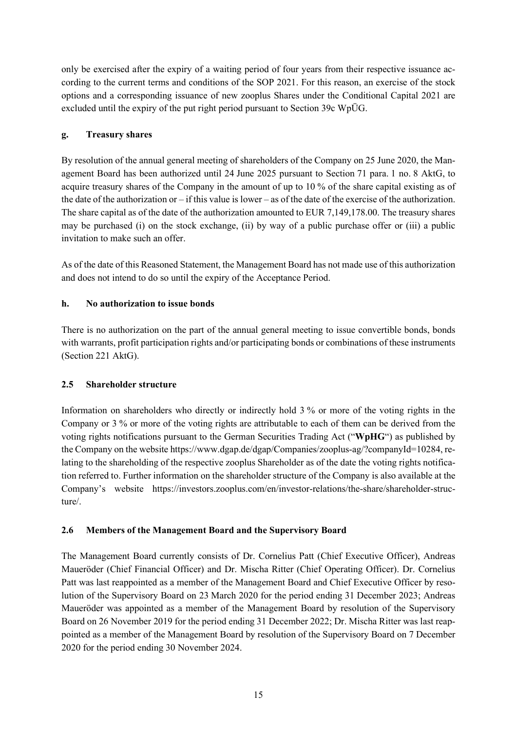only be exercised after the expiry of a waiting period of four years from their respective issuance according to the current terms and conditions of the SOP 2021. For this reason, an exercise of the stock options and a corresponding issuance of new zooplus Shares under the Conditional Capital 2021 are excluded until the expiry of the put right period pursuant to Section 39c WpÜG.

## **g. Treasury shares**

By resolution of the annual general meeting of shareholders of the Company on 25 June 2020, the Management Board has been authorized until 24 June 2025 pursuant to Section 71 para. 1 no. 8 AktG, to acquire treasury shares of the Company in the amount of up to 10 % of the share capital existing as of the date of the authorization or – if this value is lower – as of the date of the exercise of the authorization. The share capital as of the date of the authorization amounted to EUR 7,149,178.00. The treasury shares may be purchased (i) on the stock exchange, (ii) by way of a public purchase offer or (iii) a public invitation to make such an offer.

As of the date of this Reasoned Statement, the Management Board has not made use of this authorization and does not intend to do so until the expiry of the Acceptance Period.

## **h. No authorization to issue bonds**

There is no authorization on the part of the annual general meeting to issue convertible bonds, bonds with warrants, profit participation rights and/or participating bonds or combinations of these instruments (Section 221 AktG).

### **2.5 Shareholder structure**

Information on shareholders who directly or indirectly hold 3 % or more of the voting rights in the Company or 3 % or more of the voting rights are attributable to each of them can be derived from the voting rights notifications pursuant to the German Securities Trading Act ("**WpHG**") as published by the Company on the website https://www.dgap.de/dgap/Companies/zooplus-ag/?companyId=10284, relating to the shareholding of the respective zooplus Shareholder as of the date the voting rights notification referred to. Further information on the shareholder structure of the Company is also available at the Company's website https://investors.zooplus.com/en/investor-relations/the-share/shareholder-structure/.

### **2.6 Members of the Management Board and the Supervisory Board**

The Management Board currently consists of Dr. Cornelius Patt (Chief Executive Officer), Andreas Maueröder (Chief Financial Officer) and Dr. Mischa Ritter (Chief Operating Officer). Dr. Cornelius Patt was last reappointed as a member of the Management Board and Chief Executive Officer by resolution of the Supervisory Board on 23 March 2020 for the period ending 31 December 2023; Andreas Maueröder was appointed as a member of the Management Board by resolution of the Supervisory Board on 26 November 2019 for the period ending 31 December 2022; Dr. Mischa Ritter was last reappointed as a member of the Management Board by resolution of the Supervisory Board on 7 December 2020 for the period ending 30 November 2024.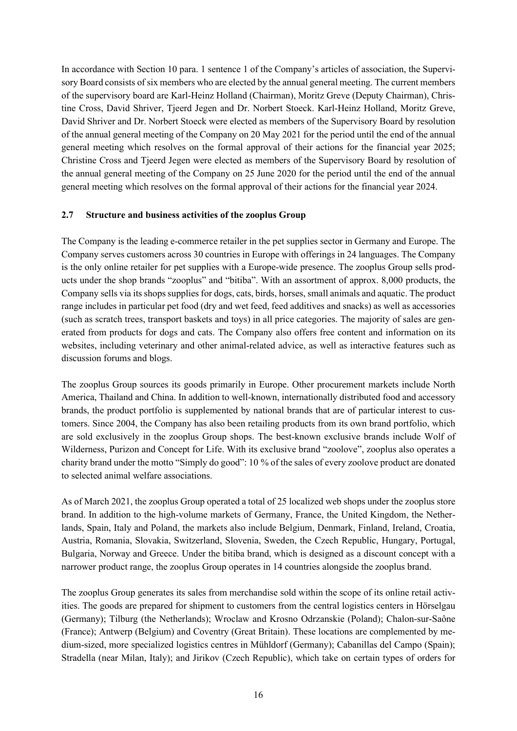In accordance with Section 10 para. 1 sentence 1 of the Company's articles of association, the Supervisory Board consists of six members who are elected by the annual general meeting. The current members of the supervisory board are Karl-Heinz Holland (Chairman), Moritz Greve (Deputy Chairman), Christine Cross, David Shriver, Tjeerd Jegen and Dr. Norbert Stoeck. Karl-Heinz Holland, Moritz Greve, David Shriver and Dr. Norbert Stoeck were elected as members of the Supervisory Board by resolution of the annual general meeting of the Company on 20 May 2021 for the period until the end of the annual general meeting which resolves on the formal approval of their actions for the financial year 2025; Christine Cross and Tjeerd Jegen were elected as members of the Supervisory Board by resolution of the annual general meeting of the Company on 25 June 2020 for the period until the end of the annual general meeting which resolves on the formal approval of their actions for the financial year 2024.

#### **2.7 Structure and business activities of the zooplus Group**

The Company is the leading e-commerce retailer in the pet supplies sector in Germany and Europe. The Company serves customers across 30 countries in Europe with offerings in 24 languages. The Company is the only online retailer for pet supplies with a Europe-wide presence. The zooplus Group sells products under the shop brands "zooplus" and "bitiba". With an assortment of approx. 8,000 products, the Company sells via its shops supplies for dogs, cats, birds, horses, small animals and aquatic. The product range includes in particular pet food (dry and wet feed, feed additives and snacks) as well as accessories (such as scratch trees, transport baskets and toys) in all price categories. The majority of sales are generated from products for dogs and cats. The Company also offers free content and information on its websites, including veterinary and other animal-related advice, as well as interactive features such as discussion forums and blogs.

The zooplus Group sources its goods primarily in Europe. Other procurement markets include North America, Thailand and China. In addition to well-known, internationally distributed food and accessory brands, the product portfolio is supplemented by national brands that are of particular interest to customers. Since 2004, the Company has also been retailing products from its own brand portfolio, which are sold exclusively in the zooplus Group shops. The best-known exclusive brands include Wolf of Wilderness, Purizon and Concept for Life. With its exclusive brand "zoolove", zooplus also operates a charity brand under the motto "Simply do good": 10 % of the sales of every zoolove product are donated to selected animal welfare associations.

As of March 2021, the zooplus Group operated a total of 25 localized web shops under the zooplus store brand. In addition to the high-volume markets of Germany, France, the United Kingdom, the Netherlands, Spain, Italy and Poland, the markets also include Belgium, Denmark, Finland, Ireland, Croatia, Austria, Romania, Slovakia, Switzerland, Slovenia, Sweden, the Czech Republic, Hungary, Portugal, Bulgaria, Norway and Greece. Under the bitiba brand, which is designed as a discount concept with a narrower product range, the zooplus Group operates in 14 countries alongside the zooplus brand.

The zooplus Group generates its sales from merchandise sold within the scope of its online retail activities. The goods are prepared for shipment to customers from the central logistics centers in Hörselgau (Germany); Tilburg (the Netherlands); Wroclaw and Krosno Odrzanskie (Poland); Chalon-sur-Saône (France); Antwerp (Belgium) and Coventry (Great Britain). These locations are complemented by medium-sized, more specialized logistics centres in Mühldorf (Germany); Cabanillas del Campo (Spain); Stradella (near Milan, Italy); and Jirikov (Czech Republic), which take on certain types of orders for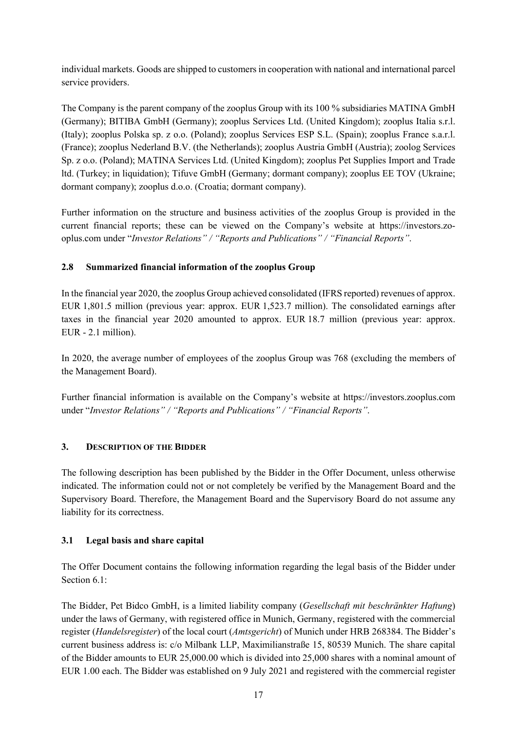individual markets. Goods are shipped to customers in cooperation with national and international parcel service providers.

The Company is the parent company of the zooplus Group with its 100 % subsidiaries MATINA GmbH (Germany); BITIBA GmbH (Germany); zooplus Services Ltd. (United Kingdom); zooplus Italia s.r.l. (Italy); zooplus Polska sp. z o.o. (Poland); zooplus Services ESP S.L. (Spain); zooplus France s.a.r.l. (France); zooplus Nederland B.V. (the Netherlands); zooplus Austria GmbH (Austria); zoolog Services Sp. z o.o. (Poland); MATINA Services Ltd. (United Kingdom); zooplus Pet Supplies Import and Trade ltd. (Turkey; in liquidation); Tifuve GmbH (Germany; dormant company); zooplus EE TOV (Ukraine; dormant company); zooplus d.o.o. (Croatia; dormant company).

Further information on the structure and business activities of the zooplus Group is provided in the current financial reports; these can be viewed on the Company's website at https://investors.zooplus.com under "*Investor Relations" / "Reports and Publications" / "Financial Reports"*.

## **2.8 Summarized financial information of the zooplus Group**

In the financial year 2020, the zooplus Group achieved consolidated (IFRS reported) revenues of approx. EUR 1,801.5 million (previous year: approx. EUR 1,523.7 million). The consolidated earnings after taxes in the financial year 2020 amounted to approx. EUR 18.7 million (previous year: approx. EUR - 2.1 million).

In 2020, the average number of employees of the zooplus Group was 768 (excluding the members of the Management Board).

Further financial information is available on the Company's website at https://investors.zooplus.com under "*Investor Relations" / "Reports and Publications" / "Financial Reports"*.

## **3. DESCRIPTION OF THE BIDDER**

The following description has been published by the Bidder in the Offer Document, unless otherwise indicated. The information could not or not completely be verified by the Management Board and the Supervisory Board. Therefore, the Management Board and the Supervisory Board do not assume any liability for its correctness.

## **3.1 Legal basis and share capital**

The Offer Document contains the following information regarding the legal basis of the Bidder under Section 6.1:

The Bidder, Pet Bidco GmbH, is a limited liability company (*Gesellschaft mit beschränkter Haftung*) under the laws of Germany, with registered office in Munich, Germany, registered with the commercial register (*Handelsregister*) of the local court (*Amtsgericht*) of Munich under HRB 268384. The Bidder's current business address is: c/o Milbank LLP, Maximilianstraße 15, 80539 Munich. The share capital of the Bidder amounts to EUR 25,000.00 which is divided into 25,000 shares with a nominal amount of EUR 1.00 each. The Bidder was established on 9 July 2021 and registered with the commercial register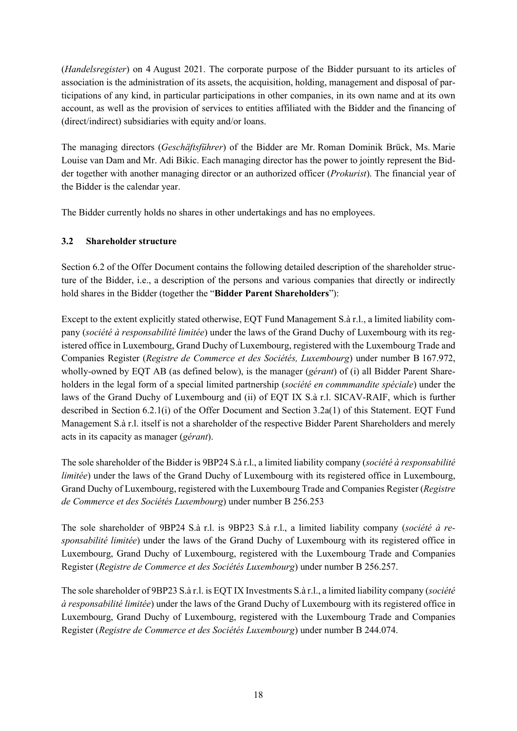(*Handelsregister*) on 4 August 2021. The corporate purpose of the Bidder pursuant to its articles of association is the administration of its assets, the acquisition, holding, management and disposal of participations of any kind, in particular participations in other companies, in its own name and at its own account, as well as the provision of services to entities affiliated with the Bidder and the financing of (direct/indirect) subsidiaries with equity and/or loans.

The managing directors (*Geschäftsführer*) of the Bidder are Mr. Roman Dominik Brück, Ms. Marie Louise van Dam and Mr. Adi Bikic. Each managing director has the power to jointly represent the Bidder together with another managing director or an authorized officer (*Prokurist*). The financial year of the Bidder is the calendar year.

The Bidder currently holds no shares in other undertakings and has no employees.

## **3.2 Shareholder structure**

Section 6.2 of the Offer Document contains the following detailed description of the shareholder structure of the Bidder, i.e., a description of the persons and various companies that directly or indirectly hold shares in the Bidder (together the "**Bidder Parent Shareholders**"):

Except to the extent explicitly stated otherwise, EQT Fund Management S.à r.l., a limited liability company (*société à responsabilité limitée*) under the laws of the Grand Duchy of Luxembourg with its registered office in Luxembourg, Grand Duchy of Luxembourg, registered with the Luxembourg Trade and Companies Register (*Registre de Commerce et des Sociétés, Luxembourg*) under number B 167.972, wholly-owned by EQT AB (as defined below), is the manager (*gérant*) of (i) all Bidder Parent Shareholders in the legal form of a special limited partnership (*société en commmandite spéciale*) under the laws of the Grand Duchy of Luxembourg and (ii) of EQT IX S.à r.l. SICAV-RAIF, which is further described in Section 6.2.1(i) of the Offer Document and Section [3.2a\(1\)](#page-18-0) of this Statement. EQT Fund Management S.à r.l. itself is not a shareholder of the respective Bidder Parent Shareholders and merely acts in its capacity as manager (*gérant*).

The sole shareholder of the Bidder is 9BP24 S.à r.l., a limited liability company (*société à responsabilité limitée*) under the laws of the Grand Duchy of Luxembourg with its registered office in Luxembourg, Grand Duchy of Luxembourg, registered with the Luxembourg Trade and Companies Register (*Registre de Commerce et des Sociétés Luxembourg*) under number B 256.253

The sole shareholder of 9BP24 S.à r.l. is 9BP23 S.à r.l., a limited liability company (*société à responsabilité limitée*) under the laws of the Grand Duchy of Luxembourg with its registered office in Luxembourg, Grand Duchy of Luxembourg, registered with the Luxembourg Trade and Companies Register (*Registre de Commerce et des Sociétés Luxembourg*) under number B 256.257.

The sole shareholder of 9BP23 S.à r.l. is EQT IX Investments S.à r.l., a limited liability company (*société à responsabilité limitée*) under the laws of the Grand Duchy of Luxembourg with its registered office in Luxembourg, Grand Duchy of Luxembourg, registered with the Luxembourg Trade and Companies Register (*Registre de Commerce et des Sociétés Luxembourg*) under number B 244.074.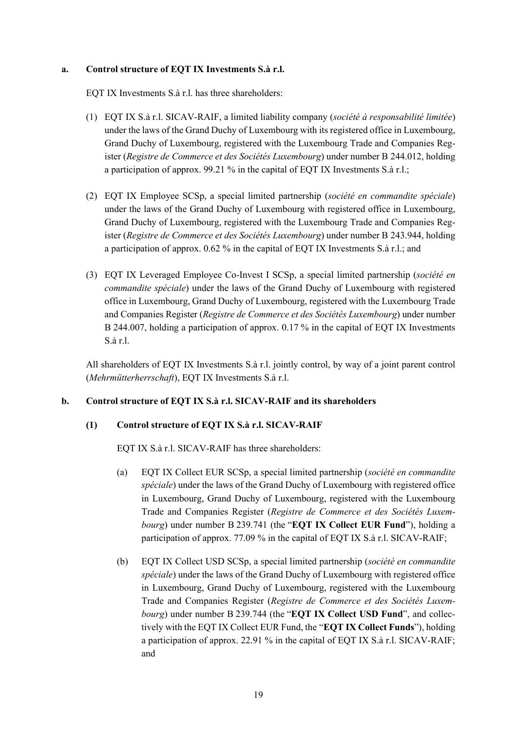#### **a. Control structure of EQT IX Investments S.à r.l.**

EQT IX Investments S.à r.l. has three shareholders:

- <span id="page-18-0"></span>(1) EQT IX S.à r.l. SICAV-RAIF, a limited liability company (*société à responsabilité limitée*) under the laws of the Grand Duchy of Luxembourg with its registered office in Luxembourg, Grand Duchy of Luxembourg, registered with the Luxembourg Trade and Companies Register (*Registre de Commerce et des Sociétés Luxembourg*) under number B 244.012, holding a participation of approx. 99.21 % in the capital of EQT IX Investments S.à r.l.;
- (2) EQT IX Employee SCSp, a special limited partnership (*société en commandite spéciale*) under the laws of the Grand Duchy of Luxembourg with registered office in Luxembourg, Grand Duchy of Luxembourg, registered with the Luxembourg Trade and Companies Register (*Registre de Commerce et des Sociétés Luxembourg*) under number B 243.944, holding a participation of approx. 0.62 % in the capital of EQT IX Investments S.à r.l.; and
- (3) EQT IX Leveraged Employee Co-Invest I SCSp, a special limited partnership (*société en commandite spéciale*) under the laws of the Grand Duchy of Luxembourg with registered office in Luxembourg, Grand Duchy of Luxembourg, registered with the Luxembourg Trade and Companies Register (*Registre de Commerce et des Sociétés Luxembourg*) under number B 244.007, holding a participation of approx. 0.17 % in the capital of EQT IX Investments S.à r.l.

All shareholders of EQT IX Investments S.à r.l. jointly control, by way of a joint parent control (*Mehrmütterherrschaft*), EQT IX Investments S.à r.l.

### **b. Control structure of EQT IX S.à r.l. SICAV-RAIF and its shareholders**

#### **(1) Control structure of EQT IX S.à r.l. SICAV-RAIF**

EQT IX S.à r.l. SICAV-RAIF has three shareholders:

- (a) EQT IX Collect EUR SCSp, a special limited partnership (*société en commandite spéciale*) under the laws of the Grand Duchy of Luxembourg with registered office in Luxembourg, Grand Duchy of Luxembourg, registered with the Luxembourg Trade and Companies Register (*Registre de Commerce et des Sociétés Luxembourg*) under number B 239.741 (the "**EQT IX Collect EUR Fund**"), holding a participation of approx. 77.09 % in the capital of EQT IX S.à r.l. SICAV-RAIF;
- (b) EQT IX Collect USD SCSp, a special limited partnership (*société en commandite spéciale*) under the laws of the Grand Duchy of Luxembourg with registered office in Luxembourg, Grand Duchy of Luxembourg, registered with the Luxembourg Trade and Companies Register (*Registre de Commerce et des Sociétés Luxembourg*) under number B 239.744 (the "**EQT IX Collect USD Fund**", and collectively with the EQT IX Collect EUR Fund, the "**EQT IX Collect Funds**"), holding a participation of approx. 22.91 % in the capital of EQT IX S.à r.l. SICAV-RAIF; and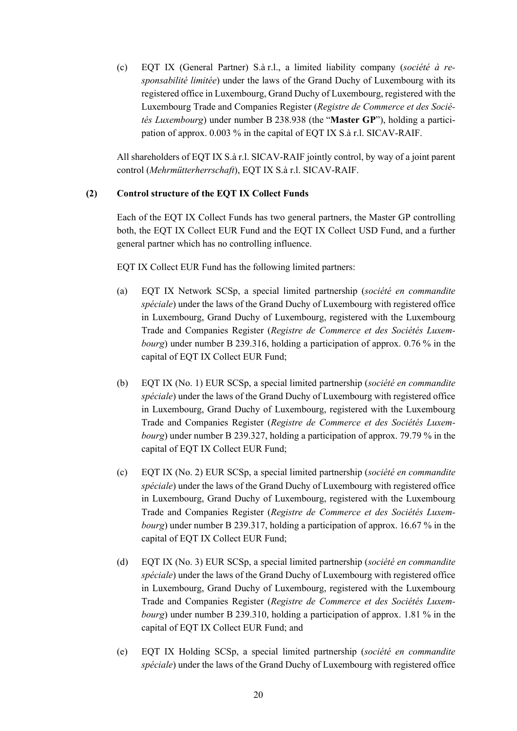(c) EQT IX (General Partner) S.à r.l., a limited liability company (*société à responsabilité limitée*) under the laws of the Grand Duchy of Luxembourg with its registered office in Luxembourg, Grand Duchy of Luxembourg, registered with the Luxembourg Trade and Companies Register (*Registre de Commerce et des Sociétés Luxembourg*) under number B 238.938 (the "**Master GP**"), holding a participation of approx. 0.003 % in the capital of EQT IX S.à r.l. SICAV-RAIF.

All shareholders of EQT IX S.à r.l. SICAV-RAIF jointly control, by way of a joint parent control (*Mehrmütterherrschaft*), EQT IX S.à r.l. SICAV-RAIF.

### **(2) Control structure of the EQT IX Collect Funds**

Each of the EQT IX Collect Funds has two general partners, the Master GP controlling both, the EQT IX Collect EUR Fund and the EQT IX Collect USD Fund, and a further general partner which has no controlling influence.

EQT IX Collect EUR Fund has the following limited partners:

- (a) EQT IX Network SCSp, a special limited partnership (*société en commandite spéciale*) under the laws of the Grand Duchy of Luxembourg with registered office in Luxembourg, Grand Duchy of Luxembourg, registered with the Luxembourg Trade and Companies Register (*Registre de Commerce et des Sociétés Luxembourg*) under number B 239.316, holding a participation of approx. 0.76 % in the capital of EQT IX Collect EUR Fund;
- (b) EQT IX (No. 1) EUR SCSp, a special limited partnership (*société en commandite spéciale*) under the laws of the Grand Duchy of Luxembourg with registered office in Luxembourg, Grand Duchy of Luxembourg, registered with the Luxembourg Trade and Companies Register (*Registre de Commerce et des Sociétés Luxembourg*) under number B 239.327, holding a participation of approx. 79.79 % in the capital of EQT IX Collect EUR Fund;
- (c) EQT IX (No. 2) EUR SCSp, a special limited partnership (*société en commandite spéciale*) under the laws of the Grand Duchy of Luxembourg with registered office in Luxembourg, Grand Duchy of Luxembourg, registered with the Luxembourg Trade and Companies Register (*Registre de Commerce et des Sociétés Luxembourg*) under number B 239.317, holding a participation of approx. 16.67 % in the capital of EQT IX Collect EUR Fund;
- (d) EQT IX (No. 3) EUR SCSp, a special limited partnership (*société en commandite spéciale*) under the laws of the Grand Duchy of Luxembourg with registered office in Luxembourg, Grand Duchy of Luxembourg, registered with the Luxembourg Trade and Companies Register (*Registre de Commerce et des Sociétés Luxembourg*) under number B 239.310, holding a participation of approx. 1.81 % in the capital of EQT IX Collect EUR Fund; and
- (e) EQT IX Holding SCSp, a special limited partnership (*société en commandite spéciale*) under the laws of the Grand Duchy of Luxembourg with registered office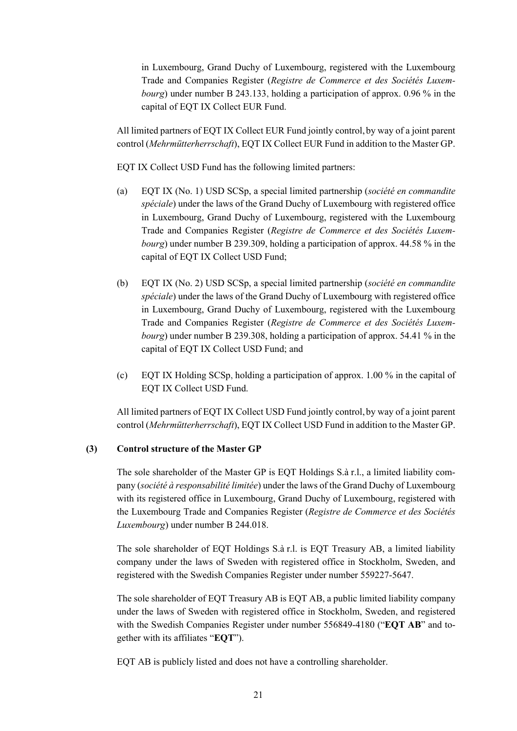in Luxembourg, Grand Duchy of Luxembourg, registered with the Luxembourg Trade and Companies Register (*Registre de Commerce et des Sociétés Luxembourg*) under number B 243.133, holding a participation of approx. 0.96 % in the capital of EQT IX Collect EUR Fund.

All limited partners of EQT IX Collect EUR Fund jointly control, by way of a joint parent control (*Mehrmütterherrschaft*), EQT IX Collect EUR Fund in addition to the Master GP.

EQT IX Collect USD Fund has the following limited partners:

- (a) EQT IX (No. 1) USD SCSp, a special limited partnership (*société en commandite spéciale*) under the laws of the Grand Duchy of Luxembourg with registered office in Luxembourg, Grand Duchy of Luxembourg, registered with the Luxembourg Trade and Companies Register (*Registre de Commerce et des Sociétés Luxembourg*) under number B 239.309, holding a participation of approx. 44.58 % in the capital of EQT IX Collect USD Fund;
- (b) EQT IX (No. 2) USD SCSp, a special limited partnership (*société en commandite spéciale*) under the laws of the Grand Duchy of Luxembourg with registered office in Luxembourg, Grand Duchy of Luxembourg, registered with the Luxembourg Trade and Companies Register (*Registre de Commerce et des Sociétés Luxembourg*) under number B 239.308, holding a participation of approx. 54.41 % in the capital of EQT IX Collect USD Fund; and
- (c) EQT IX Holding SCSp, holding a participation of approx. 1.00 % in the capital of EQT IX Collect USD Fund.

All limited partners of EQT IX Collect USD Fund jointly control, by way of a joint parent control (*Mehrmütterherrschaft*), EQT IX Collect USD Fund in addition to the Master GP.

### **(3) Control structure of the Master GP**

The sole shareholder of the Master GP is EQT Holdings S.à r.l., a limited liability company (*société à responsabilité limitée*) under the laws of the Grand Duchy of Luxembourg with its registered office in Luxembourg, Grand Duchy of Luxembourg, registered with the Luxembourg Trade and Companies Register (*Registre de Commerce et des Sociétés Luxembourg*) under number B 244.018.

The sole shareholder of EQT Holdings S.à r.l. is EQT Treasury AB, a limited liability company under the laws of Sweden with registered office in Stockholm, Sweden, and registered with the Swedish Companies Register under number 559227-5647.

The sole shareholder of EQT Treasury AB is EQT AB, a public limited liability company under the laws of Sweden with registered office in Stockholm, Sweden, and registered with the Swedish Companies Register under number 556849-4180 ("**EQT AB**" and together with its affiliates "**EQT**").

EQT AB is publicly listed and does not have a controlling shareholder.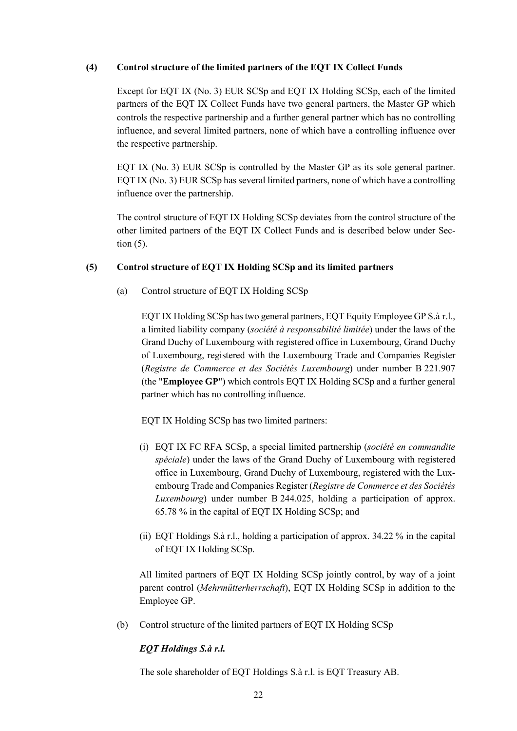#### **(4) Control structure of the limited partners of the EQT IX Collect Funds**

Except for EQT IX (No. 3) EUR SCSp and EQT IX Holding SCSp, each of the limited partners of the EQT IX Collect Funds have two general partners, the Master GP which controls the respective partnership and a further general partner which has no controlling influence, and several limited partners, none of which have a controlling influence over the respective partnership.

EQT IX (No. 3) EUR SCSp is controlled by the Master GP as its sole general partner. EQT IX (No. 3) EUR SCSp has several limited partners, none of which have a controlling influence over the partnership.

The control structure of EQT IX Holding SCSp deviates from the control structure of the other limited partners of the EQT IX Collect Funds and is described below under Section [\(5\).](#page-21-0)

#### <span id="page-21-0"></span>**(5) Control structure of EQT IX Holding SCSp and its limited partners**

(a) Control structure of EQT IX Holding SCSp

EQT IX Holding SCSp has two general partners, EQT Equity Employee GP S.à r.l., a limited liability company (*société à responsabilité limitée*) under the laws of the Grand Duchy of Luxembourg with registered office in Luxembourg, Grand Duchy of Luxembourg, registered with the Luxembourg Trade and Companies Register (*Registre de Commerce et des Sociétés Luxembourg*) under number B 221.907 (the "**Employee GP**") which controls EQT IX Holding SCSp and a further general partner which has no controlling influence.

EQT IX Holding SCSp has two limited partners:

- (i) EQT IX FC RFA SCSp, a special limited partnership (*société en commandite spéciale*) under the laws of the Grand Duchy of Luxembourg with registered office in Luxembourg, Grand Duchy of Luxembourg, registered with the Luxembourg Trade and Companies Register (*Registre de Commerce et des Sociétés Luxembourg*) under number B 244.025, holding a participation of approx. 65.78 % in the capital of EQT IX Holding SCSp; and
- (ii) EQT Holdings S.à r.l., holding a participation of approx. 34.22 % in the capital of EQT IX Holding SCSp.

All limited partners of EQT IX Holding SCSp jointly control, by way of a joint parent control (*Mehrmütterherrschaft*), EQT IX Holding SCSp in addition to the Employee GP.

(b) Control structure of the limited partners of EQT IX Holding SCSp

### *EQT Holdings S.à r.l.*

The sole shareholder of EQT Holdings S.à r.l. is EQT Treasury AB.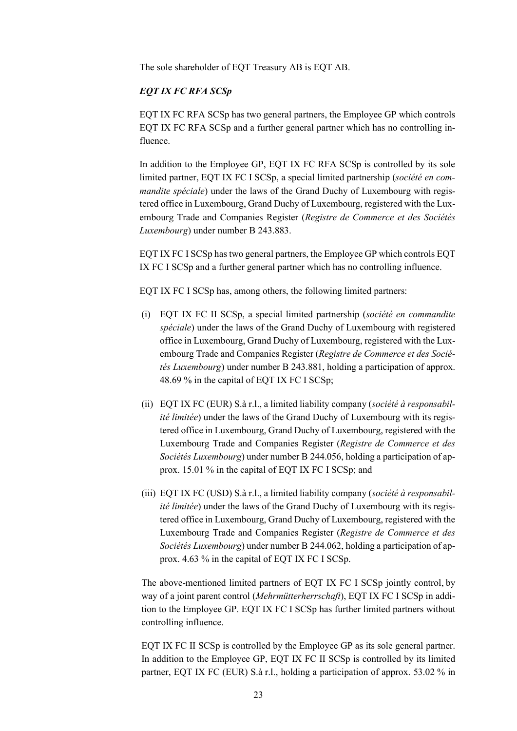The sole shareholder of EQT Treasury AB is EQT AB.

#### *EQT IX FC RFA SCSp*

EQT IX FC RFA SCSp has two general partners, the Employee GP which controls EQT IX FC RFA SCSp and a further general partner which has no controlling influence.

In addition to the Employee GP, EQT IX FC RFA SCSp is controlled by its sole limited partner, EQT IX FC I SCSp, a special limited partnership (*société en commandite spéciale*) under the laws of the Grand Duchy of Luxembourg with registered office in Luxembourg, Grand Duchy of Luxembourg, registered with the Luxembourg Trade and Companies Register (*Registre de Commerce et des Sociétés Luxembourg*) under number B 243.883.

EQT IX FC I SCSp has two general partners, the Employee GP which controls EQT IX FC I SCSp and a further general partner which has no controlling influence.

EQT IX FC I SCSp has, among others, the following limited partners:

- (i) EQT IX FC II SCSp, a special limited partnership (*société en commandite spéciale*) under the laws of the Grand Duchy of Luxembourg with registered office in Luxembourg, Grand Duchy of Luxembourg, registered with the Luxembourg Trade and Companies Register (*Registre de Commerce et des Sociétés Luxembourg*) under number B 243.881, holding a participation of approx. 48.69 % in the capital of EQT IX FC I SCSp;
- (ii) EQT IX FC (EUR) S.à r.l., a limited liability company (*société à responsabilité limitée*) under the laws of the Grand Duchy of Luxembourg with its registered office in Luxembourg, Grand Duchy of Luxembourg, registered with the Luxembourg Trade and Companies Register (*Registre de Commerce et des Sociétés Luxembourg*) under number B 244.056, holding a participation of approx. 15.01 % in the capital of EQT IX FC I SCSp; and
- (iii) EQT IX FC (USD) S.à r.l., a limited liability company (*société à responsabilité limitée*) under the laws of the Grand Duchy of Luxembourg with its registered office in Luxembourg, Grand Duchy of Luxembourg, registered with the Luxembourg Trade and Companies Register (*Registre de Commerce et des Sociétés Luxembourg*) under number B 244.062, holding a participation of approx. 4.63 % in the capital of EQT IX FC I SCSp.

The above-mentioned limited partners of EQT IX FC I SCSp jointly control, by way of a joint parent control (*Mehrmütterherrschaft*), EQT IX FC I SCSp in addition to the Employee GP. EQT IX FC I SCSp has further limited partners without controlling influence.

EQT IX FC II SCSp is controlled by the Employee GP as its sole general partner. In addition to the Employee GP, EQT IX FC II SCSp is controlled by its limited partner, EQT IX FC (EUR) S.à r.l., holding a participation of approx. 53.02 % in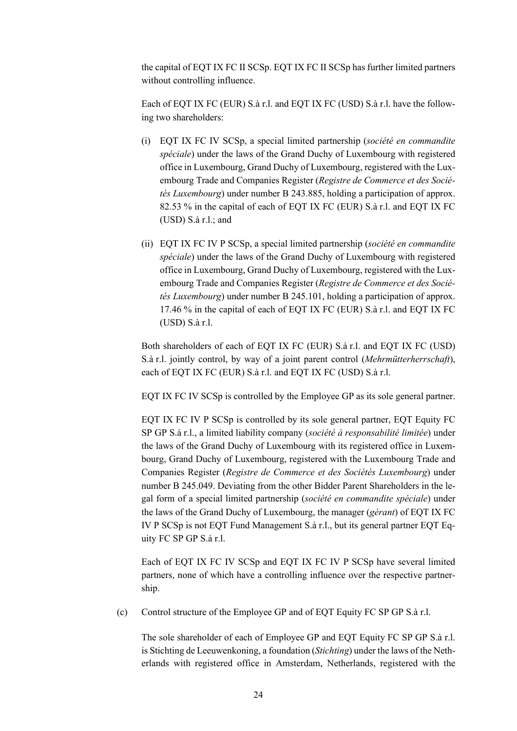the capital of EQT IX FC II SCSp. EQT IX FC II SCSp has further limited partners without controlling influence.

Each of EQT IX FC (EUR) S.à r.l. and EQT IX FC (USD) S.à r.l. have the following two shareholders:

- (i) EQT IX FC IV SCSp, a special limited partnership (*société en commandite spéciale*) under the laws of the Grand Duchy of Luxembourg with registered office in Luxembourg, Grand Duchy of Luxembourg, registered with the Luxembourg Trade and Companies Register (*Registre de Commerce et des Sociétés Luxembourg*) under number B 243.885, holding a participation of approx. 82.53 % in the capital of each of EQT IX FC (EUR) S.à r.l. and EQT IX FC (USD) S.à r.l.; and
- (ii) EQT IX FC IV P SCSp, a special limited partnership (*société en commandite spéciale*) under the laws of the Grand Duchy of Luxembourg with registered office in Luxembourg, Grand Duchy of Luxembourg, registered with the Luxembourg Trade and Companies Register (*Registre de Commerce et des Sociétés Luxembourg*) under number B 245.101, holding a participation of approx. 17.46 % in the capital of each of EQT IX FC (EUR) S.à r.l. and EQT IX FC (USD) S.à r.l.

Both shareholders of each of EQT IX FC (EUR) S.à r.l. and EQT IX FC (USD) S.à r.l. jointly control, by way of a joint parent control (*Mehrmütterherrschaft*), each of EQT IX FC (EUR) S.à r.l. and EQT IX FC (USD) S.à r.l.

EQT IX FC IV SCSp is controlled by the Employee GP as its sole general partner.

EQT IX FC IV P SCSp is controlled by its sole general partner, EQT Equity FC SP GP S.à r.l., a limited liability company (*société à responsabilité limitée*) under the laws of the Grand Duchy of Luxembourg with its registered office in Luxembourg, Grand Duchy of Luxembourg, registered with the Luxembourg Trade and Companies Register (*Registre de Commerce et des Sociétés Luxembourg*) under number B 245.049. Deviating from the other Bidder Parent Shareholders in the legal form of a special limited partnership (*société en commandite spéciale*) under the laws of the Grand Duchy of Luxembourg, the manager (*gérant*) of EQT IX FC IV P SCSp is not EQT Fund Management S.à r.l., but its general partner EQT Equity FC SP GP S.à r.l.

Each of EQT IX FC IV SCSp and EQT IX FC IV P SCSp have several limited partners, none of which have a controlling influence over the respective partnership.

(c) Control structure of the Employee GP and of EQT Equity FC SP GP S.à r.l.

The sole shareholder of each of Employee GP and EQT Equity FC SP GP S.à r.l. is Stichting de Leeuwenkoning, a foundation (*Stichting*) under the laws of the Netherlands with registered office in Amsterdam, Netherlands, registered with the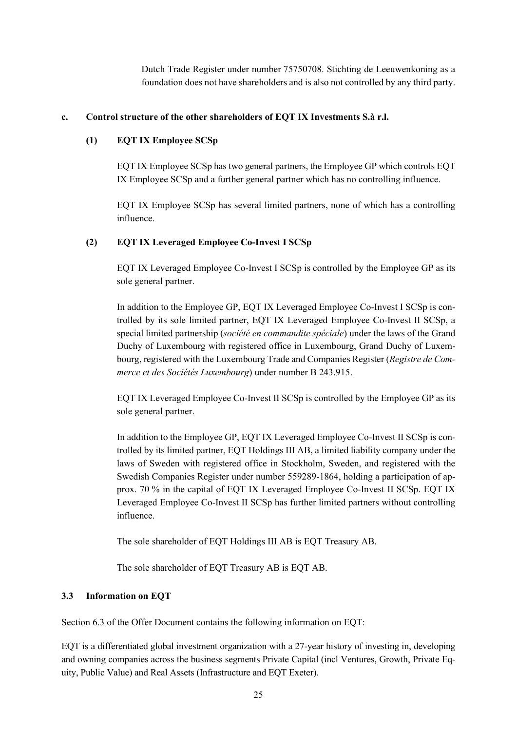Dutch Trade Register under number 75750708. Stichting de Leeuwenkoning as a foundation does not have shareholders and is also not controlled by any third party.

#### **c. Control structure of the other shareholders of EQT IX Investments S.à r.l.**

#### **(1) EQT IX Employee SCSp**

EQT IX Employee SCSp has two general partners, the Employee GP which controls EQT IX Employee SCSp and a further general partner which has no controlling influence.

EQT IX Employee SCSp has several limited partners, none of which has a controlling influence.

#### **(2) EQT IX Leveraged Employee Co-Invest I SCSp**

EQT IX Leveraged Employee Co-Invest I SCSp is controlled by the Employee GP as its sole general partner.

In addition to the Employee GP, EQT IX Leveraged Employee Co-Invest I SCSp is controlled by its sole limited partner, EQT IX Leveraged Employee Co-Invest II SCSp, a special limited partnership (*société en commandite spéciale*) under the laws of the Grand Duchy of Luxembourg with registered office in Luxembourg, Grand Duchy of Luxembourg, registered with the Luxembourg Trade and Companies Register (*Registre de Commerce et des Sociétés Luxembourg*) under number B 243.915.

EQT IX Leveraged Employee Co-Invest II SCSp is controlled by the Employee GP as its sole general partner.

In addition to the Employee GP, EQT IX Leveraged Employee Co-Invest II SCSp is controlled by its limited partner, EQT Holdings III AB, a limited liability company under the laws of Sweden with registered office in Stockholm, Sweden, and registered with the Swedish Companies Register under number 559289-1864, holding a participation of approx. 70 % in the capital of EQT IX Leveraged Employee Co-Invest II SCSp. EQT IX Leveraged Employee Co-Invest II SCSp has further limited partners without controlling influence.

The sole shareholder of EQT Holdings III AB is EQT Treasury AB.

The sole shareholder of EQT Treasury AB is EQT AB.

#### **3.3 Information on EQT**

Section 6.3 of the Offer Document contains the following information on EQT:

EQT is a differentiated global investment organization with a 27-year history of investing in, developing and owning companies across the business segments Private Capital (incl Ventures, Growth, Private Equity, Public Value) and Real Assets (Infrastructure and EQT Exeter).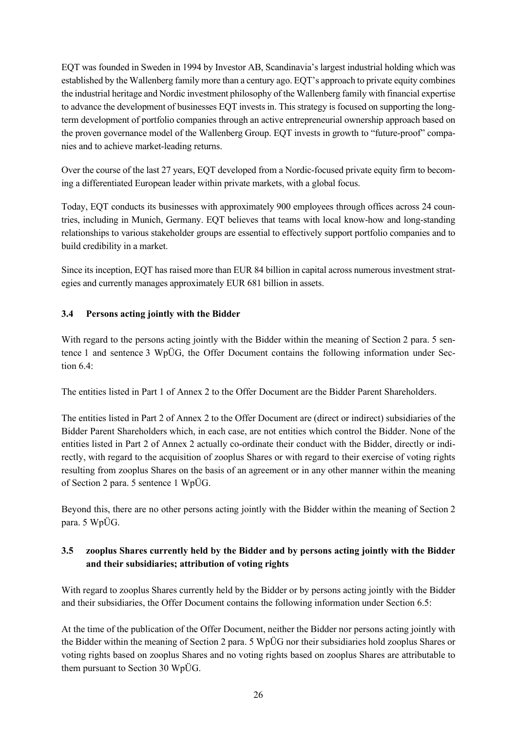EQT was founded in Sweden in 1994 by Investor AB, Scandinavia's largest industrial holding which was established by the Wallenberg family more than a century ago. EQT's approach to private equity combines the industrial heritage and Nordic investment philosophy of the Wallenberg family with financial expertise to advance the development of businesses EQT invests in. This strategy is focused on supporting the longterm development of portfolio companies through an active entrepreneurial ownership approach based on the proven governance model of the Wallenberg Group. EQT invests in growth to "future-proof" companies and to achieve market-leading returns.

Over the course of the last 27 years, EQT developed from a Nordic-focused private equity firm to becoming a differentiated European leader within private markets, with a global focus.

Today, EQT conducts its businesses with approximately 900 employees through offices across 24 countries, including in Munich, Germany. EQT believes that teams with local know-how and long-standing relationships to various stakeholder groups are essential to effectively support portfolio companies and to build credibility in a market.

Since its inception, EQT has raised more than EUR 84 billion in capital across numerous investment strategies and currently manages approximately EUR 681 billion in assets.

## **3.4 Persons acting jointly with the Bidder**

With regard to the persons acting jointly with the Bidder within the meaning of Section 2 para. 5 sentence 1 and sentence 3 WpÜG, the Offer Document contains the following information under Section 6.4:

The entities listed in Part 1 of Annex 2 to the Offer Document are the Bidder Parent Shareholders.

The entities listed in Part 2 of Annex 2 to the Offer Document are (direct or indirect) subsidiaries of the Bidder Parent Shareholders which, in each case, are not entities which control the Bidder. None of the entities listed in Part 2 of Annex 2 actually co-ordinate their conduct with the Bidder, directly or indirectly, with regard to the acquisition of zooplus Shares or with regard to their exercise of voting rights resulting from zooplus Shares on the basis of an agreement or in any other manner within the meaning of Section 2 para. 5 sentence 1 WpÜG.

Beyond this, there are no other persons acting jointly with the Bidder within the meaning of Section 2 para. 5 WpÜG.

## **3.5 zooplus Shares currently held by the Bidder and by persons acting jointly with the Bidder and their subsidiaries; attribution of voting rights**

With regard to zooplus Shares currently held by the Bidder or by persons acting jointly with the Bidder and their subsidiaries, the Offer Document contains the following information under Section 6.5:

At the time of the publication of the Offer Document, neither the Bidder nor persons acting jointly with the Bidder within the meaning of Section 2 para. 5 WpÜG nor their subsidiaries hold zooplus Shares or voting rights based on zooplus Shares and no voting rights based on zooplus Shares are attributable to them pursuant to Section 30 WpÜG.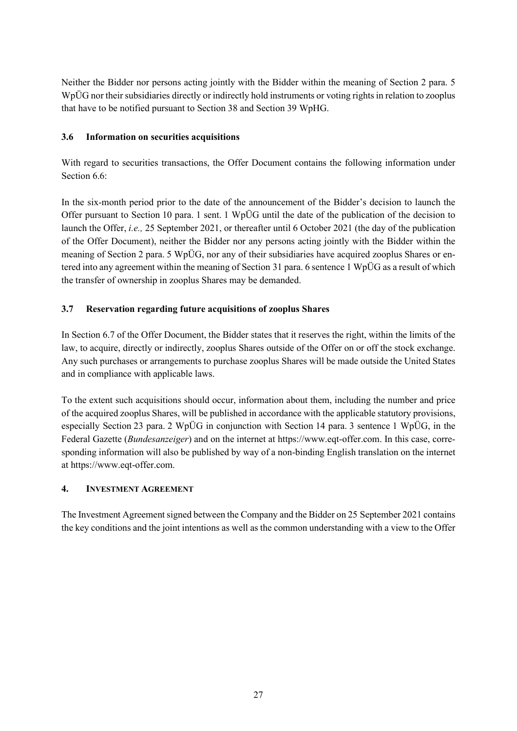Neither the Bidder nor persons acting jointly with the Bidder within the meaning of Section 2 para. 5 WpÜG nor their subsidiaries directly or indirectly hold instruments or voting rights in relation to zooplus that have to be notified pursuant to Section 38 and Section 39 WpHG.

## **3.6 Information on securities acquisitions**

With regard to securities transactions, the Offer Document contains the following information under Section 6.6:

In the six-month period prior to the date of the announcement of the Bidder's decision to launch the Offer pursuant to Section 10 para. 1 sent. 1 WpÜG until the date of the publication of the decision to launch the Offer, *i.e.,* 25 September 2021, or thereafter until 6 October 2021 (the day of the publication of the Offer Document), neither the Bidder nor any persons acting jointly with the Bidder within the meaning of Section 2 para. 5 WpÜG, nor any of their subsidiaries have acquired zooplus Shares or entered into any agreement within the meaning of Section 31 para. 6 sentence 1 WpÜG as a result of which the transfer of ownership in zooplus Shares may be demanded.

## **3.7 Reservation regarding future acquisitions of zooplus Shares**

In Section 6.7 of the Offer Document, the Bidder states that it reserves the right, within the limits of the law, to acquire, directly or indirectly, zooplus Shares outside of the Offer on or off the stock exchange. Any such purchases or arrangements to purchase zooplus Shares will be made outside the United States and in compliance with applicable laws.

To the extent such acquisitions should occur, information about them, including the number and price of the acquired zooplus Shares, will be published in accordance with the applicable statutory provisions, especially Section 23 para. 2 WpÜG in conjunction with Section 14 para. 3 sentence 1 WpÜG, in the Federal Gazette (*Bundesanzeiger*) and on the internet at https:/[/www.eqt-offer.com.](https://protect-us.mimecast.com/s/WnZkClYvDAT6Yrw6s9KI8C?domain=eqt-offer.com) In this case, corresponding information will also be published by way of a non-binding English translation on the internet at https:/[/www.eqt-offer.com.](https://protect-us.mimecast.com/s/WnZkClYvDAT6Yrw6s9KI8C?domain=eqt-offer.com)

### **4. INVESTMENT AGREEMENT**

The Investment Agreement signed between the Company and the Bidder on 25 September 2021 contains the key conditions and the joint intentions as well as the common understanding with a view to the Offer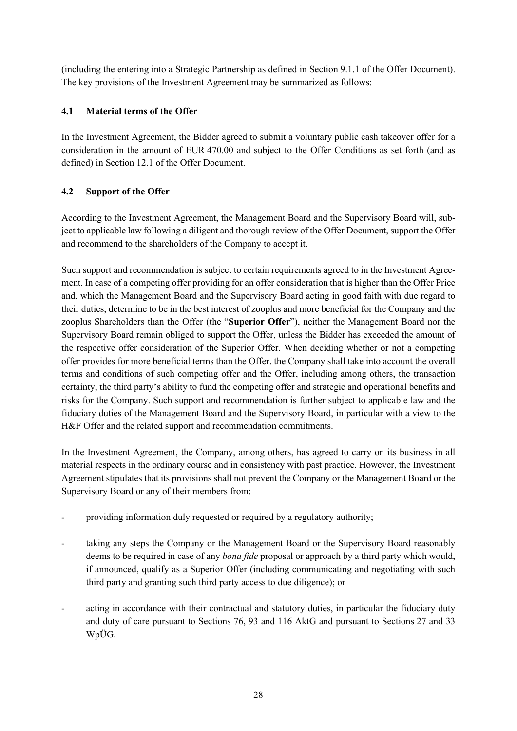(including the entering into a Strategic Partnership as defined in Section 9.1.1 of the Offer Document). The key provisions of the Investment Agreement may be summarized as follows:

## **4.1 Material terms of the Offer**

In the Investment Agreement, the Bidder agreed to submit a voluntary public cash takeover offer for a consideration in the amount of EUR 470.00 and subject to the Offer Conditions as set forth (and as defined) in Section 12.1 of the Offer Document.

## **4.2 Support of the Offer**

According to the Investment Agreement, the Management Board and the Supervisory Board will, subject to applicable law following a diligent and thorough review of the Offer Document, support the Offer and recommend to the shareholders of the Company to accept it.

Such support and recommendation is subject to certain requirements agreed to in the Investment Agreement. In case of a competing offer providing for an offer consideration that is higher than the Offer Price and, which the Management Board and the Supervisory Board acting in good faith with due regard to their duties, determine to be in the best interest of zooplus and more beneficial for the Company and the zooplus Shareholders than the Offer (the "**Superior Offer**"), neither the Management Board nor the Supervisory Board remain obliged to support the Offer, unless the Bidder has exceeded the amount of the respective offer consideration of the Superior Offer. When deciding whether or not a competing offer provides for more beneficial terms than the Offer, the Company shall take into account the overall terms and conditions of such competing offer and the Offer, including among others, the transaction certainty, the third party's ability to fund the competing offer and strategic and operational benefits and risks for the Company. Such support and recommendation is further subject to applicable law and the fiduciary duties of the Management Board and the Supervisory Board, in particular with a view to the H&F Offer and the related support and recommendation commitments.

In the Investment Agreement, the Company, among others, has agreed to carry on its business in all material respects in the ordinary course and in consistency with past practice. However, the Investment Agreement stipulates that its provisions shall not prevent the Company or the Management Board or the Supervisory Board or any of their members from:

- providing information duly requested or required by a regulatory authority;
- taking any steps the Company or the Management Board or the Supervisory Board reasonably deems to be required in case of any *bona fide* proposal or approach by a third party which would, if announced, qualify as a Superior Offer (including communicating and negotiating with such third party and granting such third party access to due diligence); or
- acting in accordance with their contractual and statutory duties, in particular the fiduciary duty and duty of care pursuant to Sections 76, 93 and 116 AktG and pursuant to Sections 27 and 33 WpÜG.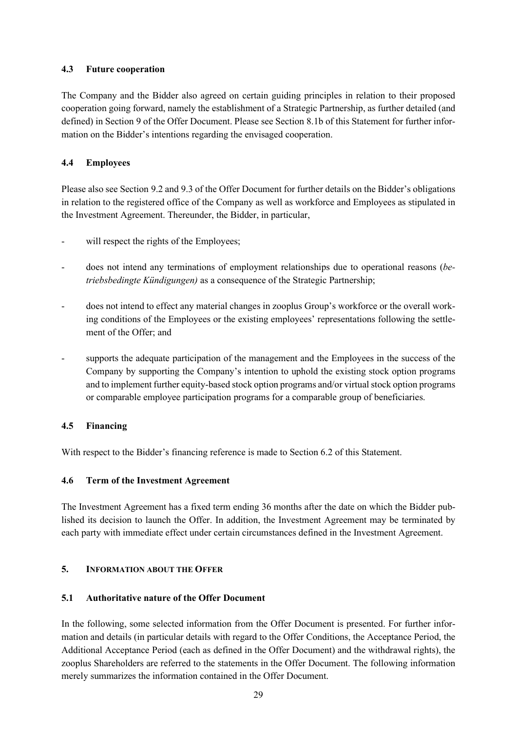## **4.3 Future cooperation**

The Company and the Bidder also agreed on certain guiding principles in relation to their proposed cooperation going forward, namely the establishment of a Strategic Partnership, as further detailed (and defined) in Section 9 of the Offer Document. Please see Section [8.1b](#page-43-0) of this Statement for further information on the Bidder's intentions regarding the envisaged cooperation.

## **4.4 Employees**

Please also see Section 9.2 and 9.3 of the Offer Document for further details on the Bidder's obligations in relation to the registered office of the Company as well as workforce and Employees as stipulated in the Investment Agreement. Thereunder, the Bidder, in particular,

- will respect the rights of the Employees;
- does not intend any terminations of employment relationships due to operational reasons (*betriebsbedingte Kündigungen)* as a consequence of the Strategic Partnership;
- does not intend to effect any material changes in zooplus Group's workforce or the overall working conditions of the Employees or the existing employees' representations following the settlement of the Offer: and
- supports the adequate participation of the management and the Employees in the success of the Company by supporting the Company's intention to uphold the existing stock option programs and to implement further equity-based stock option programs and/or virtual stock option programs or comparable employee participation programs for a comparable group of beneficiaries.

### **4.5 Financing**

With respect to the Bidder's financing reference is made to Section [6.2](#page-34-0) of this Statement.

### **4.6 Term of the Investment Agreement**

The Investment Agreement has a fixed term ending 36 months after the date on which the Bidder published its decision to launch the Offer. In addition, the Investment Agreement may be terminated by each party with immediate effect under certain circumstances defined in the Investment Agreement.

### **5. INFORMATION ABOUT THE OFFER**

### **5.1 Authoritative nature of the Offer Document**

In the following, some selected information from the Offer Document is presented. For further information and details (in particular details with regard to the Offer Conditions, the Acceptance Period, the Additional Acceptance Period (each as defined in the Offer Document) and the withdrawal rights), the zooplus Shareholders are referred to the statements in the Offer Document. The following information merely summarizes the information contained in the Offer Document.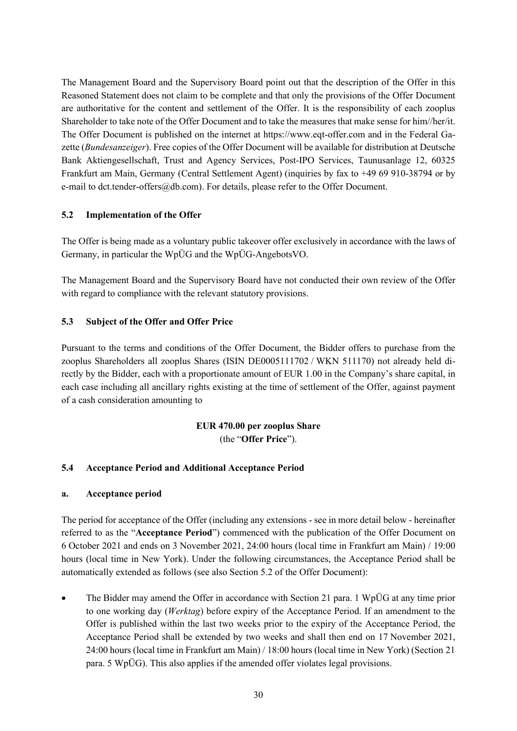The Management Board and the Supervisory Board point out that the description of the Offer in this Reasoned Statement does not claim to be complete and that only the provisions of the Offer Document are authoritative for the content and settlement of the Offer. It is the responsibility of each zooplus Shareholder to take note of the Offer Document and to take the measures that make sense for him//her/it. The Offer Document is published on the internet at https://www.eqt-offer.com and in the Federal Gazette (*Bundesanzeiger*). Free copies of the Offer Document will be available for distribution at Deutsche Bank Aktiengesellschaft, Trust and Agency Services, Post-IPO Services, Taunusanlage 12, 60325 Frankfurt am Main, Germany (Central Settlement Agent) (inquiries by fax to +49 69 910-38794 or by e-mail to dct.tender-offers@db.com). For details, please refer to the Offer Document.

### **5.2 Implementation of the Offer**

The Offer is being made as a voluntary public takeover offer exclusively in accordance with the laws of Germany, in particular the WpÜG and the WpÜG-AngebotsVO.

The Management Board and the Supervisory Board have not conducted their own review of the Offer with regard to compliance with the relevant statutory provisions.

## **5.3 Subject of the Offer and Offer Price**

Pursuant to the terms and conditions of the Offer Document, the Bidder offers to purchase from the zooplus Shareholders all zooplus Shares (ISIN DE0005111702 / WKN 511170) not already held directly by the Bidder, each with a proportionate amount of EUR 1.00 in the Company's share capital, in each case including all ancillary rights existing at the time of settlement of the Offer, against payment of a cash consideration amounting to

## **EUR 470.00 per zooplus Share**  (the "**Offer Price**").

## **5.4 Acceptance Period and Additional Acceptance Period**

### **a. Acceptance period**

The period for acceptance of the Offer (including any extensions - see in more detail below - hereinafter referred to as the "**Acceptance Period**") commenced with the publication of the Offer Document on 6 October 2021 and ends on 3 November 2021, 24:00 hours (local time in Frankfurt am Main) / 19:00 hours (local time in New York). Under the following circumstances, the Acceptance Period shall be automatically extended as follows (see also Section 5.2 of the Offer Document):

 The Bidder may amend the Offer in accordance with Section 21 para. 1 WpÜG at any time prior to one working day (*Werktag*) before expiry of the Acceptance Period. If an amendment to the Offer is published within the last two weeks prior to the expiry of the Acceptance Period, the Acceptance Period shall be extended by two weeks and shall then end on 17 November 2021, 24:00 hours (local time in Frankfurt am Main) / 18:00 hours (local time in New York) (Section 21 para. 5 WpÜG). This also applies if the amended offer violates legal provisions.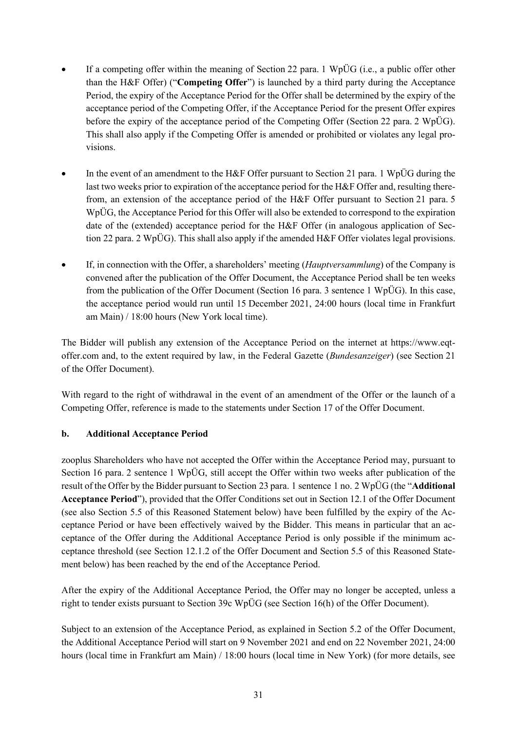- If a competing offer within the meaning of Section 22 para. 1 WpÜG (i.e., a public offer other than the H&F Offer) ("**Competing Offer**") is launched by a third party during the Acceptance Period, the expiry of the Acceptance Period for the Offer shall be determined by the expiry of the acceptance period of the Competing Offer, if the Acceptance Period for the present Offer expires before the expiry of the acceptance period of the Competing Offer (Section 22 para. 2 WpÜG). This shall also apply if the Competing Offer is amended or prohibited or violates any legal provisions.
- In the event of an amendment to the H&F Offer pursuant to Section 21 para. 1 WpÜG during the last two weeks prior to expiration of the acceptance period for the H&F Offer and, resulting therefrom, an extension of the acceptance period of the H&F Offer pursuant to Section 21 para. 5 WpÜG, the Acceptance Period for this Offer will also be extended to correspond to the expiration date of the (extended) acceptance period for the H&F Offer (in analogous application of Section 22 para. 2 WpÜG). This shall also apply if the amended H&F Offer violates legal provisions.
- If, in connection with the Offer, a shareholders' meeting (*Hauptversammlung*) of the Company is convened after the publication of the Offer Document, the Acceptance Period shall be ten weeks from the publication of the Offer Document (Section 16 para. 3 sentence 1 WpÜG). In this case, the acceptance period would run until 15 December 2021, 24:00 hours (local time in Frankfurt am Main) / 18:00 hours (New York local time).

The Bidder will publish any extension of the Acceptance Period on the internet at https://www.eqtoffer.com and, to the extent required by law, in the Federal Gazette (*Bundesanzeiger*) (see Section 21 of the Offer Document).

With regard to the right of withdrawal in the event of an amendment of the Offer or the launch of a Competing Offer, reference is made to the statements under Section 17 of the Offer Document.

## **b. Additional Acceptance Period**

zooplus Shareholders who have not accepted the Offer within the Acceptance Period may, pursuant to Section 16 para. 2 sentence 1 WpÜG, still accept the Offer within two weeks after publication of the result of the Offer by the Bidder pursuant to Section 23 para. 1 sentence 1 no. 2 WpÜG (the "**Additional Acceptance Period**"), provided that the Offer Conditions set out in Section 12.1 of the Offer Document (see also Section [5.5](#page-31-0) of this Reasoned Statement below) have been fulfilled by the expiry of the Acceptance Period or have been effectively waived by the Bidder. This means in particular that an acceptance of the Offer during the Additional Acceptance Period is only possible if the minimum acceptance threshold (see Section 12.1.2 of the Offer Document and Section [5.5](#page-31-0) of this Reasoned Statement below) has been reached by the end of the Acceptance Period.

After the expiry of the Additional Acceptance Period, the Offer may no longer be accepted, unless a right to tender exists pursuant to Section 39c WpÜG (see Section 16(h) of the Offer Document).

Subject to an extension of the Acceptance Period, as explained in Section 5.2 of the Offer Document, the Additional Acceptance Period will start on 9 November 2021 and end on 22 November 2021, 24:00 hours (local time in Frankfurt am Main) / 18:00 hours (local time in New York) (for more details, see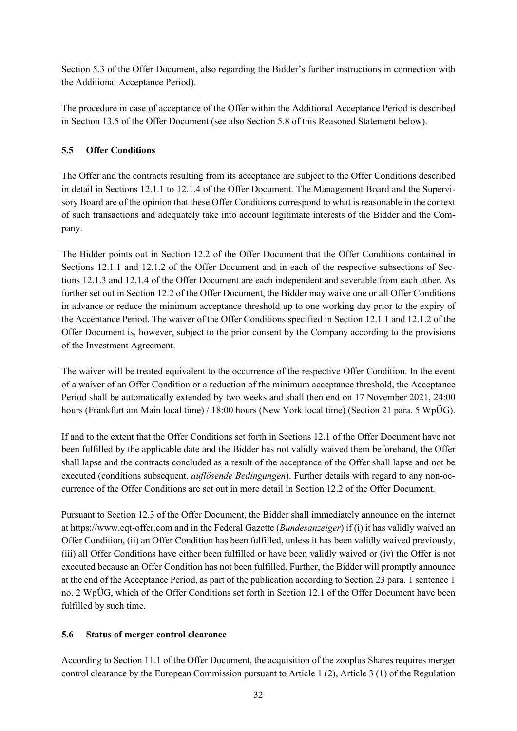Section 5.3 of the Offer Document, also regarding the Bidder's further instructions in connection with the Additional Acceptance Period).

The procedure in case of acceptance of the Offer within the Additional Acceptance Period is described in Section 13.5 of the Offer Document (see also Section [5.8](#page-32-0) of this Reasoned Statement below).

## <span id="page-31-0"></span>**5.5 Offer Conditions**

The Offer and the contracts resulting from its acceptance are subject to the Offer Conditions described in detail in Sections 12.1.1 to 12.1.4 of the Offer Document. The Management Board and the Supervisory Board are of the opinion that these Offer Conditions correspond to what is reasonable in the context of such transactions and adequately take into account legitimate interests of the Bidder and the Company.

The Bidder points out in Section 12.2 of the Offer Document that the Offer Conditions contained in Sections 12.1.1 and 12.1.2 of the Offer Document and in each of the respective subsections of Sections 12.1.3 and 12.1.4 of the Offer Document are each independent and severable from each other. As further set out in Section 12.2 of the Offer Document, the Bidder may waive one or all Offer Conditions in advance or reduce the minimum acceptance threshold up to one working day prior to the expiry of the Acceptance Period. The waiver of the Offer Conditions specified in Section 12.1.1 and 12.1.2 of the Offer Document is, however, subject to the prior consent by the Company according to the provisions of the Investment Agreement.

The waiver will be treated equivalent to the occurrence of the respective Offer Condition. In the event of a waiver of an Offer Condition or a reduction of the minimum acceptance threshold, the Acceptance Period shall be automatically extended by two weeks and shall then end on 17 November 2021, 24:00 hours (Frankfurt am Main local time) / 18:00 hours (New York local time) (Section 21 para. 5 WpÜG).

If and to the extent that the Offer Conditions set forth in Sections 12.1 of the Offer Document have not been fulfilled by the applicable date and the Bidder has not validly waived them beforehand, the Offer shall lapse and the contracts concluded as a result of the acceptance of the Offer shall lapse and not be executed (conditions subsequent, *auflösende Bedingungen*). Further details with regard to any non-occurrence of the Offer Conditions are set out in more detail in Section 12.2 of the Offer Document.

Pursuant to Section 12.3 of the Offer Document, the Bidder shall immediately announce on the internet at https:/[/www.eqt-offer.com](https://protect-us.mimecast.com/s/WnZkClYvDAT6Yrw6s9KI8C?domain=eqt-offer.com) and in the Federal Gazette (*Bundesanzeiger*) if (i) it has validly waived an Offer Condition, (ii) an Offer Condition has been fulfilled, unless it has been validly waived previously, (iii) all Offer Conditions have either been fulfilled or have been validly waived or (iv) the Offer is not executed because an Offer Condition has not been fulfilled. Further, the Bidder will promptly announce at the end of the Acceptance Period, as part of the publication according to Section 23 para. 1 sentence 1 no. 2 WpÜG, which of the Offer Conditions set forth in Section 12.1 of the Offer Document have been fulfilled by such time.

## **5.6 Status of merger control clearance**

According to Section 11.1 of the Offer Document, the acquisition of the zooplus Shares requires merger control clearance by the European Commission pursuant to Article 1 (2), Article 3 (1) of the Regulation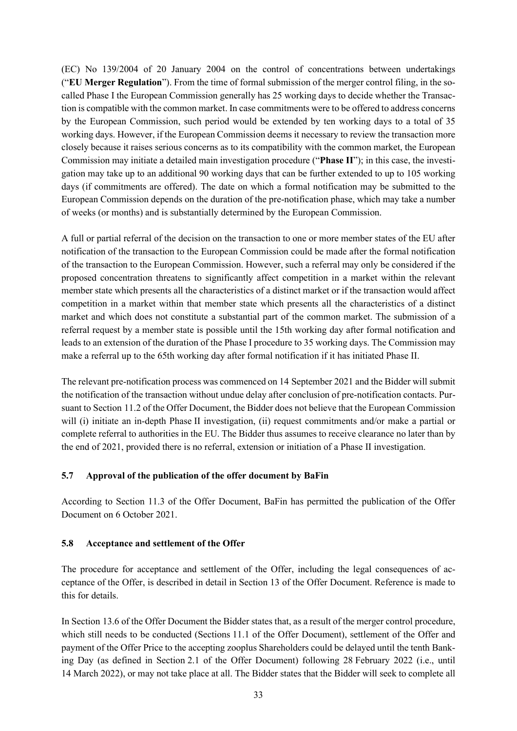(EC) No 139/2004 of 20 January 2004 on the control of concentrations between undertakings ("**EU Merger Regulation**"). From the time of formal submission of the merger control filing, in the socalled Phase I the European Commission generally has 25 working days to decide whether the Transaction is compatible with the common market. In case commitments were to be offered to address concerns by the European Commission, such period would be extended by ten working days to a total of 35 working days. However, if the European Commission deems it necessary to review the transaction more closely because it raises serious concerns as to its compatibility with the common market, the European Commission may initiate a detailed main investigation procedure ("**Phase II**"); in this case, the investigation may take up to an additional 90 working days that can be further extended to up to 105 working days (if commitments are offered). The date on which a formal notification may be submitted to the European Commission depends on the duration of the pre-notification phase, which may take a number of weeks (or months) and is substantially determined by the European Commission.

A full or partial referral of the decision on the transaction to one or more member states of the EU after notification of the transaction to the European Commission could be made after the formal notification of the transaction to the European Commission. However, such a referral may only be considered if the proposed concentration threatens to significantly affect competition in a market within the relevant member state which presents all the characteristics of a distinct market or if the transaction would affect competition in a market within that member state which presents all the characteristics of a distinct market and which does not constitute a substantial part of the common market. The submission of a referral request by a member state is possible until the 15th working day after formal notification and leads to an extension of the duration of the Phase I procedure to 35 working days. The Commission may make a referral up to the 65th working day after formal notification if it has initiated Phase II.

The relevant pre-notification process was commenced on 14 September 2021 and the Bidder will submit the notification of the transaction without undue delay after conclusion of pre-notification contacts. Pursuant to Section 11.2 of the Offer Document, the Bidder does not believe that the European Commission will (i) initiate an in-depth Phase II investigation, (ii) request commitments and/or make a partial or complete referral to authorities in the EU. The Bidder thus assumes to receive clearance no later than by the end of 2021, provided there is no referral, extension or initiation of a Phase II investigation.

### **5.7 Approval of the publication of the offer document by BaFin**

According to Section 11.3 of the Offer Document, BaFin has permitted the publication of the Offer Document on 6 October 2021.

#### <span id="page-32-0"></span>**5.8 Acceptance and settlement of the Offer**

The procedure for acceptance and settlement of the Offer, including the legal consequences of acceptance of the Offer, is described in detail in Section 13 of the Offer Document. Reference is made to this for details.

In Section 13.6 of the Offer Document the Bidder states that, as a result of the merger control procedure, which still needs to be conducted (Sections 11.1 of the Offer Document), settlement of the Offer and payment of the Offer Price to the accepting zooplus Shareholders could be delayed until the tenth Banking Day (as defined in Section 2.1 of the Offer Document) following 28 February 2022 (i.e., until 14 March 2022), or may not take place at all. The Bidder states that the Bidder will seek to complete all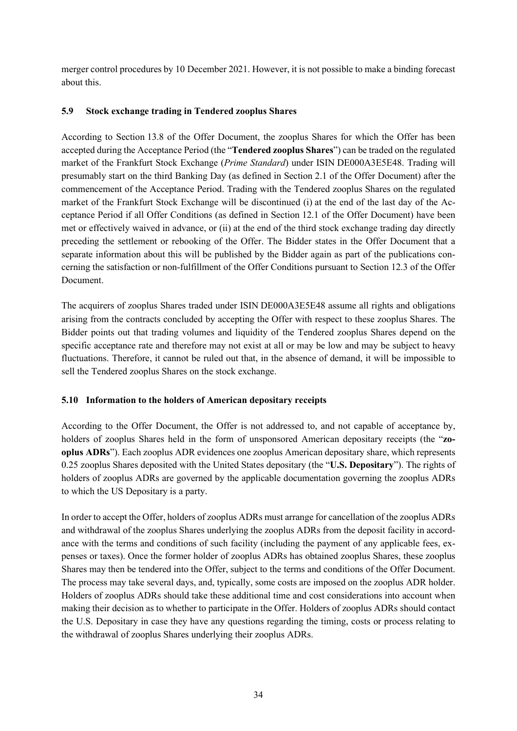merger control procedures by 10 December 2021. However, it is not possible to make a binding forecast about this.

### **5.9 Stock exchange trading in Tendered zooplus Shares**

According to Section 13.8 of the Offer Document, the zooplus Shares for which the Offer has been accepted during the Acceptance Period (the "**Tendered zooplus Shares**") can be traded on the regulated market of the Frankfurt Stock Exchange (*Prime Standard*) under ISIN DE000A3E5E48. Trading will presumably start on the third Banking Day (as defined in Section 2.1 of the Offer Document) after the commencement of the Acceptance Period. Trading with the Tendered zooplus Shares on the regulated market of the Frankfurt Stock Exchange will be discontinued (i) at the end of the last day of the Acceptance Period if all Offer Conditions (as defined in Section 12.1 of the Offer Document) have been met or effectively waived in advance, or (ii) at the end of the third stock exchange trading day directly preceding the settlement or rebooking of the Offer. The Bidder states in the Offer Document that a separate information about this will be published by the Bidder again as part of the publications concerning the satisfaction or non-fulfillment of the Offer Conditions pursuant to Section 12.3 of the Offer Document.

The acquirers of zooplus Shares traded under ISIN DE000A3E5E48 assume all rights and obligations arising from the contracts concluded by accepting the Offer with respect to these zooplus Shares. The Bidder points out that trading volumes and liquidity of the Tendered zooplus Shares depend on the specific acceptance rate and therefore may not exist at all or may be low and may be subject to heavy fluctuations. Therefore, it cannot be ruled out that, in the absence of demand, it will be impossible to sell the Tendered zooplus Shares on the stock exchange.

## **5.10 Information to the holders of American depositary receipts**

According to the Offer Document, the Offer is not addressed to, and not capable of acceptance by, holders of zooplus Shares held in the form of unsponsored American depositary receipts (the "**zooplus ADRs**"). Each zooplus ADR evidences one zooplus American depositary share, which represents 0.25 zooplus Shares deposited with the United States depositary (the "**U.S. Depositary**"). The rights of holders of zooplus ADRs are governed by the applicable documentation governing the zooplus ADRs to which the US Depositary is a party.

In order to accept the Offer, holders of zooplus ADRs must arrange for cancellation of the zooplus ADRs and withdrawal of the zooplus Shares underlying the zooplus ADRs from the deposit facility in accordance with the terms and conditions of such facility (including the payment of any applicable fees, expenses or taxes). Once the former holder of zooplus ADRs has obtained zooplus Shares, these zooplus Shares may then be tendered into the Offer, subject to the terms and conditions of the Offer Document. The process may take several days, and, typically, some costs are imposed on the zooplus ADR holder. Holders of zooplus ADRs should take these additional time and cost considerations into account when making their decision as to whether to participate in the Offer. Holders of zooplus ADRs should contact the U.S. Depositary in case they have any questions regarding the timing, costs or process relating to the withdrawal of zooplus Shares underlying their zooplus ADRs.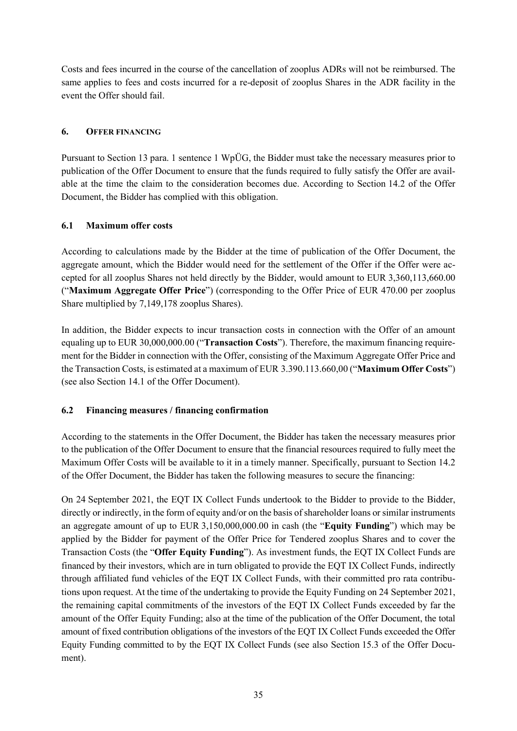Costs and fees incurred in the course of the cancellation of zooplus ADRs will not be reimbursed. The same applies to fees and costs incurred for a re-deposit of zooplus Shares in the ADR facility in the event the Offer should fail.

## **6. OFFER FINANCING**

Pursuant to Section 13 para. 1 sentence 1 WpÜG, the Bidder must take the necessary measures prior to publication of the Offer Document to ensure that the funds required to fully satisfy the Offer are available at the time the claim to the consideration becomes due. According to Section 14.2 of the Offer Document, the Bidder has complied with this obligation.

## **6.1 Maximum offer costs**

According to calculations made by the Bidder at the time of publication of the Offer Document, the aggregate amount, which the Bidder would need for the settlement of the Offer if the Offer were accepted for all zooplus Shares not held directly by the Bidder, would amount to EUR 3,360,113,660.00 ("**Maximum Aggregate Offer Price**") (corresponding to the Offer Price of EUR 470.00 per zooplus Share multiplied by 7,149,178 zooplus Shares).

In addition, the Bidder expects to incur transaction costs in connection with the Offer of an amount equaling up to EUR 30,000,000.00 ("**Transaction Costs**"). Therefore, the maximum financing requirement for the Bidder in connection with the Offer, consisting of the Maximum Aggregate Offer Price and the Transaction Costs, is estimated at a maximum of EUR 3.390.113.660,00 ("**Maximum Offer Costs**") (see also Section 14.1 of the Offer Document).

## <span id="page-34-0"></span>**6.2 Financing measures / financing confirmation**

According to the statements in the Offer Document, the Bidder has taken the necessary measures prior to the publication of the Offer Document to ensure that the financial resources required to fully meet the Maximum Offer Costs will be available to it in a timely manner. Specifically, pursuant to Section 14.2 of the Offer Document, the Bidder has taken the following measures to secure the financing:

On 24 September 2021, the EQT IX Collect Funds undertook to the Bidder to provide to the Bidder, directly or indirectly, in the form of equity and/or on the basis of shareholder loans or similar instruments an aggregate amount of up to EUR 3,150,000,000.00 in cash (the "**Equity Funding**") which may be applied by the Bidder for payment of the Offer Price for Tendered zooplus Shares and to cover the Transaction Costs (the "**Offer Equity Funding**"). As investment funds, the EQT IX Collect Funds are financed by their investors, which are in turn obligated to provide the EQT IX Collect Funds, indirectly through affiliated fund vehicles of the EQT IX Collect Funds, with their committed pro rata contributions upon request. At the time of the undertaking to provide the Equity Funding on 24 September 2021, the remaining capital commitments of the investors of the EQT IX Collect Funds exceeded by far the amount of the Offer Equity Funding; also at the time of the publication of the Offer Document, the total amount of fixed contribution obligations of the investors of the EQT IX Collect Funds exceeded the Offer Equity Funding committed to by the EQT IX Collect Funds (see also Section 15.3 of the Offer Document).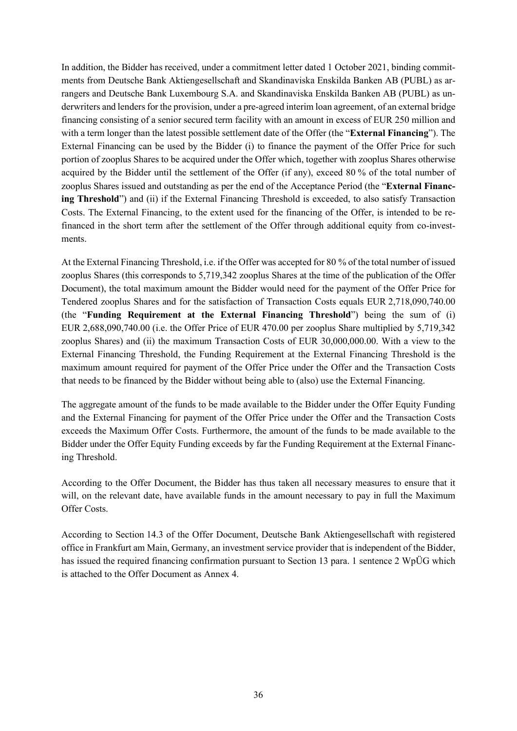In addition, the Bidder has received, under a commitment letter dated 1 October 2021, binding commitments from Deutsche Bank Aktiengesellschaft and Skandinaviska Enskilda Banken AB (PUBL) as arrangers and Deutsche Bank Luxembourg S.A. and Skandinaviska Enskilda Banken AB (PUBL) as underwriters and lenders for the provision, under a pre-agreed interim loan agreement, of an external bridge financing consisting of a senior secured term facility with an amount in excess of EUR 250 million and with a term longer than the latest possible settlement date of the Offer (the "**External Financing**"). The External Financing can be used by the Bidder (i) to finance the payment of the Offer Price for such portion of zooplus Shares to be acquired under the Offer which, together with zooplus Shares otherwise acquired by the Bidder until the settlement of the Offer (if any), exceed 80 % of the total number of zooplus Shares issued and outstanding as per the end of the Acceptance Period (the "**External Financing Threshold**") and (ii) if the External Financing Threshold is exceeded, to also satisfy Transaction Costs. The External Financing, to the extent used for the financing of the Offer, is intended to be refinanced in the short term after the settlement of the Offer through additional equity from co-investments.

At the External Financing Threshold, i.e. if the Offer was accepted for 80 % of the total number of issued zooplus Shares (this corresponds to 5,719,342 zooplus Shares at the time of the publication of the Offer Document), the total maximum amount the Bidder would need for the payment of the Offer Price for Tendered zooplus Shares and for the satisfaction of Transaction Costs equals EUR 2,718,090,740.00 (the "**Funding Requirement at the External Financing Threshold**") being the sum of (i) EUR 2,688,090,740.00 (i.e. the Offer Price of EUR 470.00 per zooplus Share multiplied by 5,719,342 zooplus Shares) and (ii) the maximum Transaction Costs of EUR 30,000,000.00. With a view to the External Financing Threshold, the Funding Requirement at the External Financing Threshold is the maximum amount required for payment of the Offer Price under the Offer and the Transaction Costs that needs to be financed by the Bidder without being able to (also) use the External Financing.

The aggregate amount of the funds to be made available to the Bidder under the Offer Equity Funding and the External Financing for payment of the Offer Price under the Offer and the Transaction Costs exceeds the Maximum Offer Costs. Furthermore, the amount of the funds to be made available to the Bidder under the Offer Equity Funding exceeds by far the Funding Requirement at the External Financing Threshold.

According to the Offer Document, the Bidder has thus taken all necessary measures to ensure that it will, on the relevant date, have available funds in the amount necessary to pay in full the Maximum Offer Costs.

According to Section 14.3 of the Offer Document, Deutsche Bank Aktiengesellschaft with registered office in Frankfurt am Main, Germany, an investment service provider that is independent of the Bidder, has issued the required financing confirmation pursuant to Section 13 para. 1 sentence 2 WpÜG which is attached to the Offer Document as Annex 4.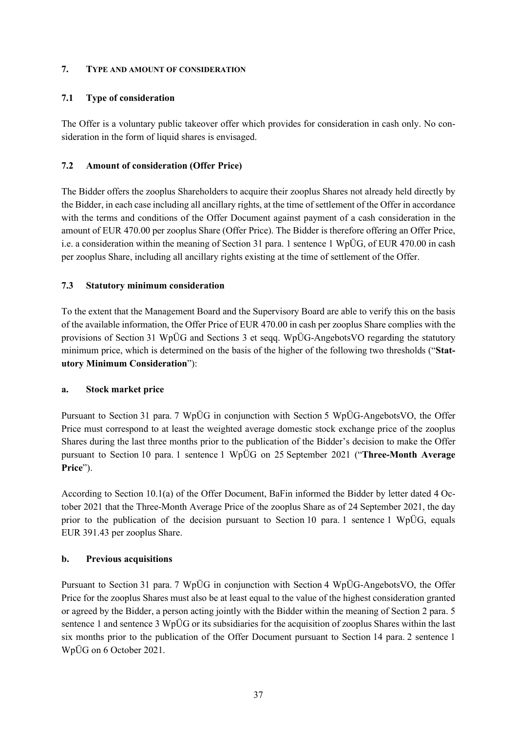#### **7. TYPE AND AMOUNT OF CONSIDERATION**

### **7.1 Type of consideration**

The Offer is a voluntary public takeover offer which provides for consideration in cash only. No consideration in the form of liquid shares is envisaged.

## **7.2 Amount of consideration (Offer Price)**

The Bidder offers the zooplus Shareholders to acquire their zooplus Shares not already held directly by the Bidder, in each case including all ancillary rights, at the time of settlement of the Offer in accordance with the terms and conditions of the Offer Document against payment of a cash consideration in the amount of EUR 470.00 per zooplus Share (Offer Price). The Bidder is therefore offering an Offer Price, i.e. a consideration within the meaning of Section 31 para. 1 sentence 1 WpÜG, of EUR 470.00 in cash per zooplus Share, including all ancillary rights existing at the time of settlement of the Offer.

## **7.3 Statutory minimum consideration**

To the extent that the Management Board and the Supervisory Board are able to verify this on the basis of the available information, the Offer Price of EUR 470.00 in cash per zooplus Share complies with the provisions of Section 31 WpÜG and Sections 3 et seqq. WpÜG-AngebotsVO regarding the statutory minimum price, which is determined on the basis of the higher of the following two thresholds ("**Statutory Minimum Consideration**"):

### **a. Stock market price**

Pursuant to Section 31 para. 7 WpÜG in conjunction with Section 5 WpÜG-AngebotsVO, the Offer Price must correspond to at least the weighted average domestic stock exchange price of the zooplus Shares during the last three months prior to the publication of the Bidder's decision to make the Offer pursuant to Section 10 para. 1 sentence 1 WpÜG on 25 September 2021 ("**Three-Month Average Price**").

According to Section 10.1(a) of the Offer Document, BaFin informed the Bidder by letter dated 4 October 2021 that the Three-Month Average Price of the zooplus Share as of 24 September 2021, the day prior to the publication of the decision pursuant to Section 10 para. 1 sentence 1 WpÜG, equals EUR 391.43 per zooplus Share.

### **b. Previous acquisitions**

Pursuant to Section 31 para. 7 WpÜG in conjunction with Section 4 WpÜG-AngebotsVO, the Offer Price for the zooplus Shares must also be at least equal to the value of the highest consideration granted or agreed by the Bidder, a person acting jointly with the Bidder within the meaning of Section 2 para. 5 sentence 1 and sentence 3 WpÜG or its subsidiaries for the acquisition of zooplus Shares within the last six months prior to the publication of the Offer Document pursuant to Section 14 para. 2 sentence 1 WpÜG on 6 October 2021.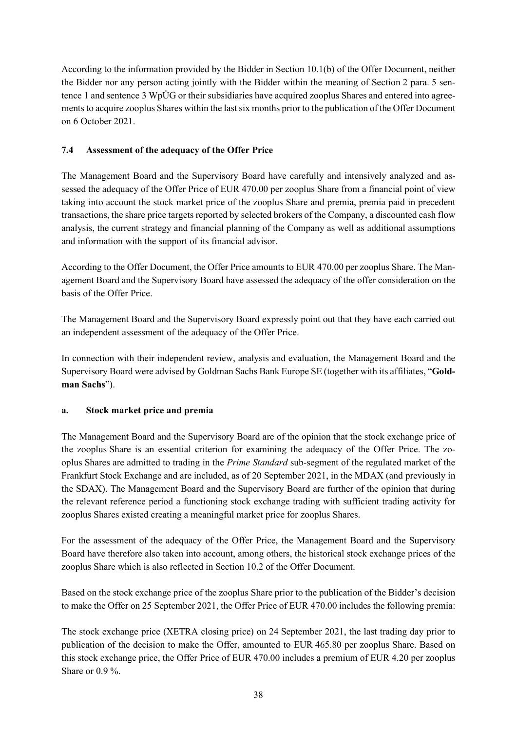According to the information provided by the Bidder in Section 10.1(b) of the Offer Document, neither the Bidder nor any person acting jointly with the Bidder within the meaning of Section 2 para. 5 sentence 1 and sentence 3 WpÜG or their subsidiaries have acquired zooplus Shares and entered into agreements to acquire zooplus Shares within the last six months prior to the publication of the Offer Document on 6 October 2021.

## <span id="page-37-0"></span>**7.4 Assessment of the adequacy of the Offer Price**

The Management Board and the Supervisory Board have carefully and intensively analyzed and assessed the adequacy of the Offer Price of EUR 470.00 per zooplus Share from a financial point of view taking into account the stock market price of the zooplus Share and premia, premia paid in precedent transactions, the share price targets reported by selected brokers of the Company, a discounted cash flow analysis, the current strategy and financial planning of the Company as well as additional assumptions and information with the support of its financial advisor.

According to the Offer Document, the Offer Price amounts to EUR 470.00 per zooplus Share. The Management Board and the Supervisory Board have assessed the adequacy of the offer consideration on the basis of the Offer Price.

The Management Board and the Supervisory Board expressly point out that they have each carried out an independent assessment of the adequacy of the Offer Price.

In connection with their independent review, analysis and evaluation, the Management Board and the Supervisory Board were advised by Goldman Sachs Bank Europe SE (together with its affiliates, "**Goldman Sachs**").

### <span id="page-37-1"></span>**a. Stock market price and premia**

The Management Board and the Supervisory Board are of the opinion that the stock exchange price of the zooplus Share is an essential criterion for examining the adequacy of the Offer Price. The zooplus Shares are admitted to trading in the *Prime Standard* sub-segment of the regulated market of the Frankfurt Stock Exchange and are included, as of 20 September 2021, in the MDAX (and previously in the SDAX). The Management Board and the Supervisory Board are further of the opinion that during the relevant reference period a functioning stock exchange trading with sufficient trading activity for zooplus Shares existed creating a meaningful market price for zooplus Shares.

For the assessment of the adequacy of the Offer Price, the Management Board and the Supervisory Board have therefore also taken into account, among others, the historical stock exchange prices of the zooplus Share which is also reflected in Section 10.2 of the Offer Document.

Based on the stock exchange price of the zooplus Share prior to the publication of the Bidder's decision to make the Offer on 25 September 2021, the Offer Price of EUR 470.00 includes the following premia:

The stock exchange price (XETRA closing price) on 24 September 2021, the last trading day prior to publication of the decision to make the Offer, amounted to EUR 465.80 per zooplus Share. Based on this stock exchange price, the Offer Price of EUR 470.00 includes a premium of EUR 4.20 per zooplus Share or 0.9 %.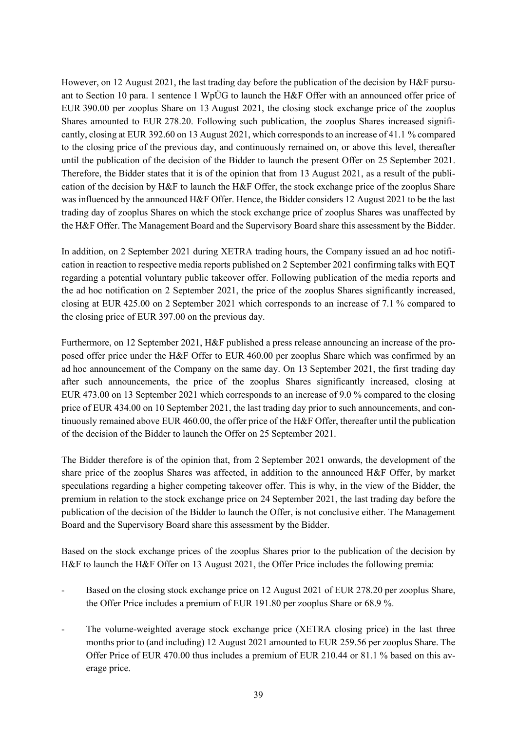However, on 12 August 2021, the last trading day before the publication of the decision by H&F pursuant to Section 10 para. 1 sentence 1 WpÜG to launch the H&F Offer with an announced offer price of EUR 390.00 per zooplus Share on 13 August 2021, the closing stock exchange price of the zooplus Shares amounted to EUR 278.20. Following such publication, the zooplus Shares increased significantly, closing at EUR 392.60 on 13 August 2021, which corresponds to an increase of 41.1 % compared to the closing price of the previous day, and continuously remained on, or above this level, thereafter until the publication of the decision of the Bidder to launch the present Offer on 25 September 2021. Therefore, the Bidder states that it is of the opinion that from 13 August 2021, as a result of the publication of the decision by H&F to launch the H&F Offer, the stock exchange price of the zooplus Share was influenced by the announced H&F Offer. Hence, the Bidder considers 12 August 2021 to be the last trading day of zooplus Shares on which the stock exchange price of zooplus Shares was unaffected by the H&F Offer. The Management Board and the Supervisory Board share this assessment by the Bidder.

In addition, on 2 September 2021 during XETRA trading hours, the Company issued an ad hoc notification in reaction to respective media reports published on 2 September 2021 confirming talks with EQT regarding a potential voluntary public takeover offer. Following publication of the media reports and the ad hoc notification on 2 September 2021, the price of the zooplus Shares significantly increased, closing at EUR 425.00 on 2 September 2021 which corresponds to an increase of 7.1 % compared to the closing price of EUR 397.00 on the previous day.

Furthermore, on 12 September 2021, H&F published a press release announcing an increase of the proposed offer price under the H&F Offer to EUR 460.00 per zooplus Share which was confirmed by an ad hoc announcement of the Company on the same day. On 13 September 2021, the first trading day after such announcements, the price of the zooplus Shares significantly increased, closing at EUR 473.00 on 13 September 2021 which corresponds to an increase of 9.0 % compared to the closing price of EUR 434.00 on 10 September 2021, the last trading day prior to such announcements, and continuously remained above EUR 460.00, the offer price of the H&F Offer, thereafter until the publication of the decision of the Bidder to launch the Offer on 25 September 2021.

The Bidder therefore is of the opinion that, from 2 September 2021 onwards, the development of the share price of the zooplus Shares was affected, in addition to the announced H&F Offer, by market speculations regarding a higher competing takeover offer. This is why, in the view of the Bidder, the premium in relation to the stock exchange price on 24 September 2021, the last trading day before the publication of the decision of the Bidder to launch the Offer, is not conclusive either. The Management Board and the Supervisory Board share this assessment by the Bidder.

Based on the stock exchange prices of the zooplus Shares prior to the publication of the decision by H&F to launch the H&F Offer on 13 August 2021, the Offer Price includes the following premia:

- Based on the closing stock exchange price on 12 August 2021 of EUR 278.20 per zooplus Share, the Offer Price includes a premium of EUR 191.80 per zooplus Share or 68.9 %.
- The volume-weighted average stock exchange price (XETRA closing price) in the last three months prior to (and including) 12 August 2021 amounted to EUR 259.56 per zooplus Share. The Offer Price of EUR 470.00 thus includes a premium of EUR 210.44 or 81.1 % based on this average price.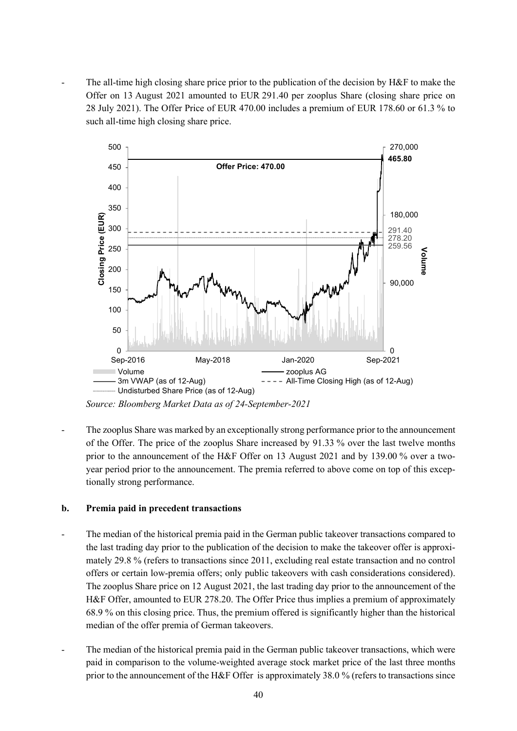The all-time high closing share price prior to the publication of the decision by H&F to make the Offer on 13 August 2021 amounted to EUR 291.40 per zooplus Share (closing share price on 28 July 2021). The Offer Price of EUR 470.00 includes a premium of EUR 178.60 or 61.3 % to such all-time high closing share price.



The zooplus Share was marked by an exceptionally strong performance prior to the announcement of the Offer. The price of the zooplus Share increased by 91.33 % over the last twelve months prior to the announcement of the H&F Offer on 13 August 2021 and by 139.00 % over a twoyear period prior to the announcement. The premia referred to above come on top of this exceptionally strong performance.

### **b. Premia paid in precedent transactions**

- The median of the historical premia paid in the German public takeover transactions compared to the last trading day prior to the publication of the decision to make the takeover offer is approximately 29.8 % (refers to transactions since 2011, excluding real estate transaction and no control offers or certain low-premia offers; only public takeovers with cash considerations considered). The zooplus Share price on 12 August 2021, the last trading day prior to the announcement of the H&F Offer, amounted to EUR 278.20. The Offer Price thus implies a premium of approximately 68.9 % on this closing price. Thus, the premium offered is significantly higher than the historical median of the offer premia of German takeovers.
- The median of the historical premia paid in the German public takeover transactions, which were paid in comparison to the volume-weighted average stock market price of the last three months prior to the announcement of the H&F Offer is approximately 38.0 % (refers to transactions since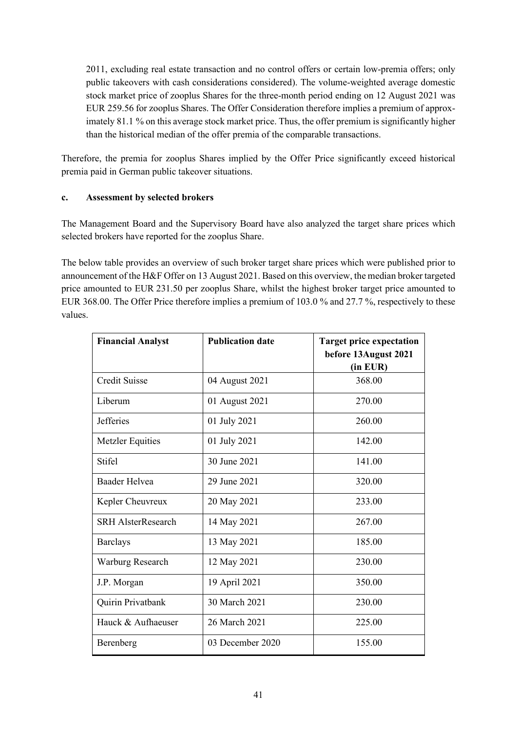2011, excluding real estate transaction and no control offers or certain low-premia offers; only public takeovers with cash considerations considered). The volume-weighted average domestic stock market price of zooplus Shares for the three-month period ending on 12 August 2021 was EUR 259.56 for zooplus Shares. The Offer Consideration therefore implies a premium of approximately 81.1 % on this average stock market price. Thus, the offer premium is significantly higher than the historical median of the offer premia of the comparable transactions.

Therefore, the premia for zooplus Shares implied by the Offer Price significantly exceed historical premia paid in German public takeover situations.

## **c. Assessment by selected brokers**

The Management Board and the Supervisory Board have also analyzed the target share prices which selected brokers have reported for the zooplus Share.

The below table provides an overview of such broker target share prices which were published prior to announcement of the H&F Offer on 13 August 2021. Based on this overview, the median broker targeted price amounted to EUR 231.50 per zooplus Share, whilst the highest broker target price amounted to EUR 368.00. The Offer Price therefore implies a premium of 103.0 % and 27.7 %, respectively to these values.

| <b>Financial Analyst</b>  | <b>Publication date</b> | <b>Target price expectation</b><br>before 13August 2021<br>(in EUR) |
|---------------------------|-------------------------|---------------------------------------------------------------------|
| <b>Credit Suisse</b>      | 04 August 2021          | 368.00                                                              |
| Liberum                   | 01 August 2021          | 270.00                                                              |
| <b>Jefferies</b>          | 01 July 2021            | 260.00                                                              |
| <b>Metzler Equities</b>   | 01 July 2021            | 142.00                                                              |
| <b>Stifel</b>             | 30 June 2021            | 141.00                                                              |
| <b>Baader Helvea</b>      | 29 June 2021            | 320.00                                                              |
| Kepler Cheuvreux          | 20 May 2021             | 233.00                                                              |
| <b>SRH AlsterResearch</b> | 14 May 2021             | 267.00                                                              |
| <b>Barclays</b>           | 13 May 2021             | 185.00                                                              |
| Warburg Research          | 12 May 2021             | 230.00                                                              |
| J.P. Morgan               | 19 April 2021           | 350.00                                                              |
| Quirin Privatbank         | 30 March 2021           | 230.00                                                              |
| Hauck & Aufhaeuser        | 26 March 2021           | 225.00                                                              |
| Berenberg                 | 03 December 2020        | 155.00                                                              |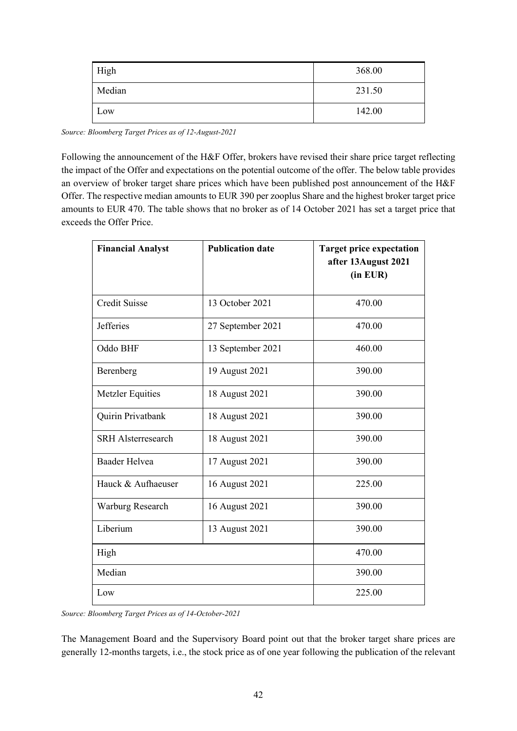| High   | 368.00 |
|--------|--------|
| Median | 231.50 |
| Low    | 142.00 |

*Source: Bloomberg Target Prices as of 12-August-2021*

Following the announcement of the H&F Offer, brokers have revised their share price target reflecting the impact of the Offer and expectations on the potential outcome of the offer. The below table provides an overview of broker target share prices which have been published post announcement of the H&F Offer. The respective median amounts to EUR 390 per zooplus Share and the highest broker target price amounts to EUR 470. The table shows that no broker as of 14 October 2021 has set a target price that exceeds the Offer Price.

| <b>Financial Analyst</b>  | <b>Publication date</b> | <b>Target price expectation</b><br>after 13 August 2021<br>(in EUR) |
|---------------------------|-------------------------|---------------------------------------------------------------------|
| <b>Credit Suisse</b>      | 13 October 2021         | 470.00                                                              |
| <b>Jefferies</b>          | 27 September 2021       | 470.00                                                              |
| Oddo BHF                  | 13 September 2021       | 460.00                                                              |
| Berenberg                 | 19 August 2021          | 390.00                                                              |
| Metzler Equities          | 18 August 2021          | 390.00                                                              |
| Quirin Privatbank         | 18 August 2021          | 390.00                                                              |
| <b>SRH Alsterresearch</b> | 18 August 2021          | 390.00                                                              |
| <b>Baader Helvea</b>      | 17 August 2021          | 390.00                                                              |
| Hauck & Aufhaeuser        | 16 August 2021          | 225.00                                                              |
| Warburg Research          | 16 August 2021          | 390.00                                                              |
| Liberium                  | 13 August 2021          | 390.00                                                              |
| High                      |                         | 470.00                                                              |
| Median                    | 390.00                  |                                                                     |
| Low                       |                         | 225.00                                                              |

*Source: Bloomberg Target Prices as of 14-October-2021* 

The Management Board and the Supervisory Board point out that the broker target share prices are generally 12-months targets, i.e., the stock price as of one year following the publication of the relevant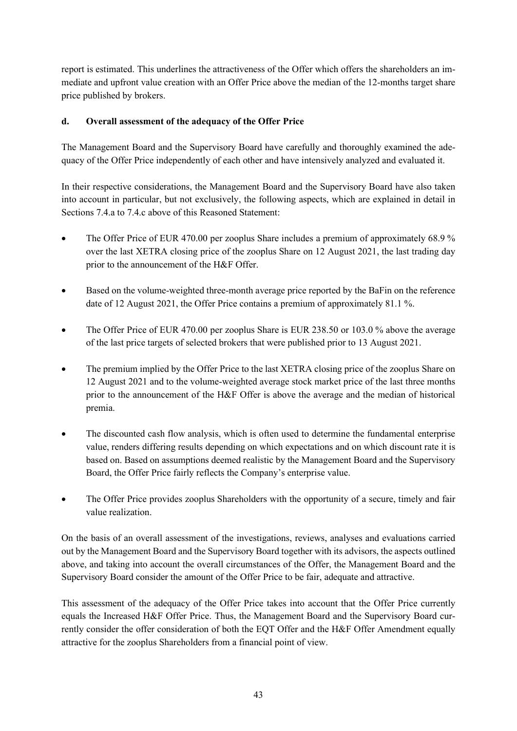report is estimated. This underlines the attractiveness of the Offer which offers the shareholders an immediate and upfront value creation with an Offer Price above the median of the 12-months target share price published by brokers.

## **d. Overall assessment of the adequacy of the Offer Price**

The Management Board and the Supervisory Board have carefully and thoroughly examined the adequacy of the Offer Price independently of each other and have intensively analyzed and evaluated it.

In their respective considerations, the Management Board and the Supervisory Board have also taken into account in particular, but not exclusively, the following aspects, which are explained in detail in Sections [7.4](#page-37-0)[.a](#page-37-1) to [7.4.](#page-37-0)c above of this Reasoned Statement:

- The Offer Price of EUR 470.00 per zooplus Share includes a premium of approximately 68.9 % over the last XETRA closing price of the zooplus Share on 12 August 2021, the last trading day prior to the announcement of the H&F Offer.
- Based on the volume-weighted three-month average price reported by the BaFin on the reference date of 12 August 2021, the Offer Price contains a premium of approximately 81.1 %.
- The Offer Price of EUR 470.00 per zooplus Share is EUR 238.50 or 103.0 % above the average of the last price targets of selected brokers that were published prior to 13 August 2021.
- The premium implied by the Offer Price to the last XETRA closing price of the zooplus Share on 12 August 2021 and to the volume-weighted average stock market price of the last three months prior to the announcement of the H&F Offer is above the average and the median of historical premia.
- The discounted cash flow analysis, which is often used to determine the fundamental enterprise value, renders differing results depending on which expectations and on which discount rate it is based on. Based on assumptions deemed realistic by the Management Board and the Supervisory Board, the Offer Price fairly reflects the Company's enterprise value.
- The Offer Price provides zooplus Shareholders with the opportunity of a secure, timely and fair value realization.

On the basis of an overall assessment of the investigations, reviews, analyses and evaluations carried out by the Management Board and the Supervisory Board together with its advisors, the aspects outlined above, and taking into account the overall circumstances of the Offer, the Management Board and the Supervisory Board consider the amount of the Offer Price to be fair, adequate and attractive.

This assessment of the adequacy of the Offer Price takes into account that the Offer Price currently equals the Increased H&F Offer Price. Thus, the Management Board and the Supervisory Board currently consider the offer consideration of both the EQT Offer and the H&F Offer Amendment equally attractive for the zooplus Shareholders from a financial point of view.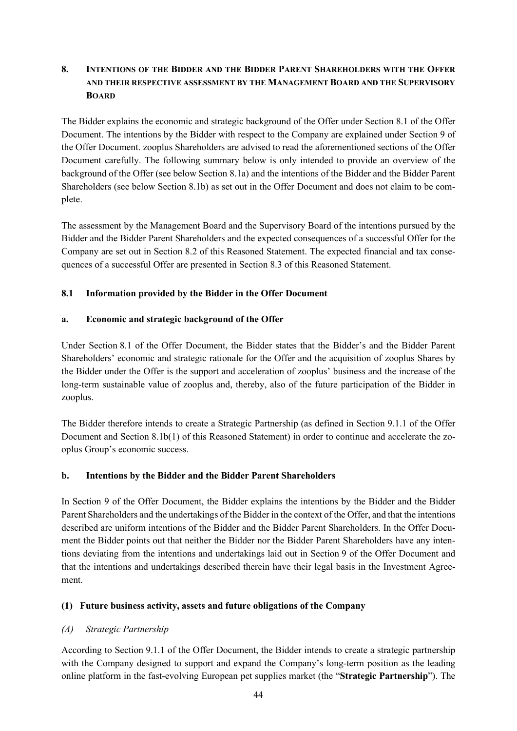## **8. INTENTIONS OF THE BIDDER AND THE BIDDER PARENT SHAREHOLDERS WITH THE OFFER AND THEIR RESPECTIVE ASSESSMENT BY THE MANAGEMENT BOARD AND THE SUPERVISORY BOARD**

The Bidder explains the economic and strategic background of the Offer under Section 8.1 of the Offer Document. The intentions by the Bidder with respect to the Company are explained under Section 9 of the Offer Document. zooplus Shareholders are advised to read the aforementioned sections of the Offer Document carefully. The following summary below is only intended to provide an overview of the background of the Offer (see below Section [8.1a\)](#page-43-1) and the intentions of the Bidder and the Bidder Parent Shareholders (see below Section [8.1b\)](#page-43-0) as set out in the Offer Document and does not claim to be complete.

The assessment by the Management Board and the Supervisory Board of the intentions pursued by the Bidder and the Bidder Parent Shareholders and the expected consequences of a successful Offer for the Company are set out in Section [8.2](#page-47-0) of this Reasoned Statement. The expected financial and tax consequences of a successful Offer are presented in Section [8.3](#page-50-0) of this Reasoned Statement.

## **8.1 Information provided by the Bidder in the Offer Document**

### <span id="page-43-1"></span>**a. Economic and strategic background of the Offer**

Under Section 8.1 of the Offer Document, the Bidder states that the Bidder's and the Bidder Parent Shareholders' economic and strategic rationale for the Offer and the acquisition of zooplus Shares by the Bidder under the Offer is the support and acceleration of zooplus' business and the increase of the long-term sustainable value of zooplus and, thereby, also of the future participation of the Bidder in zooplus.

The Bidder therefore intends to create a Strategic Partnership (as defined in Section 9.1.1 of the Offer Document and Section [8.1b](#page-43-0)[\(1\)](#page-43-2) of this Reasoned Statement) in order to continue and accelerate the zooplus Group's economic success.

### <span id="page-43-0"></span>**b. Intentions by the Bidder and the Bidder Parent Shareholders**

In Section 9 of the Offer Document, the Bidder explains the intentions by the Bidder and the Bidder Parent Shareholders and the undertakings of the Bidder in the context of the Offer, and that the intentions described are uniform intentions of the Bidder and the Bidder Parent Shareholders. In the Offer Document the Bidder points out that neither the Bidder nor the Bidder Parent Shareholders have any intentions deviating from the intentions and undertakings laid out in Section 9 of the Offer Document and that the intentions and undertakings described therein have their legal basis in the Investment Agreement.

## <span id="page-43-2"></span>**(1) Future business activity, assets and future obligations of the Company**

## <span id="page-43-3"></span>*(A) Strategic Partnership*

According to Section 9.1.1 of the Offer Document, the Bidder intends to create a strategic partnership with the Company designed to support and expand the Company's long-term position as the leading online platform in the fast-evolving European pet supplies market (the "**Strategic Partnership**"). The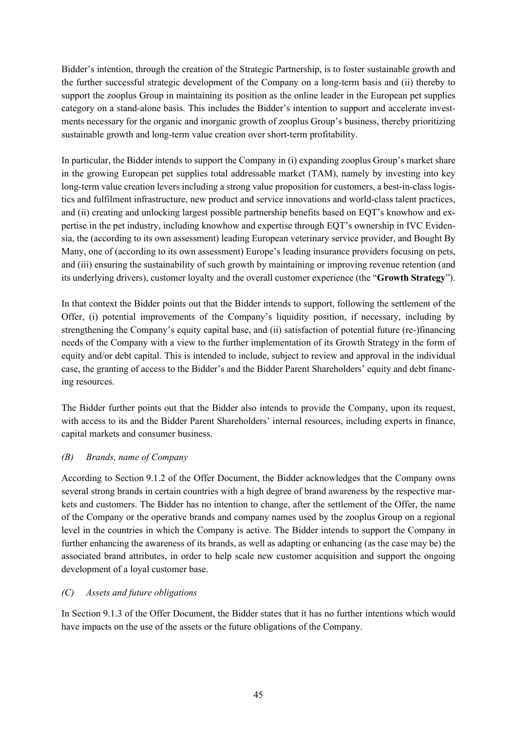Bidder's intention, through the creation of the Strategic Partnership, is to foster sustainable growth and the further successful strategic development of the Company on a long-term basis and (ii) thereby to support the zooplus Group in maintaining its position as the online leader in the European pet supplies category on a stand-alone basis. This includes the Bidder's intention to support and accelerate investments necessary for the organic and inorganic growth of zooplus Group's business, thereby prioritizing sustainable growth and long-term value creation over short-term profitability.

In particular, the Bidder intends to support the Company in (i) expanding zooplus Group's market share in the growing European pet supplies total addressable market (TAM), namely by investing into key long-term value creation levers including a strong value proposition for customers, a best-in-class logistics and fulfilment infrastructure, new product and service innovations and world-class talent practices, and (ii) creating and unlocking largest possible partnership benefits based on EQT's knowhow and expertise in the pet industry, including knowhow and expertise through EQT's ownership in IVC Evidensia, the (according to its own assessment) leading European veterinary service provider, and Bought By Many, one of (according to its own assessment) Europe's leading insurance providers focusing on pets, and (iii) ensuring the sustainability of such growth by maintaining or improving revenue retention (and its underlying drivers), customer loyalty and the overall customer experience (the "**Growth Strategy**").

In that context the Bidder points out that the Bidder intends to support, following the settlement of the Offer, (i) potential improvements of the Company's liquidity position, if necessary, including by strengthening the Company's equity capital base, and (ii) satisfaction of potential future (re-)financing needs of the Company with a view to the further implementation of its Growth Strategy in the form of equity and/or debt capital. This is intended to include, subject to review and approval in the individual case, the granting of access to the Bidder's and the Bidder Parent Shareholders' equity and debt financing resources.

The Bidder further points out that the Bidder also intends to provide the Company, upon its request, with access to its and the Bidder Parent Shareholders' internal resources, including experts in finance, capital markets and consumer business.

### *(B) Brands, name of Company*

According to Section 9.1.2 of the Offer Document, the Bidder acknowledges that the Company owns several strong brands in certain countries with a high degree of brand awareness by the respective markets and customers. The Bidder has no intention to change, after the settlement of the Offer, the name of the Company or the operative brands and company names used by the zooplus Group on a regional level in the countries in which the Company is active. The Bidder intends to support the Company in further enhancing the awareness of its brands, as well as adapting or enhancing (as the case may be) the associated brand attributes, in order to help scale new customer acquisition and support the ongoing development of a loyal customer base.

### *(C) Assets and future obligations*

In Section 9.1.3 of the Offer Document, the Bidder states that it has no further intentions which would have impacts on the use of the assets or the future obligations of the Company.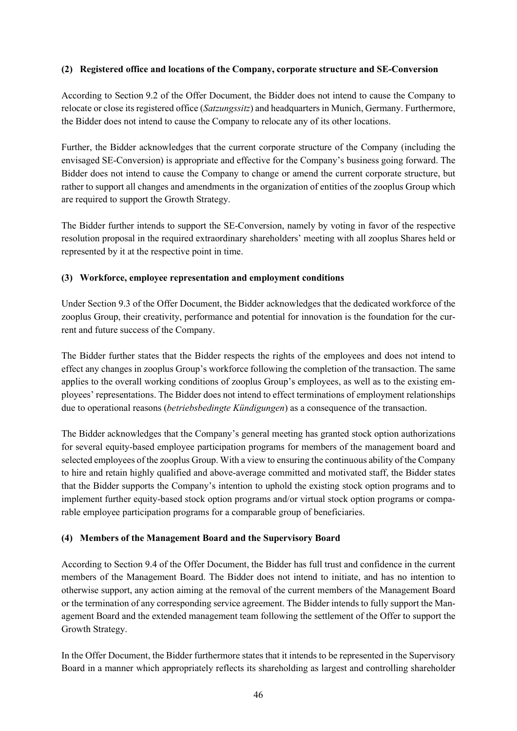### **(2) Registered office and locations of the Company, corporate structure and SE-Conversion**

According to Section 9.2 of the Offer Document, the Bidder does not intend to cause the Company to relocate or close its registered office (*Satzungssitz*) and headquarters in Munich, Germany. Furthermore, the Bidder does not intend to cause the Company to relocate any of its other locations.

Further, the Bidder acknowledges that the current corporate structure of the Company (including the envisaged SE-Conversion) is appropriate and effective for the Company's business going forward. The Bidder does not intend to cause the Company to change or amend the current corporate structure, but rather to support all changes and amendments in the organization of entities of the zooplus Group which are required to support the Growth Strategy.

The Bidder further intends to support the SE-Conversion, namely by voting in favor of the respective resolution proposal in the required extraordinary shareholders' meeting with all zooplus Shares held or represented by it at the respective point in time.

## **(3) Workforce, employee representation and employment conditions**

Under Section 9.3 of the Offer Document, the Bidder acknowledges that the dedicated workforce of the zooplus Group, their creativity, performance and potential for innovation is the foundation for the current and future success of the Company.

The Bidder further states that the Bidder respects the rights of the employees and does not intend to effect any changes in zooplus Group's workforce following the completion of the transaction. The same applies to the overall working conditions of zooplus Group's employees, as well as to the existing employees' representations. The Bidder does not intend to effect terminations of employment relationships due to operational reasons (*betriebsbedingte Kündigungen*) as a consequence of the transaction.

The Bidder acknowledges that the Company's general meeting has granted stock option authorizations for several equity-based employee participation programs for members of the management board and selected employees of the zooplus Group. With a view to ensuring the continuous ability of the Company to hire and retain highly qualified and above-average committed and motivated staff, the Bidder states that the Bidder supports the Company's intention to uphold the existing stock option programs and to implement further equity-based stock option programs and/or virtual stock option programs or comparable employee participation programs for a comparable group of beneficiaries.

## **(4) Members of the Management Board and the Supervisory Board**

According to Section 9.4 of the Offer Document, the Bidder has full trust and confidence in the current members of the Management Board. The Bidder does not intend to initiate, and has no intention to otherwise support, any action aiming at the removal of the current members of the Management Board or the termination of any corresponding service agreement. The Bidder intends to fully support the Management Board and the extended management team following the settlement of the Offer to support the Growth Strategy.

In the Offer Document, the Bidder furthermore states that it intends to be represented in the Supervisory Board in a manner which appropriately reflects its shareholding as largest and controlling shareholder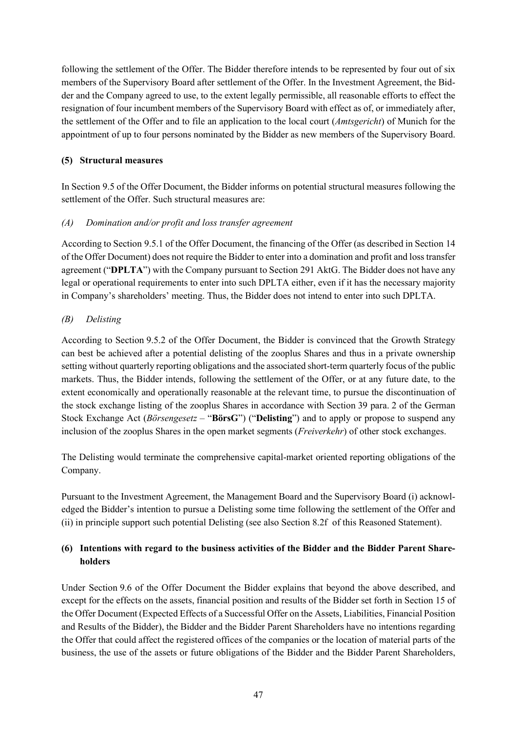following the settlement of the Offer. The Bidder therefore intends to be represented by four out of six members of the Supervisory Board after settlement of the Offer. In the Investment Agreement, the Bidder and the Company agreed to use, to the extent legally permissible, all reasonable efforts to effect the resignation of four incumbent members of the Supervisory Board with effect as of, or immediately after, the settlement of the Offer and to file an application to the local court (*Amtsgericht*) of Munich for the appointment of up to four persons nominated by the Bidder as new members of the Supervisory Board.

## <span id="page-46-0"></span>**(5) Structural measures**

In Section 9.5 of the Offer Document, the Bidder informs on potential structural measures following the settlement of the Offer. Such structural measures are:

## <span id="page-46-2"></span>*(A) Domination and/or profit and loss transfer agreement*

According to Section 9.5.1 of the Offer Document, the financing of the Offer (as described in Section 14 of the Offer Document) does not require the Bidder to enter into a domination and profit and loss transfer agreement ("**DPLTA**") with the Company pursuant to Section 291 AktG. The Bidder does not have any legal or operational requirements to enter into such DPLTA either, even if it has the necessary majority in Company's shareholders' meeting. Thus, the Bidder does not intend to enter into such DPLTA.

## <span id="page-46-1"></span>*(B) Delisting*

According to Section 9.5.2 of the Offer Document, the Bidder is convinced that the Growth Strategy can best be achieved after a potential delisting of the zooplus Shares and thus in a private ownership setting without quarterly reporting obligations and the associated short-term quarterly focus of the public markets. Thus, the Bidder intends, following the settlement of the Offer, or at any future date, to the extent economically and operationally reasonable at the relevant time, to pursue the discontinuation of the stock exchange listing of the zooplus Shares in accordance with Section 39 para. 2 of the German Stock Exchange Act (*Börsengesetz* – "**BörsG**") ("**Delisting**") and to apply or propose to suspend any inclusion of the zooplus Shares in the open market segments (*Freiverkehr*) of other stock exchanges.

The Delisting would terminate the comprehensive capital-market oriented reporting obligations of the Company.

Pursuant to the Investment Agreement, the Management Board and the Supervisory Board (i) acknowledged the Bidder's intention to pursue a Delisting some time following the settlement of the Offer and (ii) in principle support such potential Delisting (see also Section [8.2](#page-47-0)[f](#page-49-0) of this Reasoned Statement).

## **(6) Intentions with regard to the business activities of the Bidder and the Bidder Parent Shareholders**

Under Section 9.6 of the Offer Document the Bidder explains that beyond the above described, and except for the effects on the assets, financial position and results of the Bidder set forth in Section 15 of the Offer Document (Expected Effects of a Successful Offer on the Assets, Liabilities, Financial Position and Results of the Bidder), the Bidder and the Bidder Parent Shareholders have no intentions regarding the Offer that could affect the registered offices of the companies or the location of material parts of the business, the use of the assets or future obligations of the Bidder and the Bidder Parent Shareholders,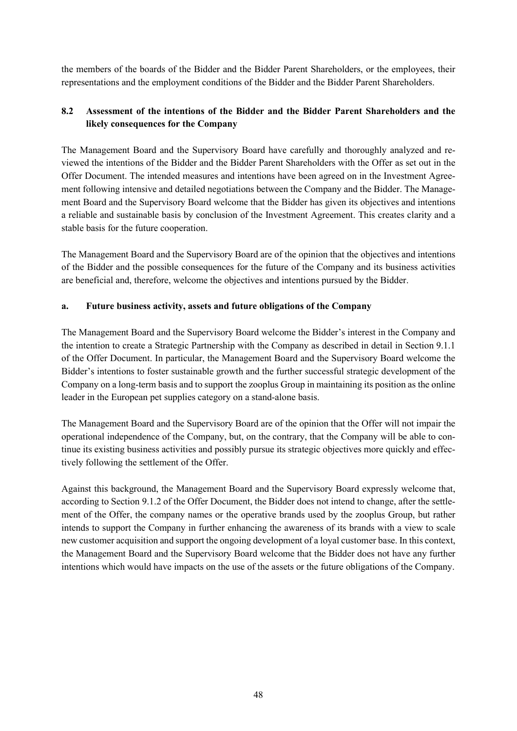the members of the boards of the Bidder and the Bidder Parent Shareholders, or the employees, their representations and the employment conditions of the Bidder and the Bidder Parent Shareholders.

## <span id="page-47-0"></span>**8.2 Assessment of the intentions of the Bidder and the Bidder Parent Shareholders and the likely consequences for the Company**

The Management Board and the Supervisory Board have carefully and thoroughly analyzed and reviewed the intentions of the Bidder and the Bidder Parent Shareholders with the Offer as set out in the Offer Document. The intended measures and intentions have been agreed on in the Investment Agreement following intensive and detailed negotiations between the Company and the Bidder. The Management Board and the Supervisory Board welcome that the Bidder has given its objectives and intentions a reliable and sustainable basis by conclusion of the Investment Agreement. This creates clarity and a stable basis for the future cooperation.

The Management Board and the Supervisory Board are of the opinion that the objectives and intentions of the Bidder and the possible consequences for the future of the Company and its business activities are beneficial and, therefore, welcome the objectives and intentions pursued by the Bidder.

### **a. Future business activity, assets and future obligations of the Company**

The Management Board and the Supervisory Board welcome the Bidder's interest in the Company and the intention to create a Strategic Partnership with the Company as described in detail in Section 9.1.1 of the Offer Document. In particular, the Management Board and the Supervisory Board welcome the Bidder's intentions to foster sustainable growth and the further successful strategic development of the Company on a long-term basis and to support the zooplus Group in maintaining its position as the online leader in the European pet supplies category on a stand-alone basis.

The Management Board and the Supervisory Board are of the opinion that the Offer will not impair the operational independence of the Company, but, on the contrary, that the Company will be able to continue its existing business activities and possibly pursue its strategic objectives more quickly and effectively following the settlement of the Offer.

Against this background, the Management Board and the Supervisory Board expressly welcome that, according to Section 9.1.2 of the Offer Document, the Bidder does not intend to change, after the settlement of the Offer, the company names or the operative brands used by the zooplus Group, but rather intends to support the Company in further enhancing the awareness of its brands with a view to scale new customer acquisition and support the ongoing development of a loyal customer base. In this context, the Management Board and the Supervisory Board welcome that the Bidder does not have any further intentions which would have impacts on the use of the assets or the future obligations of the Company.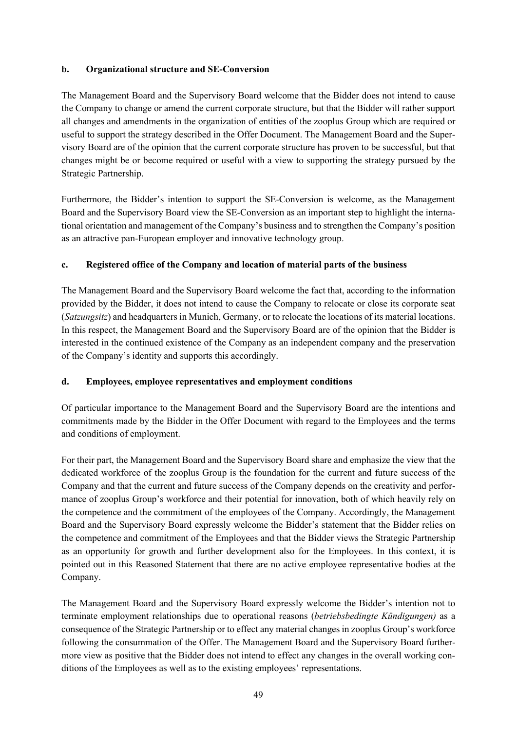### **b. Organizational structure and SE-Conversion**

The Management Board and the Supervisory Board welcome that the Bidder does not intend to cause the Company to change or amend the current corporate structure, but that the Bidder will rather support all changes and amendments in the organization of entities of the zooplus Group which are required or useful to support the strategy described in the Offer Document. The Management Board and the Supervisory Board are of the opinion that the current corporate structure has proven to be successful, but that changes might be or become required or useful with a view to supporting the strategy pursued by the Strategic Partnership.

Furthermore, the Bidder's intention to support the SE-Conversion is welcome, as the Management Board and the Supervisory Board view the SE-Conversion as an important step to highlight the international orientation and management of the Company's business and to strengthen the Company's position as an attractive pan-European employer and innovative technology group.

## <span id="page-48-0"></span>**c. Registered office of the Company and location of material parts of the business**

The Management Board and the Supervisory Board welcome the fact that, according to the information provided by the Bidder, it does not intend to cause the Company to relocate or close its corporate seat (*Satzungsitz*) and headquarters in Munich, Germany, or to relocate the locations of its material locations. In this respect, the Management Board and the Supervisory Board are of the opinion that the Bidder is interested in the continued existence of the Company as an independent company and the preservation of the Company's identity and supports this accordingly.

### <span id="page-48-1"></span>**d. Employees, employee representatives and employment conditions**

Of particular importance to the Management Board and the Supervisory Board are the intentions and commitments made by the Bidder in the Offer Document with regard to the Employees and the terms and conditions of employment.

For their part, the Management Board and the Supervisory Board share and emphasize the view that the dedicated workforce of the zooplus Group is the foundation for the current and future success of the Company and that the current and future success of the Company depends on the creativity and performance of zooplus Group's workforce and their potential for innovation, both of which heavily rely on the competence and the commitment of the employees of the Company. Accordingly, the Management Board and the Supervisory Board expressly welcome the Bidder's statement that the Bidder relies on the competence and commitment of the Employees and that the Bidder views the Strategic Partnership as an opportunity for growth and further development also for the Employees. In this context, it is pointed out in this Reasoned Statement that there are no active employee representative bodies at the Company.

The Management Board and the Supervisory Board expressly welcome the Bidder's intention not to terminate employment relationships due to operational reasons (*betriebsbedingte Kündigungen)* as a consequence of the Strategic Partnership or to effect any material changes in zooplus Group's workforce following the consummation of the Offer. The Management Board and the Supervisory Board furthermore view as positive that the Bidder does not intend to effect any changes in the overall working conditions of the Employees as well as to the existing employees' representations.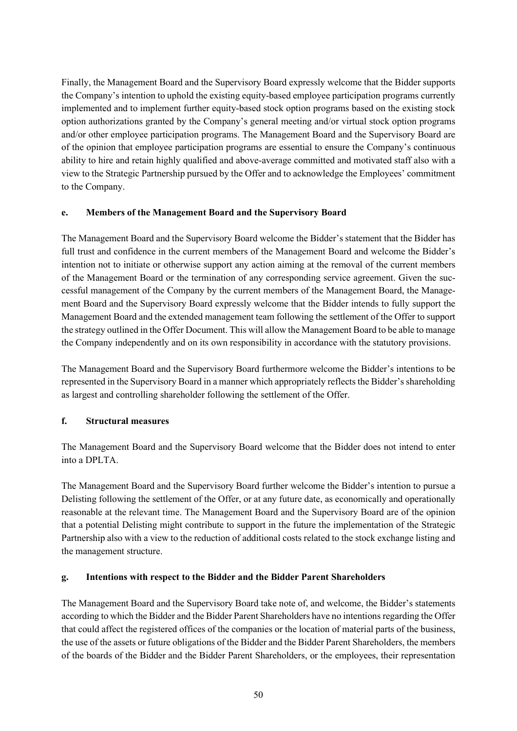Finally, the Management Board and the Supervisory Board expressly welcome that the Bidder supports the Company's intention to uphold the existing equity-based employee participation programs currently implemented and to implement further equity-based stock option programs based on the existing stock option authorizations granted by the Company's general meeting and/or virtual stock option programs and/or other employee participation programs. The Management Board and the Supervisory Board are of the opinion that employee participation programs are essential to ensure the Company's continuous ability to hire and retain highly qualified and above-average committed and motivated staff also with a view to the Strategic Partnership pursued by the Offer and to acknowledge the Employees' commitment to the Company.

### **e. Members of the Management Board and the Supervisory Board**

The Management Board and the Supervisory Board welcome the Bidder's statement that the Bidder has full trust and confidence in the current members of the Management Board and welcome the Bidder's intention not to initiate or otherwise support any action aiming at the removal of the current members of the Management Board or the termination of any corresponding service agreement. Given the successful management of the Company by the current members of the Management Board, the Management Board and the Supervisory Board expressly welcome that the Bidder intends to fully support the Management Board and the extended management team following the settlement of the Offer to support the strategy outlined in the Offer Document. This will allow the Management Board to be able to manage the Company independently and on its own responsibility in accordance with the statutory provisions.

The Management Board and the Supervisory Board furthermore welcome the Bidder's intentions to be represented in the Supervisory Board in a manner which appropriately reflects the Bidder's shareholding as largest and controlling shareholder following the settlement of the Offer.

## <span id="page-49-0"></span>**f. Structural measures**

The Management Board and the Supervisory Board welcome that the Bidder does not intend to enter into a DPLTA.

The Management Board and the Supervisory Board further welcome the Bidder's intention to pursue a Delisting following the settlement of the Offer, or at any future date, as economically and operationally reasonable at the relevant time. The Management Board and the Supervisory Board are of the opinion that a potential Delisting might contribute to support in the future the implementation of the Strategic Partnership also with a view to the reduction of additional costs related to the stock exchange listing and the management structure.

### **g. Intentions with respect to the Bidder and the Bidder Parent Shareholders**

The Management Board and the Supervisory Board take note of, and welcome, the Bidder's statements according to which the Bidder and the Bidder Parent Shareholders have no intentions regarding the Offer that could affect the registered offices of the companies or the location of material parts of the business, the use of the assets or future obligations of the Bidder and the Bidder Parent Shareholders, the members of the boards of the Bidder and the Bidder Parent Shareholders, or the employees, their representation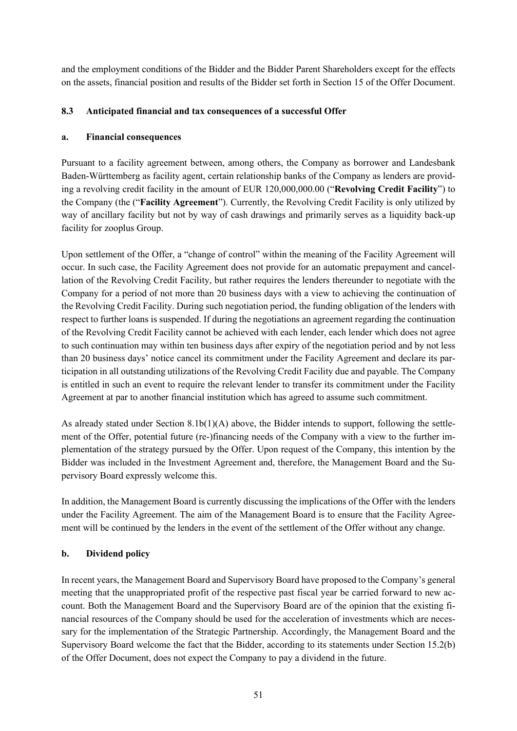and the employment conditions of the Bidder and the Bidder Parent Shareholders except for the effects on the assets, financial position and results of the Bidder set forth in Section 15 of the Offer Document.

## <span id="page-50-0"></span>**8.3 Anticipated financial and tax consequences of a successful Offer**

## **a. Financial consequences**

Pursuant to a facility agreement between, among others, the Company as borrower and Landesbank Baden-Württemberg as facility agent, certain relationship banks of the Company as lenders are providing a revolving credit facility in the amount of EUR 120,000,000.00 ("**Revolving Credit Facility**") to the Company (the ("**Facility Agreement**"). Currently, the Revolving Credit Facility is only utilized by way of ancillary facility but not by way of cash drawings and primarily serves as a liquidity back-up facility for zooplus Group.

Upon settlement of the Offer, a "change of control" within the meaning of the Facility Agreement will occur. In such case, the Facility Agreement does not provide for an automatic prepayment and cancellation of the Revolving Credit Facility, but rather requires the lenders thereunder to negotiate with the Company for a period of not more than 20 business days with a view to achieving the continuation of the Revolving Credit Facility. During such negotiation period, the funding obligation of the lenders with respect to further loans is suspended. If during the negotiations an agreement regarding the continuation of the Revolving Credit Facility cannot be achieved with each lender, each lender which does not agree to such continuation may within ten business days after expiry of the negotiation period and by not less than 20 business days' notice cancel its commitment under the Facility Agreement and declare its participation in all outstanding utilizations of the Revolving Credit Facility due and payable. The Company is entitled in such an event to require the relevant lender to transfer its commitment under the Facility Agreement at par to another financial institution which has agreed to assume such commitment.

As already stated under Section [8.1b](#page-43-0)[\(1\)](#page-43-2)[\(A\)](#page-43-3) above, the Bidder intends to support, following the settlement of the Offer, potential future (re-)financing needs of the Company with a view to the further implementation of the strategy pursued by the Offer. Upon request of the Company, this intention by the Bidder was included in the Investment Agreement and, therefore, the Management Board and the Supervisory Board expressly welcome this.

In addition, the Management Board is currently discussing the implications of the Offer with the lenders under the Facility Agreement. The aim of the Management Board is to ensure that the Facility Agreement will be continued by the lenders in the event of the settlement of the Offer without any change.

## **b. Dividend policy**

In recent years, the Management Board and Supervisory Board have proposed to the Company's general meeting that the unappropriated profit of the respective past fiscal year be carried forward to new account. Both the Management Board and the Supervisory Board are of the opinion that the existing financial resources of the Company should be used for the acceleration of investments which are necessary for the implementation of the Strategic Partnership. Accordingly, the Management Board and the Supervisory Board welcome the fact that the Bidder, according to its statements under Section 15.2(b) of the Offer Document, does not expect the Company to pay a dividend in the future.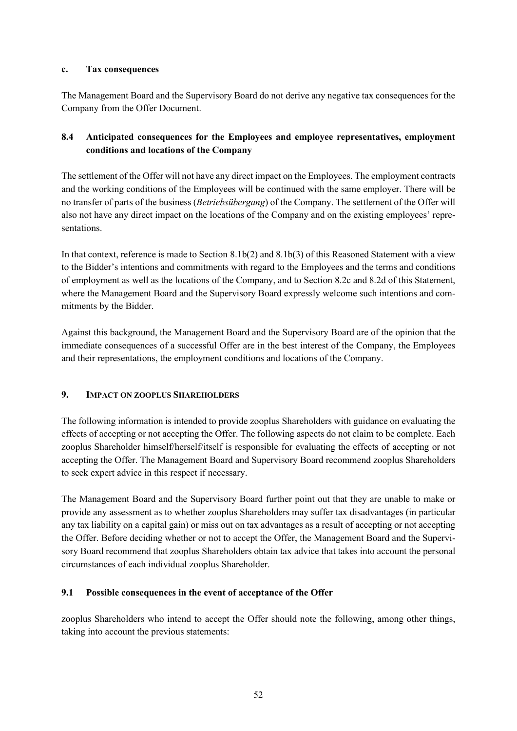### **c. Tax consequences**

The Management Board and the Supervisory Board do not derive any negative tax consequences for the Company from the Offer Document.

## **8.4 Anticipated consequences for the Employees and employee representatives, employment conditions and locations of the Company**

The settlement of the Offer will not have any direct impact on the Employees. The employment contracts and the working conditions of the Employees will be continued with the same employer. There will be no transfer of parts of the business (*Betriebsübergang*) of the Company. The settlement of the Offer will also not have any direct impact on the locations of the Company and on the existing employees' representations.

In that context, reference is made to Section [8.1b\(](#page-43-0)2) and [8.1b\(](#page-43-0)3) of this Reasoned Statement with a view to the Bidder's intentions and commitments with regard to the Employees and the terms and conditions of employment as well as the locations of the Company, and to Section [8.2c](#page-48-0) and [8.2d](#page-48-1) of this Statement, where the Management Board and the Supervisory Board expressly welcome such intentions and commitments by the Bidder.

Against this background, the Management Board and the Supervisory Board are of the opinion that the immediate consequences of a successful Offer are in the best interest of the Company, the Employees and their representations, the employment conditions and locations of the Company.

### **9. IMPACT ON ZOOPLUS SHAREHOLDERS**

The following information is intended to provide zooplus Shareholders with guidance on evaluating the effects of accepting or not accepting the Offer. The following aspects do not claim to be complete. Each zooplus Shareholder himself/herself/itself is responsible for evaluating the effects of accepting or not accepting the Offer. The Management Board and Supervisory Board recommend zooplus Shareholders to seek expert advice in this respect if necessary.

The Management Board and the Supervisory Board further point out that they are unable to make or provide any assessment as to whether zooplus Shareholders may suffer tax disadvantages (in particular any tax liability on a capital gain) or miss out on tax advantages as a result of accepting or not accepting the Offer. Before deciding whether or not to accept the Offer, the Management Board and the Supervisory Board recommend that zooplus Shareholders obtain tax advice that takes into account the personal circumstances of each individual zooplus Shareholder.

### **9.1 Possible consequences in the event of acceptance of the Offer**

zooplus Shareholders who intend to accept the Offer should note the following, among other things, taking into account the previous statements: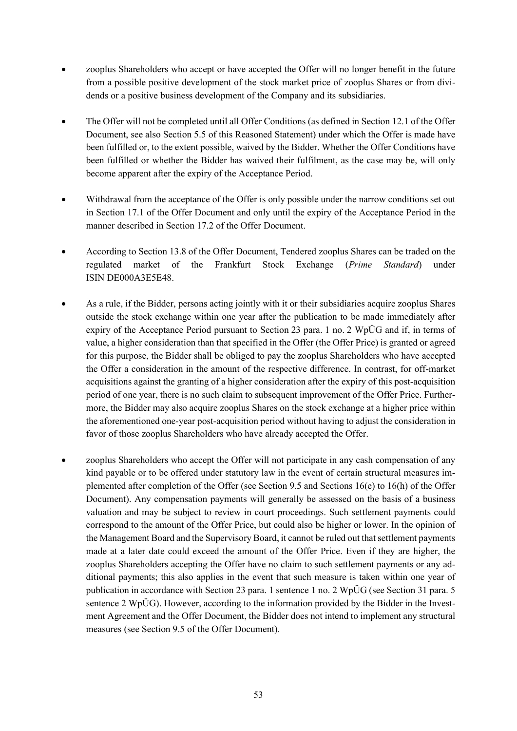- zooplus Shareholders who accept or have accepted the Offer will no longer benefit in the future from a possible positive development of the stock market price of zooplus Shares or from dividends or a positive business development of the Company and its subsidiaries.
- The Offer will not be completed until all Offer Conditions (as defined in Section 12.1 of the Offer Document, see also Section [5.5](#page-31-0) of this Reasoned Statement) under which the Offer is made have been fulfilled or, to the extent possible, waived by the Bidder. Whether the Offer Conditions have been fulfilled or whether the Bidder has waived their fulfilment, as the case may be, will only become apparent after the expiry of the Acceptance Period.
- Withdrawal from the acceptance of the Offer is only possible under the narrow conditions set out in Section 17.1 of the Offer Document and only until the expiry of the Acceptance Period in the manner described in Section 17.2 of the Offer Document.
- According to Section 13.8 of the Offer Document, Tendered zooplus Shares can be traded on the regulated market of the Frankfurt Stock Exchange (*Prime Standard*) under ISIN DE000A3E5E48.
- As a rule, if the Bidder, persons acting jointly with it or their subsidiaries acquire zooplus Shares outside the stock exchange within one year after the publication to be made immediately after expiry of the Acceptance Period pursuant to Section 23 para. 1 no. 2 WpÜG and if, in terms of value, a higher consideration than that specified in the Offer (the Offer Price) is granted or agreed for this purpose, the Bidder shall be obliged to pay the zooplus Shareholders who have accepted the Offer a consideration in the amount of the respective difference. In contrast, for off-market acquisitions against the granting of a higher consideration after the expiry of this post-acquisition period of one year, there is no such claim to subsequent improvement of the Offer Price. Furthermore, the Bidder may also acquire zooplus Shares on the stock exchange at a higher price within the aforementioned one-year post-acquisition period without having to adjust the consideration in favor of those zooplus Shareholders who have already accepted the Offer.
- zooplus Shareholders who accept the Offer will not participate in any cash compensation of any kind payable or to be offered under statutory law in the event of certain structural measures implemented after completion of the Offer (see Section 9.5 and Sections 16(e) to 16(h) of the Offer Document). Any compensation payments will generally be assessed on the basis of a business valuation and may be subject to review in court proceedings. Such settlement payments could correspond to the amount of the Offer Price, but could also be higher or lower. In the opinion of the Management Board and the Supervisory Board, it cannot be ruled out that settlement payments made at a later date could exceed the amount of the Offer Price. Even if they are higher, the zooplus Shareholders accepting the Offer have no claim to such settlement payments or any additional payments; this also applies in the event that such measure is taken within one year of publication in accordance with Section 23 para. 1 sentence 1 no. 2 WpÜG (see Section 31 para. 5 sentence 2 WpÜG). However, according to the information provided by the Bidder in the Investment Agreement and the Offer Document, the Bidder does not intend to implement any structural measures (see Section 9.5 of the Offer Document).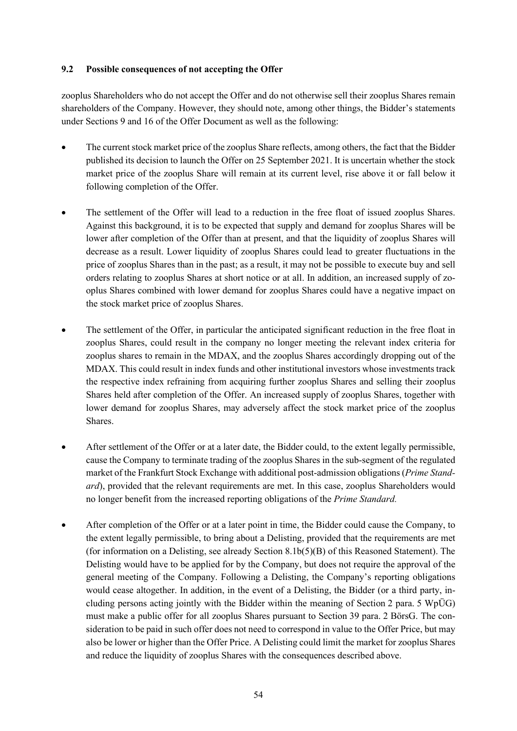### **9.2 Possible consequences of not accepting the Offer**

zooplus Shareholders who do not accept the Offer and do not otherwise sell their zooplus Shares remain shareholders of the Company. However, they should note, among other things, the Bidder's statements under Sections 9 and 16 of the Offer Document as well as the following:

- The current stock market price of the zooplus Share reflects, among others, the fact that the Bidder published its decision to launch the Offer on 25 September 2021. It is uncertain whether the stock market price of the zooplus Share will remain at its current level, rise above it or fall below it following completion of the Offer.
- The settlement of the Offer will lead to a reduction in the free float of issued zooplus Shares. Against this background, it is to be expected that supply and demand for zooplus Shares will be lower after completion of the Offer than at present, and that the liquidity of zooplus Shares will decrease as a result. Lower liquidity of zooplus Shares could lead to greater fluctuations in the price of zooplus Shares than in the past; as a result, it may not be possible to execute buy and sell orders relating to zooplus Shares at short notice or at all. In addition, an increased supply of zooplus Shares combined with lower demand for zooplus Shares could have a negative impact on the stock market price of zooplus Shares.
- The settlement of the Offer, in particular the anticipated significant reduction in the free float in zooplus Shares, could result in the company no longer meeting the relevant index criteria for zooplus shares to remain in the MDAX, and the zooplus Shares accordingly dropping out of the MDAX. This could result in index funds and other institutional investors whose investments track the respective index refraining from acquiring further zooplus Shares and selling their zooplus Shares held after completion of the Offer. An increased supply of zooplus Shares, together with lower demand for zooplus Shares, may adversely affect the stock market price of the zooplus Shares.
- After settlement of the Offer or at a later date, the Bidder could, to the extent legally permissible, cause the Company to terminate trading of the zooplus Shares in the sub-segment of the regulated market of the Frankfurt Stock Exchange with additional post-admission obligations (*Prime Standard*), provided that the relevant requirements are met. In this case, zooplus Shareholders would no longer benefit from the increased reporting obligations of the *Prime Standard.*
- After completion of the Offer or at a later point in time, the Bidder could cause the Company, to the extent legally permissible, to bring about a Delisting, provided that the requirements are met (for information on a Delisting, see already Section [8.1b](#page-43-0)[\(5\)](#page-46-0)[\(B\)](#page-46-1) of this Reasoned Statement). The Delisting would have to be applied for by the Company, but does not require the approval of the general meeting of the Company. Following a Delisting, the Company's reporting obligations would cease altogether. In addition, in the event of a Delisting, the Bidder (or a third party, including persons acting jointly with the Bidder within the meaning of Section 2 para. 5 WpÜG) must make a public offer for all zooplus Shares pursuant to Section 39 para. 2 BörsG. The consideration to be paid in such offer does not need to correspond in value to the Offer Price, but may also be lower or higher than the Offer Price. A Delisting could limit the market for zooplus Shares and reduce the liquidity of zooplus Shares with the consequences described above.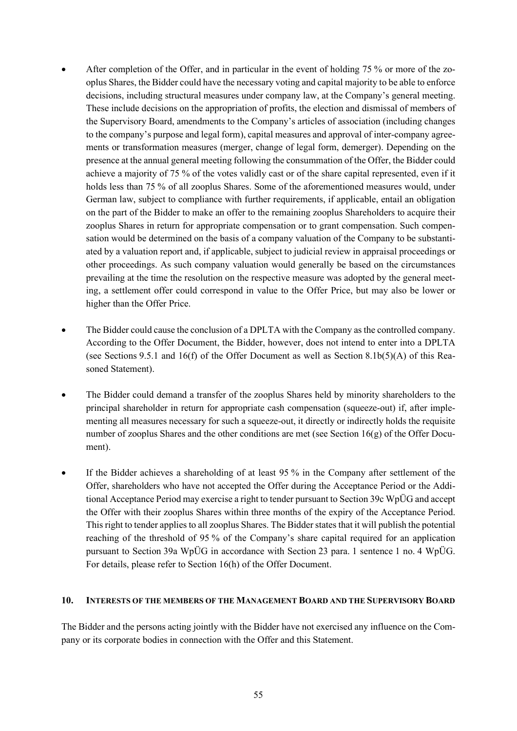- After completion of the Offer, and in particular in the event of holding 75 % or more of the zooplus Shares, the Bidder could have the necessary voting and capital majority to be able to enforce decisions, including structural measures under company law, at the Company's general meeting. These include decisions on the appropriation of profits, the election and dismissal of members of the Supervisory Board, amendments to the Company's articles of association (including changes to the company's purpose and legal form), capital measures and approval of inter-company agreements or transformation measures (merger, change of legal form, demerger). Depending on the presence at the annual general meeting following the consummation of the Offer, the Bidder could achieve a majority of 75 % of the votes validly cast or of the share capital represented, even if it holds less than 75 % of all zooplus Shares. Some of the aforementioned measures would, under German law, subject to compliance with further requirements, if applicable, entail an obligation on the part of the Bidder to make an offer to the remaining zooplus Shareholders to acquire their zooplus Shares in return for appropriate compensation or to grant compensation. Such compensation would be determined on the basis of a company valuation of the Company to be substantiated by a valuation report and, if applicable, subject to judicial review in appraisal proceedings or other proceedings. As such company valuation would generally be based on the circumstances prevailing at the time the resolution on the respective measure was adopted by the general meeting, a settlement offer could correspond in value to the Offer Price, but may also be lower or higher than the Offer Price.
- The Bidder could cause the conclusion of a DPLTA with the Company as the controlled company. According to the Offer Document, the Bidder, however, does not intend to enter into a DPLTA (see Sections 9.5.1 and 16(f) of the Offer Document as well as Sectio[n 8.1b](#page-43-0)[\(5\)](#page-46-0)[\(A\)](#page-46-2) of this Reasoned Statement).
- The Bidder could demand a transfer of the zooplus Shares held by minority shareholders to the principal shareholder in return for appropriate cash compensation (squeeze-out) if, after implementing all measures necessary for such a squeeze-out, it directly or indirectly holds the requisite number of zooplus Shares and the other conditions are met (see Section 16(g) of the Offer Document).
- If the Bidder achieves a shareholding of at least 95 % in the Company after settlement of the Offer, shareholders who have not accepted the Offer during the Acceptance Period or the Additional Acceptance Period may exercise a right to tender pursuant to Section 39c WpÜG and accept the Offer with their zooplus Shares within three months of the expiry of the Acceptance Period. This right to tender applies to all zooplus Shares. The Bidder states that it will publish the potential reaching of the threshold of 95 % of the Company's share capital required for an application pursuant to Section 39a WpÜG in accordance with Section 23 para. 1 sentence 1 no. 4 WpÜG. For details, please refer to Section 16(h) of the Offer Document.

#### **10. INTERESTS OF THE MEMBERS OF THE MANAGEMENT BOARD AND THE SUPERVISORY BOARD**

The Bidder and the persons acting jointly with the Bidder have not exercised any influence on the Company or its corporate bodies in connection with the Offer and this Statement.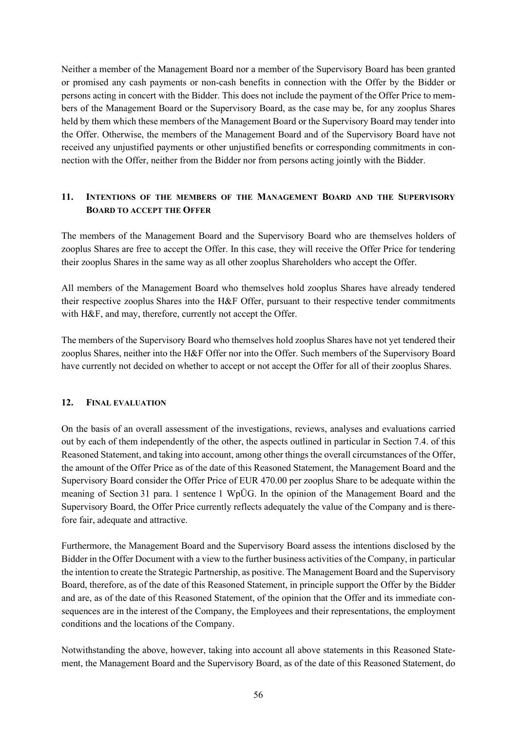Neither a member of the Management Board nor a member of the Supervisory Board has been granted or promised any cash payments or non-cash benefits in connection with the Offer by the Bidder or persons acting in concert with the Bidder. This does not include the payment of the Offer Price to members of the Management Board or the Supervisory Board, as the case may be, for any zooplus Shares held by them which these members of the Management Board or the Supervisory Board may tender into the Offer. Otherwise, the members of the Management Board and of the Supervisory Board have not received any unjustified payments or other unjustified benefits or corresponding commitments in connection with the Offer, neither from the Bidder nor from persons acting jointly with the Bidder.

## **11. INTENTIONS OF THE MEMBERS OF THE MANAGEMENT BOARD AND THE SUPERVISORY BOARD TO ACCEPT THE OFFER**

The members of the Management Board and the Supervisory Board who are themselves holders of zooplus Shares are free to accept the Offer. In this case, they will receive the Offer Price for tendering their zooplus Shares in the same way as all other zooplus Shareholders who accept the Offer.

All members of the Management Board who themselves hold zooplus Shares have already tendered their respective zooplus Shares into the H&F Offer, pursuant to their respective tender commitments with H&F, and may, therefore, currently not accept the Offer.

The members of the Supervisory Board who themselves hold zooplus Shares have not yet tendered their zooplus Shares, neither into the H&F Offer nor into the Offer. Such members of the Supervisory Board have currently not decided on whether to accept or not accept the Offer for all of their zooplus Shares.

#### **12. FINAL EVALUATION**

On the basis of an overall assessment of the investigations, reviews, analyses and evaluations carried out by each of them independently of the other, the aspects outlined in particular in Section [7.4.](#page-37-0) of this Reasoned Statement, and taking into account, among other things the overall circumstances of the Offer, the amount of the Offer Price as of the date of this Reasoned Statement, the Management Board and the Supervisory Board consider the Offer Price of EUR 470.00 per zooplus Share to be adequate within the meaning of Section 31 para. 1 sentence 1 WpÜG. In the opinion of the Management Board and the Supervisory Board, the Offer Price currently reflects adequately the value of the Company and is therefore fair, adequate and attractive.

Furthermore, the Management Board and the Supervisory Board assess the intentions disclosed by the Bidder in the Offer Document with a view to the further business activities of the Company, in particular the intention to create the Strategic Partnership, as positive. The Management Board and the Supervisory Board, therefore, as of the date of this Reasoned Statement, in principle support the Offer by the Bidder and are, as of the date of this Reasoned Statement, of the opinion that the Offer and its immediate consequences are in the interest of the Company, the Employees and their representations, the employment conditions and the locations of the Company.

Notwithstanding the above, however, taking into account all above statements in this Reasoned Statement, the Management Board and the Supervisory Board, as of the date of this Reasoned Statement, do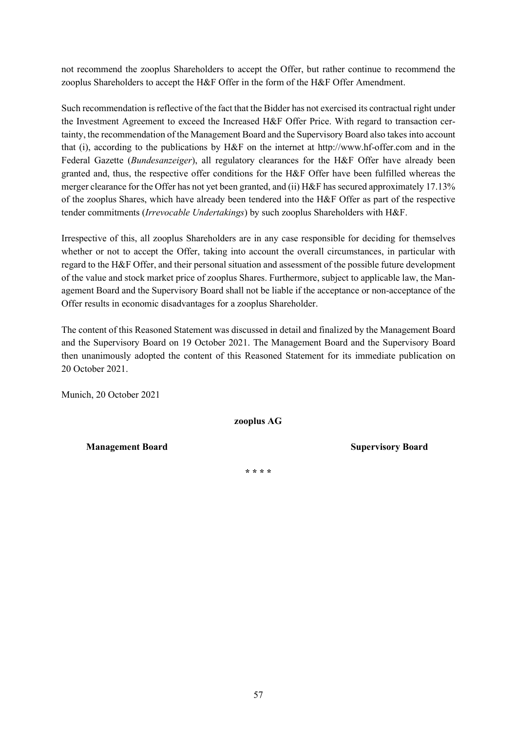not recommend the zooplus Shareholders to accept the Offer, but rather continue to recommend the zooplus Shareholders to accept the H&F Offer in the form of the H&F Offer Amendment.

Such recommendation is reflective of the fact that the Bidder has not exercised its contractual right under the Investment Agreement to exceed the Increased H&F Offer Price. With regard to transaction certainty, the recommendation of the Management Board and the Supervisory Board also takes into account that (i), according to the publications by H&F on the internet at http://www.hf-offer.com and in the Federal Gazette (*Bundesanzeiger*), all regulatory clearances for the H&F Offer have already been granted and, thus, the respective offer conditions for the H&F Offer have been fulfilled whereas the merger clearance for the Offer has not yet been granted, and (ii) H&F has secured approximately 17.13% of the zooplus Shares, which have already been tendered into the H&F Offer as part of the respective tender commitments (*Irrevocable Undertakings*) by such zooplus Shareholders with H&F.

Irrespective of this, all zooplus Shareholders are in any case responsible for deciding for themselves whether or not to accept the Offer, taking into account the overall circumstances, in particular with regard to the H&F Offer, and their personal situation and assessment of the possible future development of the value and stock market price of zooplus Shares. Furthermore, subject to applicable law, the Management Board and the Supervisory Board shall not be liable if the acceptance or non-acceptance of the Offer results in economic disadvantages for a zooplus Shareholder.

The content of this Reasoned Statement was discussed in detail and finalized by the Management Board and the Supervisory Board on 19 October 2021. The Management Board and the Supervisory Board then unanimously adopted the content of this Reasoned Statement for its immediate publication on 20 October 2021.

Munich, 20 October 2021

**zooplus AG** 

**Management Board Supervisory Board Supervisory Board Supervisory Board Supervisory Board Supervisory Board Supervisory Board Supervisory Board Supervisory Board Supervisory Board Supervisory Board Supervisory Board Superv** 

**\* \* \* \***